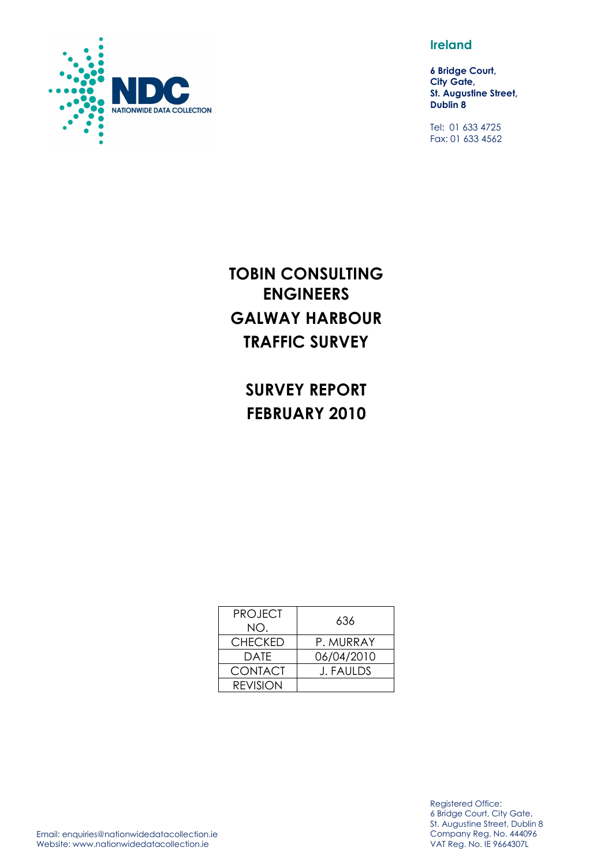

**Ireland** 

**6 Bridge Court, City Gate, St. Augustine Street, Dublin 8** 

Tel: 01 633 4725 Fax: 01 633 4562

## **TOBIN CONSULTING ENGINEERS GALWAY HARBOUR TRAFFIC SURVEY**

**SURVEY REPORT FEBRUARY 2010** 

| <b>PROJECT</b><br>NO. | 636              |
|-----------------------|------------------|
| <b>CHECKED</b>        | P. MURRAY        |
| DATF                  | 06/04/2010       |
| <b>CONTACT</b>        | <b>J. FAULDS</b> |
| <b>REVISION</b>       |                  |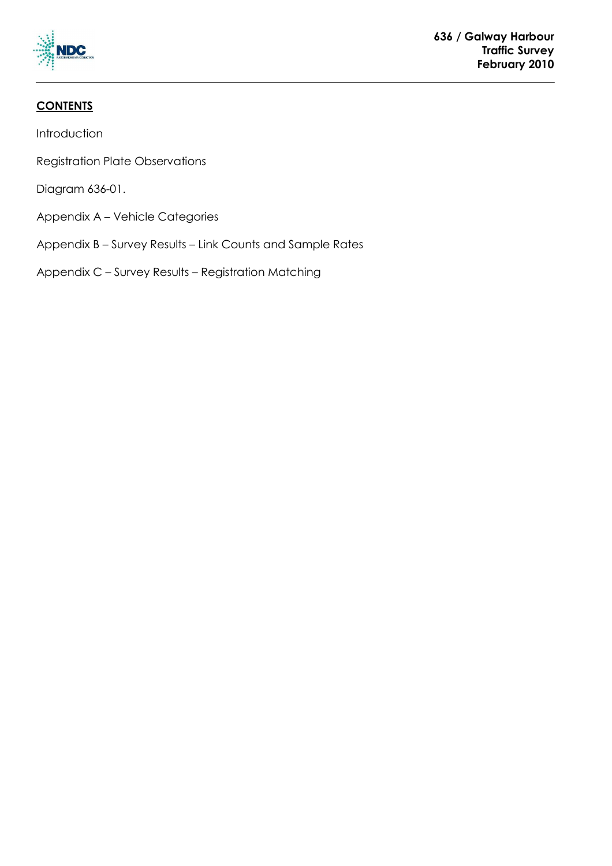

## **CONTENTS**

Introduction

Registration Plate Observations

Diagram 636-01.

Appendix A – Vehicle Categories

Appendix B – Survey Results – Link Counts and Sample Rates

Appendix C – Survey Results – Registration Matching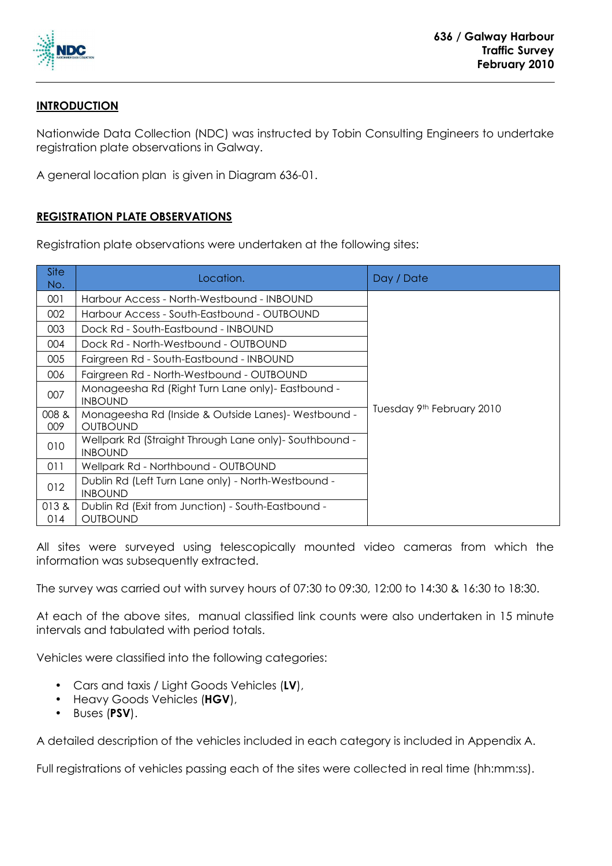

## **INTRODUCTION**

Nationwide Data Collection (NDC) was instructed by Tobin Consulting Engineers to undertake registration plate observations in Galway.

A general location plan is given in Diagram 636-01.

## **REGISTRATION PLATE OBSERVATIONS**

Registration plate observations were undertaken at the following sites:

| <b>Site</b><br>No. | Location.                                                                 | Day / Date                |
|--------------------|---------------------------------------------------------------------------|---------------------------|
| 001                | Harbour Access - North-Westbound - INBOUND                                |                           |
| 002                | Harbour Access - South-Eastbound - OUTBOUND                               |                           |
| 003                | Dock Rd - South-Eastbound - INBOUND                                       |                           |
| 004                | Dock Rd - North-Westbound - OUTBOUND                                      |                           |
| 005                | Fairgreen Rd - South-Eastbound - INBOUND                                  |                           |
| 006                | Fairgreen Rd - North-Westbound - OUTBOUND                                 |                           |
| 007                | Monageesha Rd (Right Turn Lane only) - Eastbound -<br><b>INBOUND</b>      |                           |
| 008 &<br>009       | Monageesha Rd (Inside & Outside Lanes) - Westbound -<br><b>OUTBOUND</b>   | Tuesday 9th February 2010 |
| 010                | Wellpark Rd (Straight Through Lane only) - Southbound -<br><b>INBOUND</b> |                           |
| 011                | Wellpark Rd - Northbound - OUTBOUND                                       |                           |
| 012                | Dublin Rd (Left Turn Lane only) - North-Westbound -<br><b>INBOUND</b>     |                           |
| 013&<br>014        | Dublin Rd (Exit from Junction) - South-Eastbound -<br><b>OUTBOUND</b>     |                           |

All sites were surveyed using telescopically mounted video cameras from which the information was subsequently extracted.

The survey was carried out with survey hours of 07:30 to 09:30, 12:00 to 14:30 & 16:30 to 18:30.

At each of the above sites, manual classified link counts were also undertaken in 15 minute intervals and tabulated with period totals.

Vehicles were classified into the following categories:

- Cars and taxis / Light Goods Vehicles (**LV**),
- Heavy Goods Vehicles (**HGV**),
- Buses (**PSV**).

A detailed description of the vehicles included in each category is included in Appendix A.

Full registrations of vehicles passing each of the sites were collected in real time (hh:mm:ss).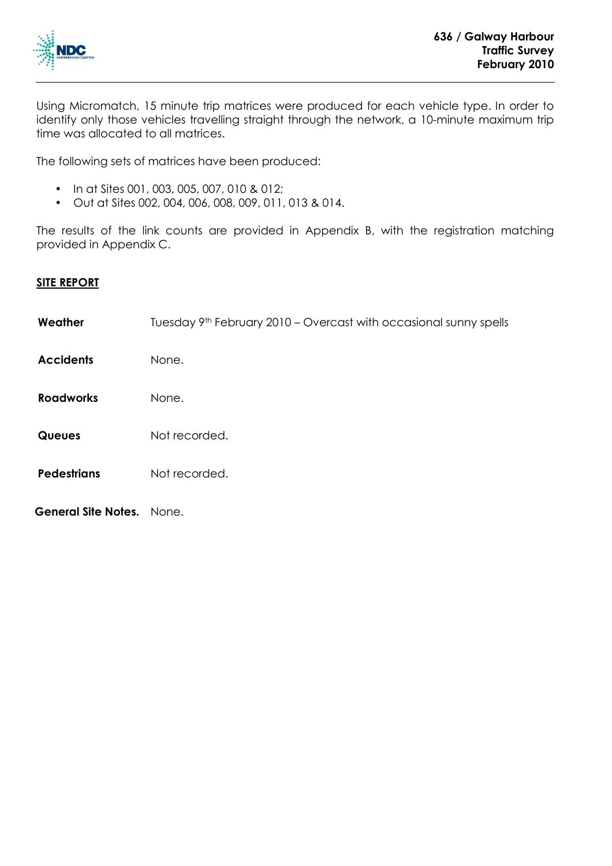

Using Micromatch, 15 minute trip matrices were produced for each vehicle type. In order to identify only those vehicles travelling straight through the network, a 10-minute maximum trip time was allocated to all matrices.

The following sets of matrices have been produced:

- In at Sites 001, 003, 005, 007, 010 & 012;
- Out at Sites 002, 004, 006, 008, 009, 011, 013 & 014.

The results of the link counts are provided in Appendix B, with the registration matching provided in Appendix C.

## **SITE REPORT**

| Weather             | Tuesday 9 <sup>th</sup> February 2010 – Overcast with occasional sunny spells |
|---------------------|-------------------------------------------------------------------------------|
| <b>Accidents</b>    | None.                                                                         |
| <b>Roadworks</b>    | None.                                                                         |
| <b>Queues</b>       | Not recorded.                                                                 |
| <b>Pedestrians</b>  | Not recorded.                                                                 |
| General Site Notes. | None.                                                                         |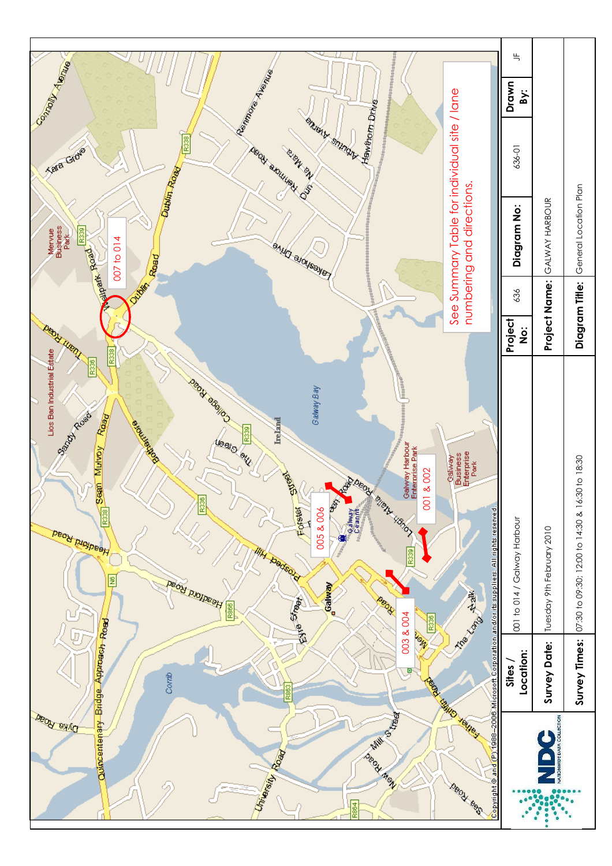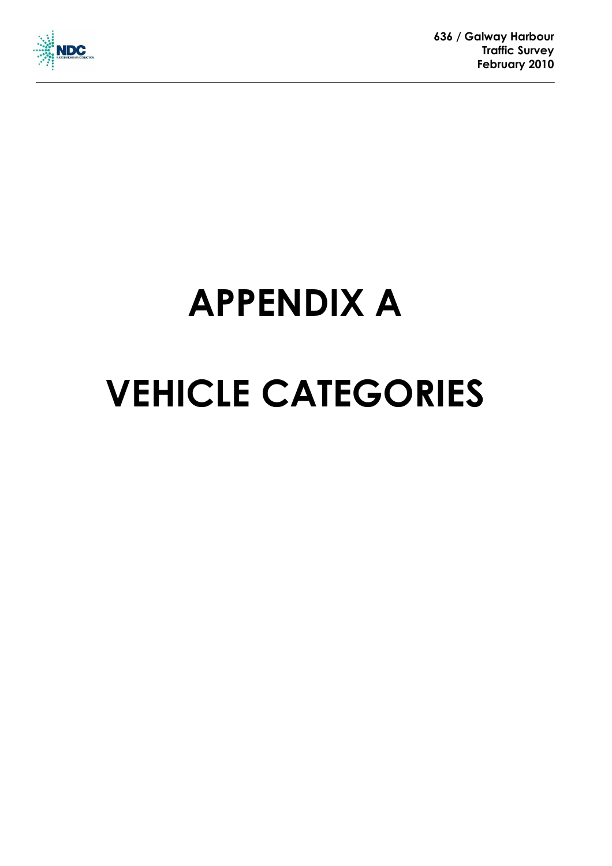

 **636 / Galway Harbour Traffic Survey February 2010** 

# **APPENDIX A VEHICLE CATEGORIES**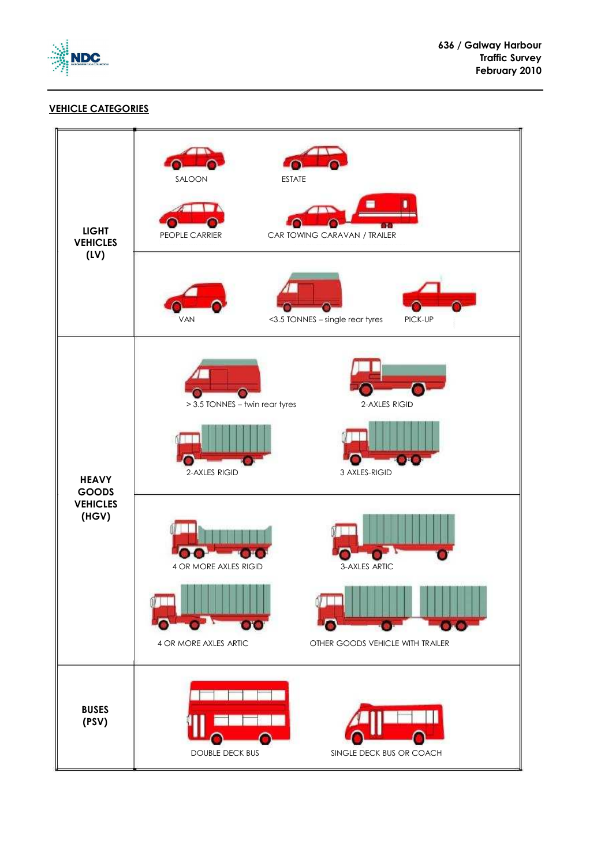

### **VEHICLE CATEGORIES**

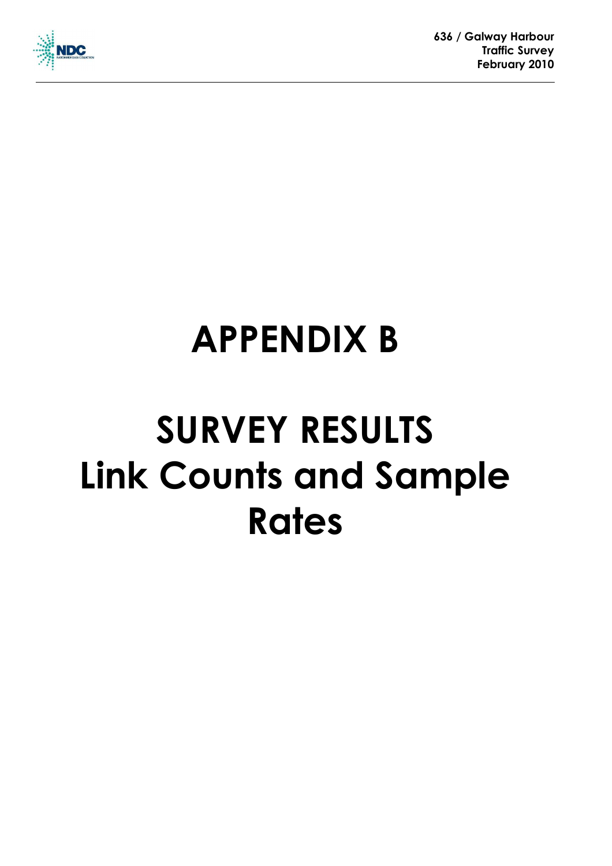

## **APPENDIX B**

## **SURVEY RESULTS Link Counts and Sample Rates**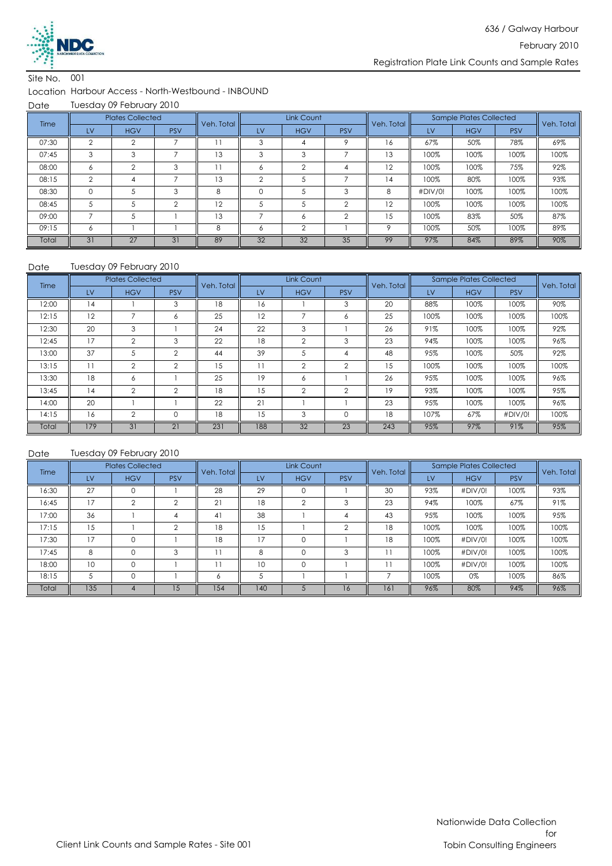

#### Location Harbour Access - North-Westbound - INBOUND

Date Tuesday 09 February 2010

| Time  |               | <b>Plates Collected</b> |            | Veh. Total | Link Count |            |            | Veh. Total |         | <b>Sample Plates Collected</b> | Veh. Total |      |
|-------|---------------|-------------------------|------------|------------|------------|------------|------------|------------|---------|--------------------------------|------------|------|
|       | LV            | <b>HGV</b>              | <b>PSV</b> |            | LV         | <b>HGV</b> | <b>PSV</b> |            | LV      | <b>HGV</b>                     | <b>PSV</b> |      |
| 07:30 | ◠             |                         |            |            | 3          |            |            | 16         | 67%     | 50%                            | 78%        | 69%  |
| 07:45 | 3             | 3                       |            | 13         | 3          | 3          |            | 13         | 100%    | 100%                           | 100%       | 100% |
| 08:00 | 6             | $\mathfrak{D}$          | 3          | 11         | 6          | $\Omega$   |            | 12         | 100%    | 100%                           | 75%        | 92%  |
| 08:15 | $\mathcal{P}$ | 4                       |            | 13         | $\Omega$   |            |            | 14         | 100%    | 80%                            | 100%       | 93%  |
| 08:30 | $\Omega$      |                         | 3          | 8          | $\Omega$   |            | 3          | 8          | #DIV/0! | 100%                           | 100%       | 100% |
| 08:45 | 5             |                         | $\Omega$   | 12         |            |            | $\sim$     | 12         | 100%    | 100%                           | 100%       | 100% |
| 09:00 |               | 5                       |            | 13         |            | 6          | $\sim$     | 15         | 100%    | 83%                            | 50%        | 87%  |
| 09:15 | 6             |                         |            | 8          | Ô          | $\Omega$   |            | $\circ$    | 100%    | 50%                            | 100%       | 89%  |
| Total | 31            | 27                      | 31         | 89         | 32         | 32         | 35         | 99         | 97%     | 84%                            | 89%        | 90%  |

#### Tuesday 09 February 2010

| Date  | Tuesday 09 February 2010 |                         |                |            |           |                |                |            |      |                                |            |            |
|-------|--------------------------|-------------------------|----------------|------------|-----------|----------------|----------------|------------|------|--------------------------------|------------|------------|
| Time  |                          | <b>Plates Collected</b> |                | Veh. Total |           | Link Count     |                | Veh. Total |      | <b>Sample Plates Collected</b> |            | Veh. Total |
|       | LV                       | <b>HGV</b>              | <b>PSV</b>     |            | <b>LV</b> | <b>HGV</b>     | <b>PSV</b>     |            | LV   | <b>HGV</b>                     | <b>PSV</b> |            |
| 12:00 | 14                       |                         | 3              | 18         | 16        |                | 3              | 20         | 88%  | 100%                           | 100%       | 90%        |
| 12:15 | 12                       | $\overline{7}$          | 6              | 25         | 12        | ⇁              | 6              | 25         | 100% | 100%                           | 100%       | 100%       |
| 12:30 | 20                       | 3                       |                | 24         | 22        | 3              |                | 26         | 91%  | 100%                           | 100%       | 92%        |
| 12:45 | 17                       | $\overline{2}$          | 3              | 22         | 18        | $\overline{2}$ | 3              | 23         | 94%  | 100%                           | 100%       | 96%        |
| 13:00 | 37                       | 5                       | $\overline{2}$ | 44         | 39        | .5             | 4              | 48         | 95%  | 100%                           | 50%        | 92%        |
| 13:15 | 11                       | $\overline{2}$          | 2              | 15         | 11        | $\overline{2}$ | $\overline{2}$ | 15         | 100% | 100%                           | 100%       | 100%       |
| 13:30 | 18                       | 6                       |                | 25         | 19        | 6              |                | 26         | 95%  | 100%                           | 100%       | 96%        |
| 13:45 | 14                       | $\overline{2}$          | $\mathfrak{p}$ | 18         | 15        | $\overline{2}$ | $\mathfrak{D}$ | 19         | 93%  | 100%                           | 100%       | 95%        |
| 14:00 | 20                       |                         |                | 22         | 21        |                |                | 23         | 95%  | 100%                           | 100%       | 96%        |
| 14:15 | 16                       | $\overline{2}$          | 0              | 18         | 15        | 3              |                | 18         | 107% | 67%                            | #DIV/0!    | 100%       |
| Total | 179                      | 31                      | 21             | 231        | 188       | 32             | 23             | 243        | 95%  | 97%                            | 91%        | 95%        |

| <b>Time</b> |     | <b>Plates Collected</b> |                 | Veh. Total |     | Link Count |            |            |      | <b>Sample Plates Collected</b> | Veh. Total |      |
|-------------|-----|-------------------------|-----------------|------------|-----|------------|------------|------------|------|--------------------------------|------------|------|
|             | LV  | <b>HGV</b>              | <b>PSV</b>      |            | LV  | <b>HGV</b> | <b>PSV</b> | Veh. Total | LV   | <b>HGV</b>                     | <b>PSV</b> |      |
| 16:30       | 27  |                         |                 | 28         | 29  |            |            | 30         | 93%  | #DIV/0!                        | 100%       | 93%  |
| 16:45       | 17  | $\Omega$                | $\Omega$        | 21         | 18  | ◠          | 3          | 23         | 94%  | 100%                           | 67%        | 91%  |
| 17:00       | 36  |                         | 4               | 41         | 38  |            | 4          | 43         | 95%  | 100%                           | 100%       | 95%  |
| 17:15       | 15  |                         | $\Omega$        | 18         | 15  |            | $\Omega$   | 18         | 100% | 100%                           | 100%       | 100% |
| 17:30       | 17  | $\Omega$                |                 | 18         | 17  | $\Omega$   |            | 18         | 100% | #DIV/0!                        | 100%       | 100% |
| 17:45       | 8   | $\Omega$                | 3               |            | 8   |            | 3          |            | 100% | #DIV/0!                        | 100%       | 100% |
| 18:00       | 10  | $\Omega$                |                 |            | 10  | $\Omega$   |            |            | 100% | #DIV/0!                        | 100%       | 100% |
| 18:15       | 5   | $\Omega$                |                 | Ô          | 5   |            |            |            | 100% | 0%                             | 100%       | 86%  |
| Total       | 135 |                         | $\overline{.5}$ | 154        | 140 |            | 16         | 161        | 96%  | 80%                            | 94%        | 96%  |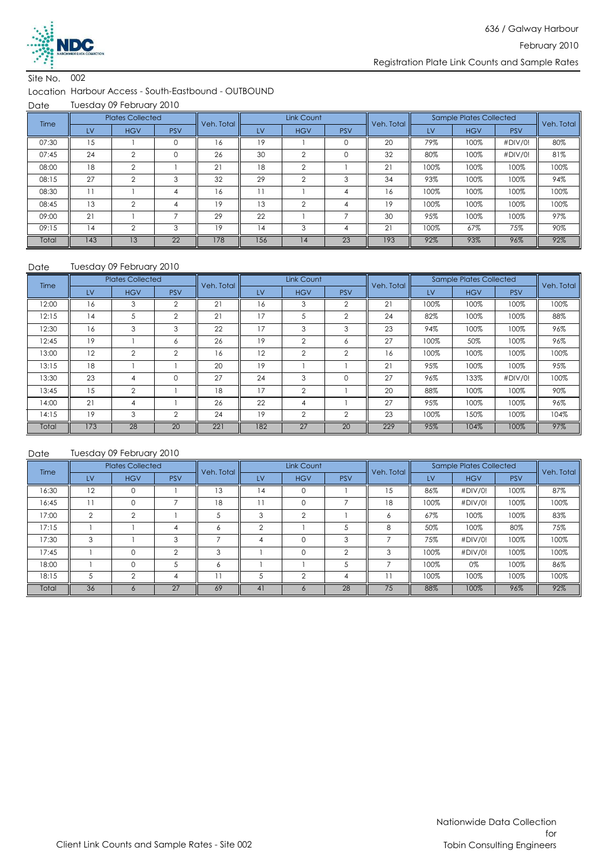

#### Location Harbour Access - South-Eastbound - OUTBOUND

Date Tuesday 09 February 2010

| Time  |     | <b>Plates Collected</b> |                 | Veh. Total | Link Count |            |            | Veh. Total |      | Sample Plates Collected | Veh. Total |      |
|-------|-----|-------------------------|-----------------|------------|------------|------------|------------|------------|------|-------------------------|------------|------|
|       | LV  | <b>HGV</b>              | <b>PSV</b>      |            | LV         | <b>HGV</b> | <b>PSV</b> |            | LV   | <b>HGV</b>              | <b>PSV</b> |      |
| 07:30 | 15  |                         |                 | 6          | 19         |            |            | 20         | 79%  | 100%                    | #DIV/0!    | 80%  |
| 07:45 | 24  | $\mathfrak{D}$          |                 | 26         | 30         | $\sim$     |            | 32         | 80%  | 100%                    | #DIV/0!    | 81%  |
| 08:00 | 18  | $\mathfrak{D}$          |                 | 21         | 18         | $\Omega$   |            | 21         | 100% | 100%                    | 100%       | 100% |
| 08:15 | 27  | $\Omega$                | 3               | 32         | 29         | $\sim$     | 3          | 34         | 93%  | 100%                    | 100%       | 94%  |
| 08:30 |     |                         |                 | ۱6         |            |            |            | 16         | 100% | 100%                    | 100%       | 100% |
| 08:45 | 13  | $\Omega$                |                 | 19         | 13         | $\Omega$   |            | 19         | 100% | 100%                    | 100%       | 100% |
| 09:00 | 21  |                         |                 | 29         | 22         |            |            | 30         | 95%  | 100%                    | 100%       | 97%  |
| 09:15 | 14  | $\Omega$                | 3               | 19         | 14         | 3          | 4          | 21         | 100% | 67%                     | 75%        | 90%  |
| Total | 143 | 13                      | $\overline{22}$ | 178        | 156        | 14         | 23         | 193        | 92%  | 93%                     | 96%        | 92%  |

#### Date Tuesday 09 February 2010

| Time  |     | <b>Plates Collected</b> |                | Veh. Total  |     | Link Count     |                | Veh. Total | <b>Sample Plates Collected</b> |            |            | Veh. Total |
|-------|-----|-------------------------|----------------|-------------|-----|----------------|----------------|------------|--------------------------------|------------|------------|------------|
|       | LV  | <b>HGV</b>              | <b>PSV</b>     |             | LV  | <b>HGV</b>     | <b>PSV</b>     |            | LV                             | <b>HGV</b> | <b>PSV</b> |            |
| 12:00 | 16  | 3                       | $\overline{2}$ | $2^{\circ}$ | 16  | 3              | 2              | 21         | 100%                           | 100%       | 100%       | 100%       |
| 12:15 | 14  | 5                       | $\overline{2}$ | 21          | 17  | 5              | $\mathfrak{D}$ | 24         | 82%                            | 100%       | 100%       | 88%        |
| 12:30 | 16  | 3                       | 3              | 22          | 17  | 3              | 3              | 23         | 94%                            | 100%       | 100%       | 96%        |
| 12:45 | 19  |                         | Ô              | 26          | 19  | $\overline{2}$ | Ô              | 27         | 100%                           | 50%        | 100%       | 96%        |
| 13:00 | 12  | $\overline{2}$          | $\mathfrak{D}$ | 16          | 12  | $\mathfrak{D}$ | $\mathfrak{D}$ | 16         | 100%                           | 100%       | 100%       | 100%       |
| 13:15 | 18  |                         |                | 20          | 19  |                |                | 21         | 95%                            | 100%       | 100%       | 95%        |
| 13:30 | 23  | 4                       | 0              | 27          | 24  | 3              |                | 27         | 96%                            | 133%       | #DIV/0!    | 100%       |
| 13:45 | 15  | $\overline{2}$          |                | 18          | 17  | $\overline{2}$ |                | 20         | 88%                            | 100%       | 100%       | 90%        |
| 14:00 | 21  | 4                       |                | 26          | 22  | 4              |                | 27         | 95%                            | 100%       | 100%       | 96%        |
| 14:15 | 19  | 3                       | $\overline{2}$ | 24          | 19  | $\overline{2}$ | $\mathfrak{D}$ | 23         | 100%                           | 150%       | 100%       | 104%       |
| Total | 173 | 28                      | 20             | 221         | 182 | 27             | 20             | 229        | 95%                            | 104%       | 100%       | 97%        |

| <b>Time</b> |                | <b>Plates Collected</b> |            | Veh. Total |          | Link Count     |            |            |      | <b>Sample Plates Collected</b> | Veh. Total |      |
|-------------|----------------|-------------------------|------------|------------|----------|----------------|------------|------------|------|--------------------------------|------------|------|
|             | LV             | <b>HGV</b>              | <b>PSV</b> |            | LV       | <b>HGV</b>     | <b>PSV</b> | Veh. Total | LV   | <b>HGV</b>                     | <b>PSV</b> |      |
| 16:30       | 12             | $\Omega$                |            | 13         | 14       | 0              |            | 15         | 86%  | #DIV/0!                        | 100%       | 87%  |
| 16:45       | 11             | $\Omega$                |            | 18         | 11       |                |            | 18         | 100% | #DIV/0!                        | 100%       | 100% |
| 17:00       | $\mathfrak{D}$ | $\mathfrak{p}$          |            | .5         | 3        | $\mathfrak{p}$ |            | 6          | 67%  | 100%                           | 100%       | 83%  |
| 17:15       |                |                         |            | 6          | $\Omega$ |                |            | 8          | 50%  | 100%                           | 80%        | 75%  |
| 17:30       | 3              |                         | 3          |            | 4        |                | 3          |            | 75%  | #DIV/0!                        | 100%       | 100% |
| 17:45       |                | $\Omega$                | $\Omega$   | 3          |          |                | ◠          | 3          | 100% | #DIV/0!                        | 100%       | 100% |
| 18:00       |                | $\Omega$                |            | 6          |          |                |            |            | 100% | 0%                             | 100%       | 86%  |
| 18:15       | 5              | $\Omega$                | 4          |            |          | ◠              | 4          |            | 100% | 100%                           | 100%       | 100% |
| Total       | 36             | <sub>n</sub>            | 27         | 69         | 41       |                | 28         | 75         | 88%  | 100%                           | 96%        | 92%  |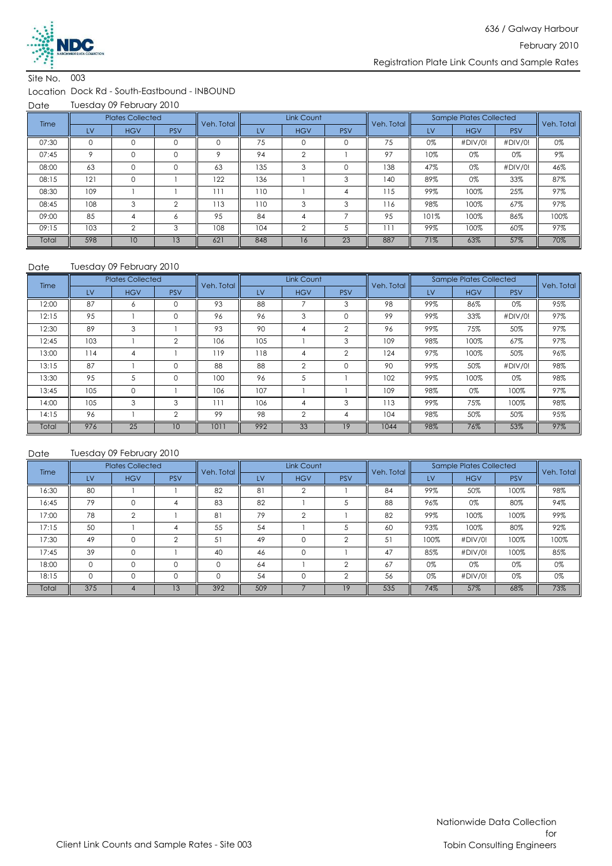

#### Location Dock Rd - South-Eastbound - INBOUND

Date Tuesday 09 February 2010

| Time  |         | <b>Plates Collected</b> |              | Veh. Total | Link Count |                |            | Veh. Total |      | <b>Sample Plates Collected</b> | Veh. Total |      |
|-------|---------|-------------------------|--------------|------------|------------|----------------|------------|------------|------|--------------------------------|------------|------|
|       | LV      | <b>HGV</b>              | <b>PSV</b>   |            | LV         | <b>HGV</b>     | <b>PSV</b> |            | LV   | <b>HGV</b>                     | <b>PSV</b> |      |
| 07:30 |         | 0                       |              |            | 75         |                |            | 75         | 0%   | #DIV/0!                        | #DIV/0!    | 0%   |
| 07:45 | $\circ$ | $\Omega$                | $\Omega$     | $\circ$    | 94         | $\Omega$       |            | 97         | 10%  | 0%                             | 0%         | 9%   |
| 08:00 | 63      | $\Omega$                | $\Omega$     | 63         | 135        | 3              |            | 138        | 47%  | 0%                             | #DIV/0!    | 46%  |
| 08:15 | 121     | 0                       |              | 122        | 136        |                | 3          | 140        | 89%  | 0%                             | 33%        | 87%  |
| 08:30 | 109     |                         |              | 111        | 110        |                | 4          | 115        | 99%  | 100%                           | 25%        | 97%  |
| 08:45 | 108     | 3                       | ⌒            | 113        | 110        | 3              | 3          | 116        | 98%  | 100%                           | 67%        | 97%  |
| 09:00 | 85      | 4                       | <sup>6</sup> | 95         | 84         | 4              |            | 95         | 101% | 100%                           | 86%        | 100% |
| 09:15 | 103     | $\overline{2}$          | 3            | 108        | 104        | $\overline{2}$ |            | 111        | 99%  | 100%                           | 60%        | 97%  |
| Total | 598     | 10                      | 13           | 621        | 848        | 16             | 23         | 887        | 71%  | 63%                            | 57%        | 70%  |

#### Date Tuesday 09 February 2010

| Time  |     | <b>Plates Collected</b> |                | Veh. Total |     | Link Count     |                | Veh. Total | <b>Sample Plates Collected</b> |            |            | Veh. Total |
|-------|-----|-------------------------|----------------|------------|-----|----------------|----------------|------------|--------------------------------|------------|------------|------------|
|       | LV  | <b>HGV</b>              | <b>PSV</b>     |            | LV  | <b>HGV</b>     | <b>PSV</b>     |            | LV                             | <b>HGV</b> | <b>PSV</b> |            |
| 12:00 | 87  | 6                       | 0              | 93         | 88  |                | 3              | 98         | 99%                            | 86%        | 0%         | 95%        |
| 12:15 | 95  |                         | 0              | 96         | 96  | 3              |                | 99         | 99%                            | 33%        | #DIV/0!    | 97%        |
| 12:30 | 89  | 3                       |                | 93         | 90  | 4              | $\overline{2}$ | 96         | 99%                            | 75%        | 50%        | 97%        |
| 12:45 | 103 |                         | $\overline{2}$ | 106        | 105 |                | 3              | 109        | 98%                            | 100%       | 67%        | 97%        |
| 13:00 | 114 | 4                       |                | 119        | 118 | 4              | $\overline{2}$ | 124        | 97%                            | 100%       | 50%        | 96%        |
| 13:15 | 87  |                         | 0              | 88         | 88  | $\overline{2}$ |                | 90         | 99%                            | 50%        | #DIV/0!    | 98%        |
| 13:30 | 95  | 5                       | 0              | 100        | 96  | 5              |                | 102        | 99%                            | 100%       | 0%         | 98%        |
| 13:45 | 105 | $\circ$                 |                | 106        | 107 |                |                | 109        | 98%                            | 0%         | 100%       | 97%        |
| 14:00 | 105 | 3                       | 3              | 111        | 106 | 4              | 3              | 113        | 99%                            | 75%        | 100%       | 98%        |
| 14:15 | 96  |                         | $\overline{2}$ | 99         | 98  | $\overline{2}$ | 4              | 104        | 98%                            | 50%        | 50%        | 95%        |
| Total | 976 | 25                      | 10             | 1011       | 992 | 33             | 19             | 1044       | 98%                            | 76%        | 53%        | 97%        |

| <b>Time</b> |     | <b>Plates Collected</b> |            | Veh. Total | Link Count |            |            | Veh. Total |      | <b>Sample Plates Collected</b> | Veh. Total |      |
|-------------|-----|-------------------------|------------|------------|------------|------------|------------|------------|------|--------------------------------|------------|------|
|             | LV  | <b>HGV</b>              | <b>PSV</b> |            | LV         | <b>HGV</b> | <b>PSV</b> |            | LV   | <b>HGV</b>                     | <b>PSV</b> |      |
| 16:30       | 80  |                         |            | 82         | 81         |            |            | 84         | 99%  | 50%                            | 100%       | 98%  |
| 16:45       | 79  | 0                       |            | 83         | 82         |            |            | 88         | 96%  | 0%                             | 80%        | 94%  |
| 17:00       | 78  | $\mathfrak{D}$          |            | 81         | 79         | $\Omega$   |            | 82         | 99%  | 100%                           | 100%       | 99%  |
| 17:15       | 50  |                         |            | 55         | 54         |            |            | 60         | 93%  | 100%                           | 80%        | 92%  |
| 17:30       | 49  |                         | C          | 51         | 49         |            | $\Omega$   | 51         | 100% | #DIV/0!                        | 100%       | 100% |
| 17:45       | 39  | $\Omega$                |            | 40         | 46         | $\Omega$   |            | 47         | 85%  | #DIV/0!                        | 100%       | 85%  |
| 18:00       | 0   | $\Omega$                | $\Omega$   | $\Omega$   | 64         |            | $\sim$     | 67         | 0%   | 0%                             | 0%         | 0%   |
| 18:15       | 0   | 0                       | 0          | $\Omega$   | 54         | $\Omega$   | $\Omega$   | 56         | 0%   | #DIV/0!                        | 0%         | 0%   |
| Total       | 375 |                         | 13         | 392        | 509        |            | 19         | 535        | 74%  | 57%                            | 68%        | 73%  |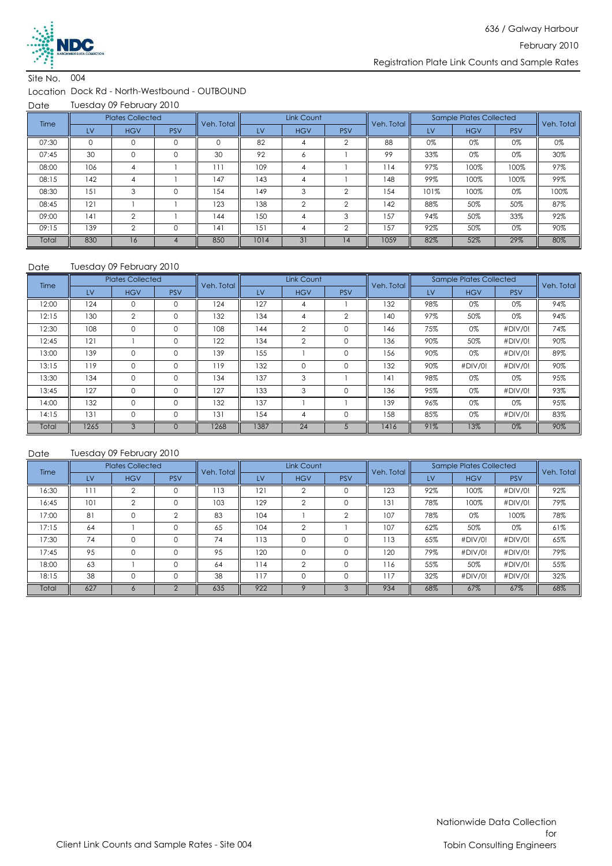

#### Location Dock Rd - North-Westbound - OUTBOUND

Date Tuesday 09 February 2010

| Time  |          | <b>Plates Collected</b> |            | Veh. Total |      | Link Count |            | Veh. Total |      | <b>Sample Plates Collected</b> |            | Veh. Total |
|-------|----------|-------------------------|------------|------------|------|------------|------------|------------|------|--------------------------------|------------|------------|
|       | LV       | <b>HGV</b>              | <b>PSV</b> |            | LV   | <b>HGV</b> | <b>PSV</b> |            | LV   | <b>HGV</b>                     | <b>PSV</b> |            |
| 07:30 | $\Omega$ |                         |            |            | 82   |            |            | 88         | 0%   | 0%                             | 0%         | 0%         |
| 07:45 | 30       | $\Omega$                | 0          | 30         | 92   | 6          |            | 99         | 33%  | 0%                             | 0%         | 30%        |
| 08:00 | 106      | 4                       |            | 111        | 109  | 4          |            | 114        | 97%  | 100%                           | 100%       | 97%        |
| 08:15 | 142      |                         |            | 147        | 143  |            |            | 148        | 99%  | 100%                           | 100%       | 99%        |
| 08:30 | 151      | 3                       |            | 154        | 149  | 3          | ◠          | 154        | 101% | 100%                           | 0%         | 100%       |
| 08:45 | 121      |                         |            | 123        | 138  | $\sim$     | $\sim$     | 142        | 88%  | 50%                            | 50%        | 87%        |
| 09:00 | 4        | ◠                       |            | 144        | 150  |            | $\sim$     | 157        | 94%  | 50%                            | 33%        | 92%        |
| 09:15 | 139      | $\mathfrak{D}$          |            | 4          | 151  |            | $\Omega$   | 157        | 92%  | 50%                            | 0%         | 90%        |
| Total | 830      | 16                      |            | 850        | 1014 | 31         | 4          | 1059       | 82%  | 52%                            | 29%        | 80%        |

#### Date Tuesday 09 February 2010

| Time  |      | <b>Plates Collected</b> |            | Veh. Total |      | Link Count     |                | Veh. Total |     | Sample Plates Collected |            | Veh. Total |
|-------|------|-------------------------|------------|------------|------|----------------|----------------|------------|-----|-------------------------|------------|------------|
|       | LV   | <b>HGV</b>              | <b>PSV</b> |            | LV   | <b>HGV</b>     | <b>PSV</b>     |            | LV  | <b>HGV</b>              | <b>PSV</b> |            |
| 12:00 | 124  | $\mathbf 0$             | 0          | 124        | 127  | 4              |                | 132        | 98% | 0%                      | 0%         | 94%        |
| 12:15 | 130  | $\overline{2}$          | $\Omega$   | 132        | 134  | 4              | $\overline{2}$ | 140        | 97% | 50%                     | 0%         | 94%        |
| 12:30 | 108  | $\mathbf 0$             | $\Omega$   | 108        | 144  | $\overline{2}$ | $\Omega$       | 146        | 75% | 0%                      | #DIV/0!    | 74%        |
| 12:45 | 121  |                         | $\Omega$   | 122        | 134  | $\overline{2}$ | $\Omega$       | 136        | 90% | 50%                     | #DIV/0!    | 90%        |
| 13:00 | 139  | $\mathbf 0$             | $\Omega$   | 139        | 155  |                | $\Omega$       | 156        | 90% | 0%                      | #DIV/0!    | 89%        |
| 13:15 | 119  | $\mathbf 0$             | 0          | 119        | 132  | $\mathbf 0$    | $\Omega$       | 132        | 90% | #DIV/0!                 | #DIV/0!    | 90%        |
| 13:30 | 134  | $\mathbf 0$             | 0          | 134        | 137  | 3              |                | 4          | 98% | 0%                      | 0%         | 95%        |
| 13:45 | 127  | $\mathbf 0$             | 0          | 127        | 133  | 3              | $\Omega$       | 136        | 95% | 0%                      | #DIV/0!    | 93%        |
| 14:00 | 132  | $\Omega$                | $\Omega$   | 132        | 137  |                |                | 139        | 96% | 0%                      | 0%         | 95%        |
| 14:15 | 131  | $\mathbf 0$             | $\Omega$   | 131        | 154  | 4              | $\Omega$       | 158        | 85% | 0%                      | #DIV/0!    | 83%        |
| Total | 1265 | 3                       | $\Omega$   | 1268       | 1387 | 24             |                | 1416       | 91% | 13%                     | 0%         | 90%        |

| Time  |     | <b>Plates Collected</b> |            | Veh. Total |     | Link Count |            | Veh. Total |     | <b>Sample Plates Collected</b> |            | Veh. Total |
|-------|-----|-------------------------|------------|------------|-----|------------|------------|------------|-----|--------------------------------|------------|------------|
|       | LV  | <b>HGV</b>              | <b>PSV</b> |            | LV  | <b>HGV</b> | <b>PSV</b> |            | LV  | <b>HGV</b>                     | <b>PSV</b> |            |
| 16:30 | 111 | ◠                       |            | 113        | 121 | ∩          |            | 123        | 92% | 100%                           | #DIV/0!    | 92%        |
| 16:45 | 101 | ◠                       |            | 103        | 129 | ◠          |            | 131        | 78% | 100%                           | #DIV/0!    | 79%        |
| 17:00 | 81  | 0                       | $\Omega$   | 83         | 104 |            |            | 107        | 78% | 0%                             | 100%       | 78%        |
| 17:15 | 64  |                         |            | 65         | 104 | ◠          |            | 107        | 62% | 50%                            | 0%         | 61%        |
| 17:30 | 74  | $\Omega$                |            | 74         | 113 | $\Omega$   |            | 113        | 65% | #DIV/0!                        | #DIV/0!    | 65%        |
| 17:45 | 95  | $\Omega$                | $\Omega$   | 95         | 120 | 0          |            | 120        | 79% | #DIV/0!                        | #DIV/0!    | 79%        |
| 18:00 | 63  |                         | $\Omega$   | 64         | 114 | $\Omega$   |            | 116        | 55% | 50%                            | #DIV/0!    | 55%        |
| 18:15 | 38  |                         |            | 38         | 117 |            |            | 117        | 32% | #DIV/0!                        | #DIV/0!    | 32%        |
| Total | 627 | C.                      | $\sim$     | 635        | 922 |            |            | 934        | 68% | 67%                            | 67%        | 68%        |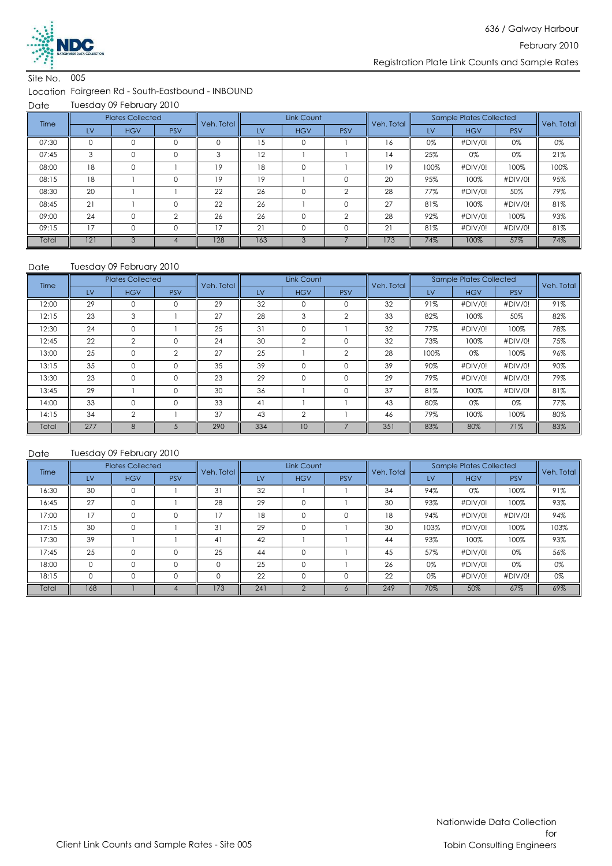

Location Fairgreen Rd - South-Eastbound - INBOUND

Date Tuesday 09 February 2010

| Time  |     | <b>Plates Collected</b> |                | Veh. Total |     | Link Count |            | Veh. Total |      | <b>Sample Plates Collected</b> |            | Veh. Total |
|-------|-----|-------------------------|----------------|------------|-----|------------|------------|------------|------|--------------------------------|------------|------------|
|       | LV  | <b>HGV</b>              | <b>PSV</b>     |            | LV  | <b>HGV</b> | <b>PSV</b> |            | LV   | <b>HGV</b>                     | <b>PSV</b> |            |
| 07:30 |     |                         |                |            | ۱5  |            |            | 16.        | 0%   | #DIV/0!                        | 0%         | 0%         |
| 07:45 | 3   | $\mathbf 0$             | 0              | 3          | 12  |            |            | 14         | 25%  | 0%                             | 0%         | 21%        |
| 08:00 | 18  | $\Omega$                |                | 19         | 18  | $\Omega$   |            | 19         | 100% | #DIV/0!                        | 100%       | 100%       |
| 08:15 | 18  |                         |                | 19         | 19  |            |            | 20         | 95%  | 100%                           | #DIV/0!    | 95%        |
| 08:30 | 20  |                         |                | 22         | 26  | 0          |            | 28         | 77%  | #DIV/0!                        | 50%        | 79%        |
| 08:45 | 21  |                         | $\Omega$       | 22         | 26  |            |            | 27         | 81%  | 100%                           | #DIV/0!    | 81%        |
| 09:00 | 24  | O                       | $\mathfrak{D}$ | 26         | 26  | $\Omega$   | $\Omega$   | 28         | 92%  | #DIV/0!                        | 100%       | 93%        |
| 09:15 | 17  | O                       | 0              | 17         | 21  | $\Omega$   |            | 21         | 81%  | #DIV/0!                        | #DIV/0!    | 81%        |
| Total | 121 | 3                       |                | 128        | 163 |            |            | 173        | 74%  | 100%                           | 57%        | 74%        |

#### Date Tuesday 09 February 2010

| Time  |     | <b>Plates Collected</b> |                | Veh. Total |     | Link Count      |                | Veh. Total |           | <b>Sample Plates Collected</b> |            | Veh. Total |
|-------|-----|-------------------------|----------------|------------|-----|-----------------|----------------|------------|-----------|--------------------------------|------------|------------|
|       | LV  | <b>HGV</b>              | <b>PSV</b>     |            | LV  | <b>HGV</b>      | <b>PSV</b>     |            | <b>LV</b> | <b>HGV</b>                     | <b>PSV</b> |            |
| 12:00 | 29  | $\Omega$                | 0              | 29         | 32  | $\Omega$        |                | 32         | 91%       | #DIV/0!                        | #DIV/0!    | 91%        |
| 12:15 | 23  | 3                       |                | 27         | 28  | 3               | $\overline{2}$ | 33         | 82%       | 100%                           | 50%        | 82%        |
| 12:30 | 24  | 0                       |                | 25         | 31  | $\Omega$        |                | 32         | 77%       | #DIV/0!                        | 100%       | 78%        |
| 12:45 | 22  | $\overline{2}$          | $\Omega$       | 24         | 30  | $\overline{2}$  | $\Omega$       | 32         | 73%       | 100%                           | #DIV/0!    | 75%        |
| 13:00 | 25  | $\Omega$                | $\overline{2}$ | 27         | 25  |                 | $\mathfrak{D}$ | 28         | 100%      | 0%                             | 100%       | 96%        |
| 13:15 | 35  | $\mathbf 0$             | 0              | 35         | 39  | $\Omega$        | $\Omega$       | 39         | 90%       | #DIV/0!                        | #DIV/0!    | 90%        |
| 13:30 | 23  | 0                       | 0              | 23         | 29  | $\Omega$        |                | 29         | 79%       | #DIV/0!                        | #DIV/0!    | 79%        |
| 13:45 | 29  |                         | 0              | 30         | 36  |                 | $\Omega$       | 37         | 81%       | 100%                           | #DIV/0!    | 81%        |
| 14:00 | 33  | $\Omega$                | 0              | 33         | 41  |                 |                | 43         | 80%       | 0%                             | 0%         | 77%        |
| 14:15 | 34  | 2                       |                | 37         | 43  | $\overline{2}$  |                | 46         | 79%       | 100%                           | 100%       | 80%        |
| Total | 277 | 8                       |                | 290        | 334 | 10 <sup>°</sup> |                | 351        | 83%       | 80%                            | 71%        | 83%        |

| Time  |          | <b>Plates Collected</b> |            | Veh. Total |     | Link Count |            | Veh. Total |      | <b>Sample Plates Collected</b> |            | Veh. Total |
|-------|----------|-------------------------|------------|------------|-----|------------|------------|------------|------|--------------------------------|------------|------------|
|       | LV       | <b>HGV</b>              | <b>PSV</b> |            | LV  | <b>HGV</b> | <b>PSV</b> |            | LV   | <b>HGV</b>                     | <b>PSV</b> |            |
| 16:30 | 30       | $\Omega$                |            | 31         | 32  |            |            | 34         | 94%  | 0%                             | 100%       | 91%        |
| 16:45 | 27       | 0                       |            | 28         | 29  |            |            | 30         | 93%  | #DIV/0!                        | 100%       | 93%        |
| 17:00 | 17       | $\mathbf 0$             | 0          | 17         | 18  | 0          |            | 18         | 94%  | #DIV/0!                        | #DIV/0!    | 94%        |
| 17:15 | 30       | $\Omega$                |            | 31         | 29  | 0          |            | 30         | 103% | #DIV/0!                        | 100%       | 103%       |
| 17:30 | 39       |                         |            | 41         | 42  |            |            | 44         | 93%  | 100%                           | 100%       | 93%        |
| 17:45 | 25       | $\Omega$                |            | 25         | 44  | 0          |            | 45         | 57%  | #DIV/0!                        | 0%         | 56%        |
| 18:00 | $\Omega$ | $\Omega$                | $\Omega$   | $\Omega$   | 25  | $\Omega$   |            | 26         | 0%   | #DIV/0!                        | 0%         | 0%         |
| 18:15 | 0        |                         |            | $\Omega$   | 22  |            |            | 22         | 0%   | #DIV/0!                        | #DIV/0!    | 0%         |
| Total | 168      |                         |            | 173        | 241 |            |            | 249        | 70%  | 50%                            | 67%        | 69%        |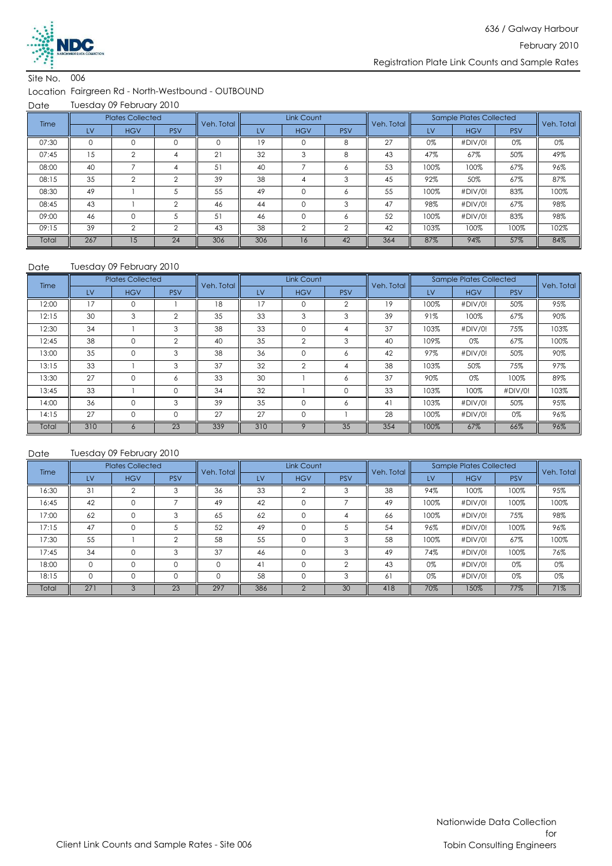

#### Location Fairgreen Rd - North-Westbound - OUTBOUND

Date Tuesday 09 February 2010

| Time  |          | <b>Plates Collected</b> |            | Veh. Total |     | Link Count      |            | Veh. Total |      | <b>Sample Plates Collected</b> |            | Veh. Total |
|-------|----------|-------------------------|------------|------------|-----|-----------------|------------|------------|------|--------------------------------|------------|------------|
|       | LV       | <b>HGV</b>              | <b>PSV</b> |            | LV  | <b>HGV</b>      | <b>PSV</b> |            | LV   | <b>HGV</b>                     | <b>PSV</b> |            |
| 07:30 | $\Omega$ | 0                       |            |            | 19  |                 | 8          | 27         | 0%   | #DIV/0!                        | 0%         | 0%         |
| 07:45 | 15       | $\mathfrak{D}$          |            | 21         | 32  |                 | 8          | 43         | 47%  | 67%                            | 50%        | 49%        |
| 08:00 | 40       |                         |            | 51         | 40  |                 | Ô          | 53         | 100% | 100%                           | 67%        | 96%        |
| 08:15 | 35       | $\sim$                  | $\Omega$   | 39         | 38  |                 |            | 45         | 92%  | 50%                            | 67%        | 87%        |
| 08:30 | 49       |                         |            | 55         | 49  |                 | Ô          | 55         | 100% | #DIV/0!                        | 83%        | 100%       |
| 08:45 | 43       |                         | $\sim$     | 46         | 44  | $\Omega$        | 3          | 47         | 98%  | #DIV/0!                        | 67%        | 98%        |
| 09:00 | 46       | $\Omega$                |            | 51         | 46  | $\Omega$        | Ô          | 52         | 100% | #DIV/0!                        | 83%        | 98%        |
| 09:15 | 39       | $\Omega$                | $\sim$     | 43         | 38  | $\Omega$        | $\sim$     | 42         | 103% | 100%                           | 100%       | 102%       |
| Total | 267      | 15                      | 24         | 306        | 306 | 16 <sup>7</sup> | 42         | 364        | 87%  | 94%                            | 57%        | 84%        |

#### Tuesday 09 February 2010

| Date  |     | Tuesday 09 February 2010 |                |            |     |                |                |            |      |                         |            |            |
|-------|-----|--------------------------|----------------|------------|-----|----------------|----------------|------------|------|-------------------------|------------|------------|
| Time  |     | <b>Plates Collected</b>  |                | Veh. Total |     | Link Count     |                | Veh. Total |      | Sample Plates Collected |            | Veh. Total |
|       | LV  | <b>HGV</b>               | <b>PSV</b>     |            | LV  | <b>HGV</b>     | <b>PSV</b>     |            | LV   | <b>HGV</b>              | <b>PSV</b> |            |
| 12:00 | 17  | $\Omega$                 |                | 18         | 17  | $\Omega$       | $\overline{2}$ | 19         | 100% | #DIV/0!                 | 50%        | 95%        |
| 12:15 | 30  | 3                        | $\overline{2}$ | 35         | 33  | 3              | 3              | 39         | 91%  | 100%                    | 67%        | 90%        |
| 12:30 | 34  |                          | 3              | 38         | 33  | $\mathbf 0$    | 4              | 37         | 103% | #DIV/0!                 | 75%        | 103%       |
| 12:45 | 38  | 0                        | $\overline{2}$ | 40         | 35  | $\overline{2}$ | 3              | 40         | 109% | 0%                      | 67%        | 100%       |
| 13:00 | 35  | $\Omega$                 | 3              | 38         | 36  | $\mathbf 0$    | 6              | 42         | 97%  | #DIV/0!                 | 50%        | 90%        |
| 13:15 | 33  |                          | 3              | 37         | 32  | $\overline{2}$ | 4              | 38         | 103% | 50%                     | 75%        | 97%        |
| 13:30 | 27  | $\Omega$                 | 6              | 33         | 30  |                | 6              | 37         | 90%  | 0%                      | 100%       | 89%        |
| 13:45 | 33  |                          | 0              | 34         | 32  |                | $\Omega$       | 33         | 103% | 100%                    | #DIV/0!    | 103%       |
| 14:00 | 36  | 0                        | 3              | 39         | 35  | $\Omega$       | 6              | 41         | 103% | #DIV/0!                 | 50%        | 95%        |
| 14:15 | 27  | 0                        | 0              | 27         | 27  | $\mathbf 0$    |                | 28         | 100% | #DIV/0!                 | 0%         | 96%        |
| Total | 310 | $\sigma$                 | 23             | 339        | 310 | Q              | 35             | 354        | 100% | 67%                     | 66%        | 96%        |

| Time  |          | <b>Plates Collected</b> |            | Veh. Total l |           | Link Count |            | Veh. Total |      | <b>Sample Plates Collected</b> |            | Veh. Total |
|-------|----------|-------------------------|------------|--------------|-----------|------------|------------|------------|------|--------------------------------|------------|------------|
|       | LV       | <b>HGV</b>              | <b>PSV</b> |              | <b>LV</b> | <b>HGV</b> | <b>PSV</b> |            | LV   | <b>HGV</b>                     | <b>PSV</b> |            |
| 16:30 | 31       | C                       | 3          | 36           | 33        | ≘          | 3          | 38         | 94%  | 100%                           | 100%       | 95%        |
| 16:45 | 42       | 0                       | ⇁          | 49           | 42        | 0          |            | 49         | 100% | #DIV/0!                        | 100%       | 100%       |
| 17:00 | 62       | $\mathbf 0$             | 3          | 65           | 62        | $\Omega$   |            | 66         | 100% | #DIV/0!                        | 75%        | 98%        |
| 17:15 | 47       | $\Omega$                |            | 52           | 49        | $\Omega$   |            | 54         | 96%  | #DIV/0!                        | 100%       | 96%        |
| 17:30 | 55       |                         | 2          | 58           | 55        | $\Omega$   | 3          | 58         | 100% | #DIV/0!                        | 67%        | 100%       |
| 17:45 | 34       | $\mathbf 0$             | 3          | 37           | 46        | $\Omega$   | 3          | 49         | 74%  | #DIV/0!                        | 100%       | 76%        |
| 18:00 | $\Omega$ | $\Omega$                | 0          | $\Omega$     | 41        | $\Omega$   | $\sim$     | 43         | 0%   | #DIV/0!                        | 0%         | 0%         |
| 18:15 | 0        | $\Omega$                | 0          | $\Omega$     | 58        | $\Omega$   | 3          | 61         | 0%   | #DIV/0!                        | 0%         | 0%         |
| Total | 271      |                         | 23         | 297          | 386       |            | 30         | 418        | 70%  | 150%                           | 77%        | 71%        |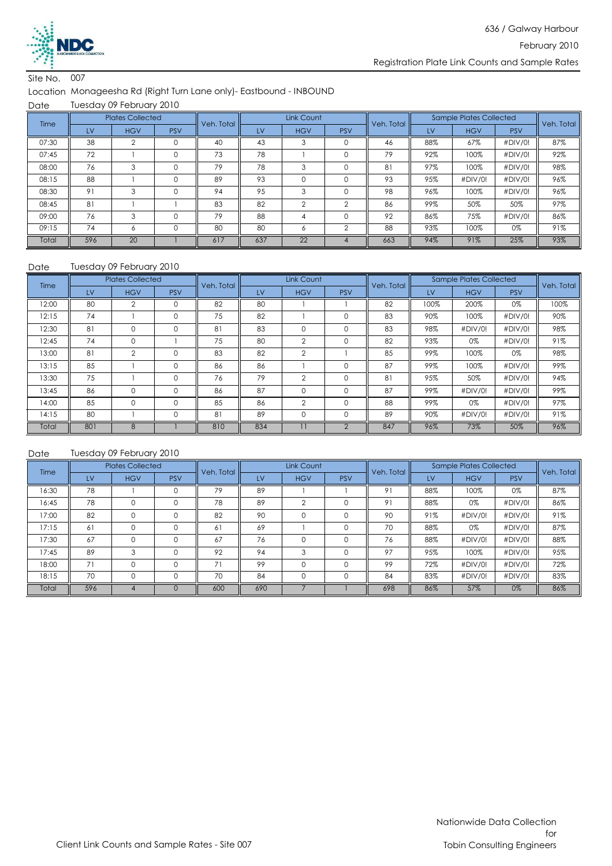

#### Location Monageesha Rd (Right Turn Lane only)- Eastbound - INBOUND

Date Tuesday 09 February 2010

| Time  |     | <b>Plates Collected</b> |            | Veh. Total |     | Link Count |            | Veh. Total |     | <b>Sample Plates Collected</b> |            | Veh. Total |
|-------|-----|-------------------------|------------|------------|-----|------------|------------|------------|-----|--------------------------------|------------|------------|
|       | LV  | <b>HGV</b>              | <b>PSV</b> |            | LV  | <b>HGV</b> | <b>PSV</b> |            | LV  | <b>HGV</b>                     | <b>PSV</b> |            |
| 07:30 | 38  |                         |            | 40         | 43  |            |            | 46         | 88% | 67%                            | #DIV/0!    | 87%        |
| 07:45 | 72  |                         | 0          | 73         | 78  |            |            | 79         | 92% | 100%                           | #DIV/0!    | 92%        |
| 08:00 | 76  | 3                       | $\Omega$   | 79         | 78  | 3          |            | 81         | 97% | 100%                           | #DIV/0!    | 98%        |
| 08:15 | 88  |                         |            | 89         | 93  |            |            | 93         | 95% | #DIV/0!                        | #DIV/0!    | 96%        |
| 08:30 | 91  | 3                       | 0          | 94         | 95  | 3          |            | 98         | 96% | 100%                           | #DIV/0!    | 96%        |
| 08:45 | 81  |                         |            | 83         | 82  | $\Omega$   | $\sim$     | 86         | 99% | 50%                            | 50%        | 97%        |
| 09:00 | 76  | 3                       | $\Omega$   | 79         | 88  |            |            | 92         | 86% | 75%                            | #DIV/0!    | 86%        |
| 09:15 | 74  | 6                       |            | 80         | 80  | 6          | ◠          | 88         | 93% | 100%                           | 0%         | 91%        |
| Total | 596 | 20                      |            | 617        | 637 | 22         |            | 663        | 94% | 91%                            | 25%        | 93%        |

#### Date Tuesday 09 February 2010

| Time  |     | <b>Plates Collected</b> |             | Veh. Total |     | Link Count     |            | Veh. Total |      | Sample Plates Collected |            | Veh. Total |
|-------|-----|-------------------------|-------------|------------|-----|----------------|------------|------------|------|-------------------------|------------|------------|
|       | LV  | <b>HGV</b>              | <b>PSV</b>  |            | LV  | <b>HGV</b>     | <b>PSV</b> |            | LV   | <b>HGV</b>              | <b>PSV</b> |            |
| 12:00 | 80  | 2                       |             | 82         | 80  |                |            | 82         | 100% | 200%                    | 0%         | 100%       |
| 12:15 | 74  |                         | $\mathbf 0$ | 75         | 82  |                | $\Omega$   | 83         | 90%  | 100%                    | #DIV/0!    | 90%        |
| 12:30 | 81  | $\mathbf 0$             | 0           | 81         | 83  | $\Omega$       | $\Omega$   | 83         | 98%  | #DIV/0!                 | #DIV/0!    | 98%        |
| 12:45 | 74  | $\Omega$                |             | 75         | 80  | $\overline{2}$ |            | 82         | 93%  | 0%                      | #DIV/0!    | 91%        |
| 13:00 | 81  | $\mathfrak{p}$          | $\Omega$    | 83         | 82  | $\mathfrak{D}$ |            | 85         | 99%  | 100%                    | 0%         | 98%        |
| 13:15 | 85  |                         | 0           | 86         | 86  |                | $\Omega$   | 87         | 99%  | 100%                    | #DIV/0!    | 99%        |
| 13:30 | 75  |                         | 0           | 76         | 79  | $\overline{2}$ | $\Omega$   | 81         | 95%  | 50%                     | #DIV/0!    | 94%        |
| 13:45 | 86  | 0                       | 0           | 86         | 87  | $\Omega$       |            | 87         | 99%  | #DIV/0!                 | #DIV/0!    | 99%        |
| 14:00 | 85  | $\Omega$                | $\Omega$    | 85         | 86  | $\mathfrak{p}$ | $\Omega$   | 88         | 99%  | 0%                      | #DIV/0!    | 97%        |
| 14:15 | 80  |                         | $\Omega$    | 81         | 89  | $\Omega$       | $\Omega$   | 89         | 90%  | #DIV/0!                 | #DIV/0!    | 91%        |
| Total | 801 | 8                       |             | 810        | 834 |                |            | 847        | 96%  | 73%                     | 50%        | 96%        |

| <b>Time</b> |     | <b>Plates Collected</b> |            | Veh. Total |     | Link Count |            | Veh. Total |     | Sample Plates Collected |            | Veh. Total |
|-------------|-----|-------------------------|------------|------------|-----|------------|------------|------------|-----|-------------------------|------------|------------|
|             | LV  | <b>HGV</b>              | <b>PSV</b> |            | LV  | <b>HGV</b> | <b>PSV</b> |            | LV  | <b>HGV</b>              | <b>PSV</b> |            |
| 16:30       | 78  |                         |            | 79         | 89  |            |            | 91         | 88% | 100%                    | 0%         | 87%        |
| 16:45       | 78  | 0                       |            | 78         | 89  | $\Omega$   |            | 91         | 88% | 0%                      | #DIV/0!    | 86%        |
| 17:00       | 82  | $\Omega$                | $\Omega$   | 82         | 90  | $\Omega$   |            | 90         | 91% | #DIV/0!                 | #DIV/0!    | 91%        |
| 17:15       | 61  | $\Omega$                |            | 61         | 69  |            |            | 70         | 88% | 0%                      | #DIV/0!    | 87%        |
| 17:30       | 67  | $\Omega$                |            | 67         | 76  | $\Omega$   |            | 76         | 88% | #DIV/0!                 | #DIV/0!    | 88%        |
| 17:45       | 89  | 3                       | $\Omega$   | 92         | 94  | 3          |            | 97         | 95% | 100%                    | #DIV/0!    | 95%        |
| 18:00       | 71  | $\Omega$                | $\Omega$   | 71         | 99  | $\Omega$   |            | 99         | 72% | #DIV/0!                 | #DIV/0!    | 72%        |
| 18:15       | 70  | $\Omega$                |            | 70         | 84  |            |            | 84         | 83% | #DIV/0!                 | #DIV/0!    | 83%        |
| Total       | 596 |                         |            | 600        | 690 |            |            | 698        | 86% | 57%                     | 0%         | 86%        |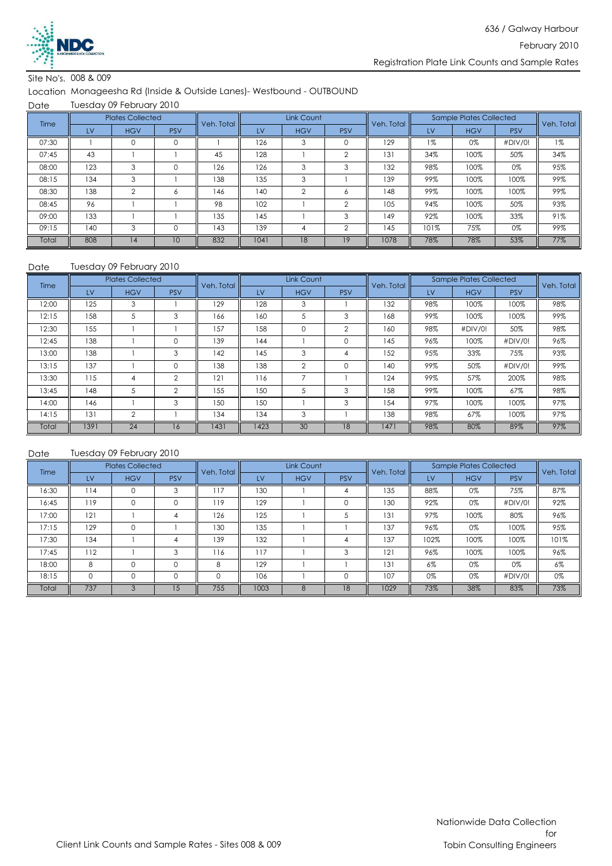

Site No's. 008 & 009

### Location Monageesha Rd (Inside & Outside Lanes)- Westbound - OUTBOUND

**Date** Tuesday 09 February 2010

| Time  |     | <b>Plates Collected</b> |            | Veh. Total |      | Link Count     |            | Veh. Total |       | <b>Sample Plates Collected</b> |            | Veh. Total |
|-------|-----|-------------------------|------------|------------|------|----------------|------------|------------|-------|--------------------------------|------------|------------|
|       | LV  | <b>HGV</b>              | <b>PSV</b> |            | LV   | <b>HGV</b>     | <b>PSV</b> |            | LV    | <b>HGV</b>                     | <b>PSV</b> |            |
| 07:30 |     | $\Omega$                | 0          |            | 126  | 3              |            | 129        | $1\%$ | 0%                             | #DIV/0!    | $1\%$      |
| 07:45 | 43  |                         |            | 45         | 128  |                | $\sim$     | 131        | 34%   | 100%                           | 50%        | 34%        |
| 08:00 | 123 | 3                       |            | 126        | 126  | 3              | 3          | 132        | 98%   | 100%                           | 0%         | 95%        |
| 08:15 | 134 | 3                       |            | 138        | 135  | 3              |            | 139        | 99%   | 100%                           | 100%       | 99%        |
| 08:30 | 138 | $\overline{2}$          | Ô.         | 146        | 140  | $\overline{2}$ | Ô          | 148        | 99%   | 100%                           | 100%       | 99%        |
| 08:45 | 96  |                         |            | 98         | 102  |                | $\sim$     | 105        | 94%   | 100%                           | 50%        | 93%        |
| 09:00 | 133 |                         |            | 135        | 145  |                | 3          | 149        | 92%   | 100%                           | 33%        | 91%        |
| 09:15 | 140 | 3                       | 0          | 143        | 139  | 4              | $\Omega$   | 145        | 101%  | 75%                            | 0%         | 99%        |
| Total | 808 | 14                      | 10         | 832        | 1041 | 18             | 19         | 1078       | 78%   | 78%                            | 53%        | 77%        |

#### Date Tuesday 09 February 2010

| Time  |      | <b>Plates Collected</b> |                | Veh. Total |      | Link Count     |            | Veh. Total |     | <b>Sample Plates Collected</b> |            | Veh. Total |
|-------|------|-------------------------|----------------|------------|------|----------------|------------|------------|-----|--------------------------------|------------|------------|
|       | LV   | <b>HGV</b>              | <b>PSV</b>     |            | LV   | <b>HGV</b>     | <b>PSV</b> |            | LV  | <b>HGV</b>                     | <b>PSV</b> |            |
| 12:00 | 125  | 3                       |                | 129        | 128  | 3              |            | 132        | 98% | 100%                           | 100%       | 98%        |
| 12:15 | 158  | 5                       | 3              | 166        | 160  | 5              | 3          | 168        | 99% | 100%                           | 100%       | 99%        |
| 12:30 | 155  |                         |                | 157        | 158  | 0              | 2          | 160        | 98% | #DIV/0!                        | 50%        | 98%        |
| 12:45 | 138  |                         | 0              | 139        | 144  |                |            | 145        | 96% | 100%                           | #DIV/0!    | 96%        |
| 13:00 | 138  |                         | 3              | 142        | 145  | 3              | 4          | 152        | 95% | 33%                            | 75%        | 93%        |
| 13:15 | 137  |                         | 0              | 138        | 138  | $\overline{2}$ | $\Omega$   | 140        | 99% | 50%                            | #DIV/0!    | 99%        |
| 13:30 | 115  | 4                       | $\overline{2}$ | 121        | 116  | $\overline{ }$ |            | 124        | 99% | 57%                            | 200%       | 98%        |
| 13:45 | 148  | 5                       | 2              | 155        | 150  | 5              | 3          | 158        | 99% | 100%                           | 67%        | 98%        |
| 14:00 | 146  |                         | 3              | 150        | 150  |                | 3          | 154        | 97% | 100%                           | 100%       | 97%        |
| 14:15 | 131  | $\overline{2}$          |                | 134        | 134  | 3              |            | 138        | 98% | 67%                            | 100%       | 97%        |
| Total | 1391 | 24                      | 16             | 1431       | 1423 | 30             | 18         | 1471       | 98% | 80%                            | 89%        | 97%        |

| Time  |          | <b>Plates Collected</b> |            | Veh. Total |      | Link Count |            | Veh. Total |       | <b>Sample Plates Collected</b> |            | Veh. Total |
|-------|----------|-------------------------|------------|------------|------|------------|------------|------------|-------|--------------------------------|------------|------------|
|       | LV       | <b>HGV</b>              | <b>PSV</b> |            | LV   | <b>HGV</b> | <b>PSV</b> |            | LV    | <b>HGV</b>                     | <b>PSV</b> |            |
| 16:30 | 114      |                         | 3          | 117        | 130  |            |            | 135        | 88%   | 0%                             | 75%        | 87%        |
| 16:45 | 119      | 0                       |            | 119        | 129  |            |            | 130        | 92%   | 0%                             | #DIV/0!    | 92%        |
| 17:00 | 121      |                         | 4          | 126        | 125  |            |            | 131        | 97%   | 100%                           | 80%        | 96%        |
| 17:15 | 129      | $\mathbf 0$             |            | 130        | 135  |            |            | 137        | 96%   | 0%                             | 100%       | 95%        |
| 17:30 | 134      |                         |            | 139        | 132  |            |            | 137        | 102%  | 100%                           | 100%       | 101%       |
| 17:45 | 112      |                         | 3          | 116        | 117  |            | 3          | 121        | 96%   | 100%                           | 100%       | 96%        |
| 18:00 | 8        | $\Omega$                | 0          | 8          | 129  |            |            | 131        | $6\%$ | 0%                             | 0%         | 6%         |
| 18:15 | $\Omega$ | 0                       | 0          | $\Omega$   | 106  |            |            | 107        | 0%    | 0%                             | #DIV/0!    | 0%         |
| Total | 737      | 3                       | 15         | 755        | 1003 | 8          | 18         | 1029       | 73%   | 38%                            | 83%        | 73%        |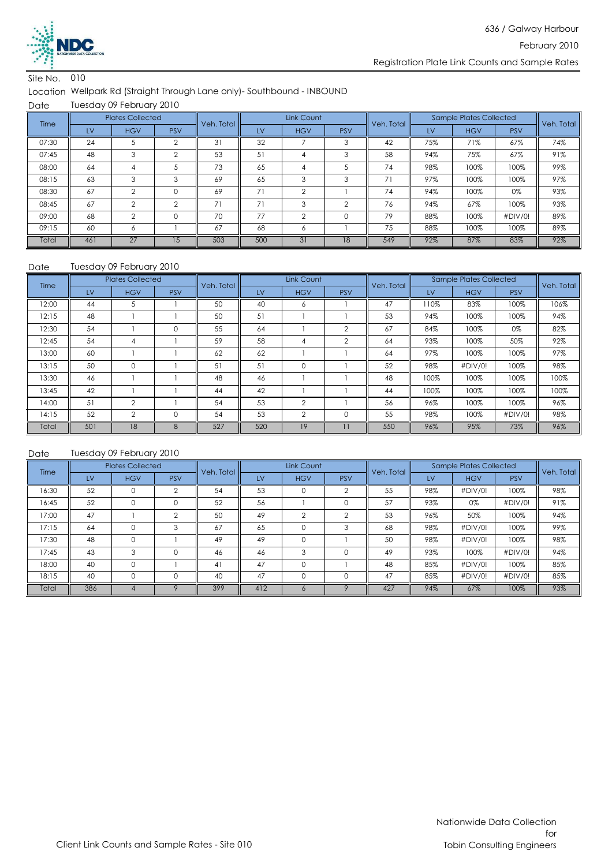

#### Location Wellpark Rd (Straight Through Lane only)- Southbound - INBOUND

Date Tuesday 09 February 2010

| Time  |     | <b>Plates Collected</b> |            | Veh. Total |           | Link Count |            | Veh. Total |     | <b>Sample Plates Collected</b> |            | Veh. Total |
|-------|-----|-------------------------|------------|------------|-----------|------------|------------|------------|-----|--------------------------------|------------|------------|
|       | LV  | <b>HGV</b>              | <b>PSV</b> |            | <b>LV</b> | <b>HGV</b> | <b>PSV</b> |            | LV  | <b>HGV</b>                     | <b>PSV</b> |            |
| 07:30 | 24  |                         |            | 31         | 32        |            |            | 42         | 75% | 71%                            | 67%        | 74%        |
| 07:45 | 48  | 3                       | $\sim$     | 53         | 51        | 4          | 3          | 58         | 94% | 75%                            | 67%        | 91%        |
| 08:00 | 64  | 4                       |            | 73         | 65        | 4          |            | 74         | 98% | 100%                           | 100%       | 99%        |
| 08:15 | 63  | 3                       | 3          | 69         | 65        | 3          | 3          | 71         | 97% | 100%                           | 100%       | 97%        |
| 08:30 | 67  | $\mathfrak{D}$          | 0          | 69         | 71        | $\sim$     |            | 74         | 94% | 100%                           | 0%         | 93%        |
| 08:45 | 67  | $\mathfrak{D}$          | $\Omega$   | 71         | 71        | 3          | $\sim$     | 76         | 94% | 67%                            | 100%       | 93%        |
| 09:00 | 68  | $\overline{2}$          | $\Omega$   | 70         | 77        | $\Omega$   | $\Omega$   | 79         | 88% | 100%                           | #DIV/0!    | 89%        |
| 09:15 | 60  | 6                       |            | 67         | 68        | 6          |            | 75         | 88% | 100%                           | 100%       | 89%        |
| Total | 461 | 27                      | 15         | 503        | 500       | 31         | 18         | 549        | 92% | 87%                            | 83%        | 92%        |

#### Tuesday 09 February 2010

| Date  |     | Tuesday 09 February 2010 |            |            |           |                |                |            |      |                                |            |            |
|-------|-----|--------------------------|------------|------------|-----------|----------------|----------------|------------|------|--------------------------------|------------|------------|
| Time  |     | <b>Plates Collected</b>  |            | Veh. Total |           | Link Count     |                | Veh. Total |      | <b>Sample Plates Collected</b> |            | Veh. Total |
|       | LV  | <b>HGV</b>               | <b>PSV</b> |            | <b>LV</b> | <b>HGV</b>     | <b>PSV</b>     |            | LV   | <b>HGV</b>                     | <b>PSV</b> |            |
| 12:00 | 44  | 5                        |            | 50         | 40        | 6              |                | 47         | 110% | 83%                            | 100%       | 106%       |
| 12:15 | 48  |                          |            | 50         | 51        |                |                | 53         | 94%  | 100%                           | 100%       | 94%        |
| 12:30 | 54  |                          | 0          | 55         | 64        |                | $\overline{2}$ | 67         | 84%  | 100%                           | 0%         | 82%        |
| 12:45 | 54  | 4                        |            | 59         | 58        | 4              | 2              | 64         | 93%  | 100%                           | 50%        | 92%        |
| 13:00 | 60  |                          |            | 62         | 62        |                |                | 64         | 97%  | 100%                           | 100%       | 97%        |
| 13:15 | 50  | 0                        |            | 51         | 51        | $\mathbf 0$    |                | 52         | 98%  | #DIV/0!                        | 100%       | 98%        |
| 13:30 | 46  |                          |            | 48         | 46        |                |                | 48         | 100% | 100%                           | 100%       | 100%       |
| 13:45 | 42  |                          |            | 44         | 42        |                |                | 44         | 100% | 100%                           | 100%       | 100%       |
| 14:00 | 51  | $\overline{2}$           |            | 54         | 53        | $\overline{2}$ |                | 56         | 96%  | 100%                           | 100%       | 96%        |
| 14:15 | 52  | $\overline{2}$           | 0          | 54         | 53        | $\overline{2}$ | 0              | 55         | 98%  | 100%                           | #DIV/0!    | 98%        |
| Total | 501 | 18                       | 8          | 527        | 520       | 19             |                | 550        | 96%  | 95%                            | 73%        | 96%        |

| Time  |     | <b>Plates Collected</b> |            | Veh. Total |     | Link Count     |            | Veh. Total |     | <b>Sample Plates Collected</b> |            | Veh. Total |
|-------|-----|-------------------------|------------|------------|-----|----------------|------------|------------|-----|--------------------------------|------------|------------|
|       | LV  | <b>HGV</b>              | <b>PSV</b> |            | LV  | <b>HGV</b>     | <b>PSV</b> |            | LV  | <b>HGV</b>                     | <b>PSV</b> |            |
| 16:30 | 52  |                         | $\Omega$   | 54         | 53  | 0              |            | 55         | 98% | #DIV/0!                        | 100%       | 98%        |
| 16:45 | 52  | 0                       |            | 52         | 56  |                |            | 57         | 93% | 0%                             | #DIV/0!    | 91%        |
| 17:00 | 47  |                         | $\Omega$   | 50         | 49  | $\overline{2}$ |            | 53         | 96% | 50%                            | 100%       | 94%        |
| 17:15 | 64  | $\Omega$                | 3          | 67         | 65  |                | 3          | 68         | 98% | #DIV/0!                        | 100%       | 99%        |
| 17:30 | 48  | $\Omega$                |            | 49         | 49  | $\Omega$       |            | 50         | 98% | #DIV/0!                        | 100%       | 98%        |
| 17:45 | 43  | 3                       | $\Omega$   | 46         | 46  | 3              |            | 49         | 93% | 100%                           | #DIV/0!    | 94%        |
| 18:00 | 40  | $\Omega$                |            | 41         | 47  | $\Omega$       |            | 48         | 85% | #DIV/0!                        | 100%       | 85%        |
| 18:15 | 40  | $\Omega$                |            | 40         | 47  |                |            | 47         | 85% | #DIV/0!                        | #DIV/0!    | 85%        |
| Total | 386 |                         |            | 399        | 412 | C              |            | 427        | 94% | 67%                            | 100%       | 93%        |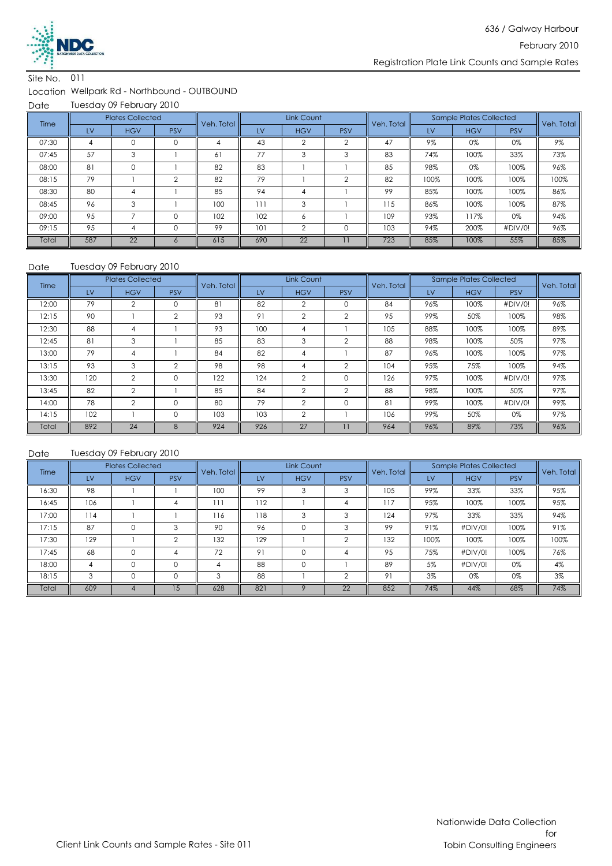

#### Location Wellpark Rd - Northbound - OUTBOUND

Date Tuesday 09 February 2010

| Time  |     | <b>Plates Collected</b> |            | Veh. Total |     | Link Count     |            | Veh. Total |      | <b>Sample Plates Collected</b> |            | Veh. Total |
|-------|-----|-------------------------|------------|------------|-----|----------------|------------|------------|------|--------------------------------|------------|------------|
|       | LV  | <b>HGV</b>              | <b>PSV</b> |            | LV  | <b>HGV</b>     | <b>PSV</b> |            | LV   | <b>HGV</b>                     | <b>PSV</b> |            |
| 07:30 | 4   | 0                       | 0          |            | 43  |                |            | 47         | 9%   | 0%                             | 0%         | 9%         |
| 07:45 | 57  | 3                       |            | 61         | 77  | 3              | 3          | 83         | 74%  | 100%                           | 33%        | 73%        |
| 08:00 | 81  | $\Omega$                |            | 82         | 83  |                |            | 85         | 98%  | 0%                             | 100%       | 96%        |
| 08:15 | 79  |                         | ⌒          | 82         | 79  |                | $\sim$     | 82         | 100% | 100%                           | 100%       | 100%       |
| 08:30 | 80  | 4                       |            | 85         | 94  | 4              |            | 99         | 85%  | 100%                           | 100%       | 86%        |
| 08:45 | 96  | 3                       |            | 100        | 111 | 3              |            | 115        | 86%  | 100%                           | 100%       | 87%        |
| 09:00 | 95  |                         | $\Omega$   | 102        | 102 | 6              |            | 109        | 93%  | 117%                           | 0%         | 94%        |
| 09:15 | 95  | 4                       | $\Omega$   | 99         | 101 | $\overline{2}$ | 0          | 103        | 94%  | 200%                           | #DIV/0!    | 96%        |
| Total | 587 | 22                      |            | 615        | 690 | 22             |            | 723        | 85%  | 100%                           | 55%        | 85%        |

#### Date Tuesday 09 February 2010

| Time  |           | <b>Plates Collected</b> |                | Veh. Total |     | Link Count     |                | Veh. Total |     | <b>Sample Plates Collected</b> |            | Veh. Total |
|-------|-----------|-------------------------|----------------|------------|-----|----------------|----------------|------------|-----|--------------------------------|------------|------------|
|       | <b>LV</b> | <b>HGV</b>              | <b>PSV</b>     |            | LV  | <b>HGV</b>     | <b>PSV</b>     |            | LV  | <b>HGV</b>                     | <b>PSV</b> |            |
| 12:00 | 79        | $\mathfrak{p}$          |                | 81         | 82  | $\mathfrak{p}$ |                | 84         | 96% | 100%                           | #DIV/0!    | 96%        |
| 12:15 | 90        |                         | $\overline{2}$ | 93         | 91  | $\mathfrak{D}$ | $\mathfrak{D}$ | 95         | 99% | 50%                            | 100%       | 98%        |
| 12:30 | 88        | 4                       |                | 93         | 100 | 4              |                | 105        | 88% | 100%                           | 100%       | 89%        |
| 12:45 | 81        | 3                       |                | 85         | 83  | 3              | 2              | 88         | 98% | 100%                           | 50%        | 97%        |
| 13:00 | 79        | 4                       |                | 84         | 82  | 4              |                | 87         | 96% | 100%                           | 100%       | 97%        |
| 13:15 | 93        | 3                       | $\overline{2}$ | 98         | 98  | 4              | $\overline{2}$ | 104        | 95% | 75%                            | 100%       | 94%        |
| 13:30 | 120       | $\overline{2}$          | 0              | 122        | 124 | $\overline{2}$ | 0              | 126        | 97% | 100%                           | #DIV/0!    | 97%        |
| 13:45 | 82        | $\overline{2}$          |                | 85         | 84  | $\overline{2}$ | 2              | 88         | 98% | 100%                           | 50%        | 97%        |
| 14:00 | 78        | $\mathfrak{D}$          |                | 80         | 79  | $\mathfrak{D}$ |                | 81         | 99% | 100%                           | #DIV/0!    | 99%        |
| 14:15 | 102       |                         | $\Omega$       | 103        | 103 | $\overline{2}$ |                | 106        | 99% | 50%                            | 0%         | 97%        |
| Total | 892       | 24                      | 8              | 924        | 926 | 27             |                | 964        | 96% | 89%                            | 73%        | 96%        |

| Time  |     | <b>Plates Collected</b> |            | Veh. Total |     | Link Count |            | Veh. Total |      | <b>Sample Plates Collected</b> |            | Veh. Total |
|-------|-----|-------------------------|------------|------------|-----|------------|------------|------------|------|--------------------------------|------------|------------|
|       | LV  | <b>HGV</b>              | <b>PSV</b> |            | LV  | <b>HGV</b> | <b>PSV</b> |            | LV   | <b>HGV</b>                     | <b>PSV</b> |            |
| 16:30 | 98  |                         |            | 100        | 99  | З          |            | 105        | 99%  | 33%                            | 33%        | 95%        |
| 16:45 | 106 |                         | 4          | 111        | 112 |            |            | 117        | 95%  | 100%                           | 100%       | 95%        |
| 17:00 | 114 |                         |            | 116        | 118 | 3          | 3          | 124        | 97%  | 33%                            | 33%        | 94%        |
| 17:15 | 87  | $\Omega$                | 3          | 90         | 96  | $\Omega$   | 3          | 99         | 91%  | #DIV/0!                        | 100%       | 91%        |
| 17:30 | 129 |                         | C          | 132        | 129 |            | $\Omega$   | 132        | 100% | 100%                           | 100%       | 100%       |
| 17:45 | 68  | $\mathbf 0$             | 4          | 72         | 91  |            |            | 95         | 75%  | #DIV/0!                        | 100%       | 76%        |
| 18:00 | 4   | $\Omega$                | 0          | 4          | 88  | $\Omega$   |            | 89         | 5%   | #DIV/0!                        | 0%         | 4%         |
| 18:15 | 3   | $\Omega$                |            | 3          | 88  |            | $\sim$     | 91         | 3%   | 0%                             | 0%         | 3%         |
| Total | 609 |                         | 1.5        | 628        | 821 |            | 22         | 852        | 74%  | 44%                            | 68%        | 74%        |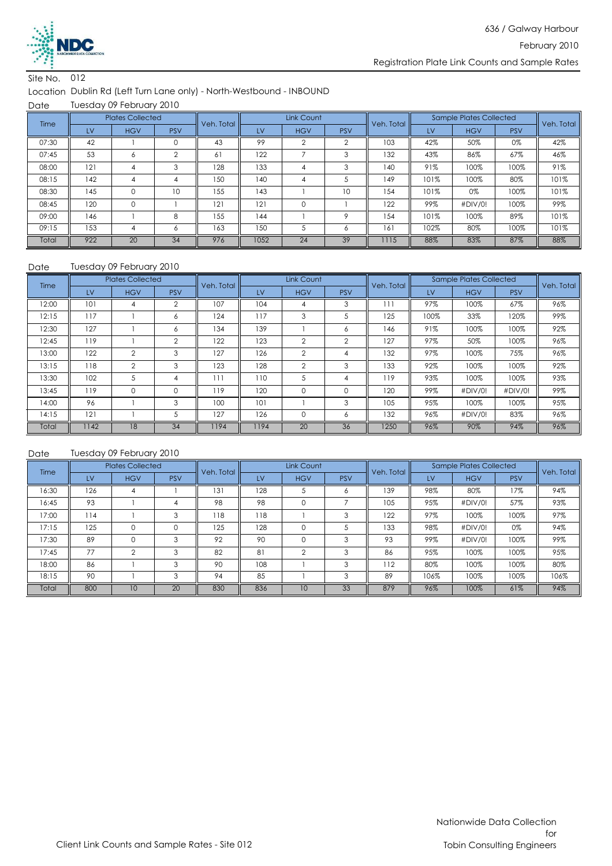

#### Location Dublin Rd (Left Turn Lane only) - North-Westbound - INBOUND

Date Tuesday 09 February 2010

| Time  |     | <b>Plates Collected</b> |            | Veh. Total |      | Link Count |            | Veh. Total |      | Sample Plates Collected |            | Veh. Total |
|-------|-----|-------------------------|------------|------------|------|------------|------------|------------|------|-------------------------|------------|------------|
|       | LV  | <b>HGV</b>              | <b>PSV</b> |            | LV   | <b>HGV</b> | <b>PSV</b> |            | LV   | <b>HGV</b>              | <b>PSV</b> |            |
| 07:30 | 42  |                         | 0          | 43         | 99   |            | $\sim$     | 103        | 42%  | 50%                     | 0%         | 42%        |
| 07:45 | 53  | 6                       | $\Omega$   | 61         | 122  |            | 3          | 132        | 43%  | 86%                     | 67%        | 46%        |
| 08:00 | 121 | 4                       | 3          | 128        | 133  |            | 3          | 140        | 91%  | 100%                    | 100%       | 91%        |
| 08:15 | 142 | 4                       |            | 150        | 140  | 4          |            | 149        | 101% | 100%                    | 80%        | 101%       |
| 08:30 | 145 | $\Omega$                | 10         | 155        | 143  |            | 10         | 154        | 101% | 0%                      | 100%       | 101%       |
| 08:45 | 120 | $\Omega$                |            | 121        | 121  | $\Omega$   |            | 122        | 99%  | #DIV/0!                 | 100%       | 99%        |
| 09:00 | 146 |                         | 8          | 155        | 144  |            | $\circ$    | 154        | 101% | 100%                    | 89%        | 101%       |
| 09:15 | 153 | 4                       | Ô          | 163        | 150  |            | Ô          | 161        | 102% | 80%                     | 100%       | 101%       |
| Total | 922 | 20                      | 34         | 976        | 1052 | 24         | 39         | 1115       | 88%  | 83%                     | 87%        | 88%        |

#### Date Tuesday 09 February 2010

| Time  |           | <b>Plates Collected</b> |                | Veh. Total |      | Link Count     |                | Veh. Total |      | Sample Plates Collected |            | Veh. Total |
|-------|-----------|-------------------------|----------------|------------|------|----------------|----------------|------------|------|-------------------------|------------|------------|
|       | <b>LV</b> | <b>HGV</b>              | <b>PSV</b>     |            | LV   | <b>HGV</b>     | <b>PSV</b>     |            | LV   | <b>HGV</b>              | <b>PSV</b> |            |
| 12:00 | 101       | 4                       | $\mathfrak{D}$ | 107        | 104  | 4              | 3              |            | 97%  | 100%                    | 67%        | 96%        |
| 12:15 | 117       |                         | 6              | 124        | 117  | 3              | 5              | 125        | 100% | 33%                     | 120%       | 99%        |
| 12:30 | 127       |                         | 6              | 134        | 139  |                | 6              | 146        | 91%  | 100%                    | 100%       | 92%        |
| 12:45 | 119       |                         | $\mathfrak{D}$ | 122        | 123  | $\overline{2}$ | $\mathfrak{D}$ | 127        | 97%  | 50%                     | 100%       | 96%        |
| 13:00 | 122       | $\mathfrak{D}$          | 3              | 127        | 126  | $\mathfrak{D}$ | 4              | 132        | 97%  | 100%                    | 75%        | 96%        |
| 13:15 | 118       | $\overline{2}$          | 3              | 123        | 128  | $\overline{2}$ | 3              | 133        | 92%  | 100%                    | 100%       | 92%        |
| 13:30 | 102       | 5                       | 4              | 111        | 110  | 5              | 4              | 119        | 93%  | 100%                    | 100%       | 93%        |
| 13:45 | 119       | $\mathbf 0$             | 0              | 119        | 120  | $\mathbf 0$    |                | 120        | 99%  | #DIV/0!                 | #DIV/0!    | 99%        |
| 14:00 | 96        |                         | 3              | 100        | 101  |                | 3              | 105        | 95%  | 100%                    | 100%       | 95%        |
| 14:15 | 121       |                         | 5              | 127        | 126  | $\Omega$       | <sup>6</sup>   | 132        | 96%  | #DIV/0!                 | 83%        | 96%        |
| Total | 142       | 18                      | 34             | 1194       | 1194 | 20             | 36             | 1250       | 96%  | 90%                     | 94%        | 96%        |

| Time  |     | <b>Plates Collected</b> |            | Veh. Total |     | Link Count |            | Veh. Total |      | <b>Sample Plates Collected</b> |            | Veh. Total |
|-------|-----|-------------------------|------------|------------|-----|------------|------------|------------|------|--------------------------------|------------|------------|
|       | LV  | <b>HGV</b>              | <b>PSV</b> |            | LV  | <b>HGV</b> | <b>PSV</b> |            | LV   | <b>HGV</b>                     | <b>PSV</b> |            |
| 16:30 | 126 |                         |            | 131        | 128 | Э          |            | 139        | 98%  | 80%                            | 7%         | 94%        |
| 16:45 | 93  |                         |            | 98         | 98  |            |            | 105        | 95%  | #DIV/0!                        | 57%        | 93%        |
| 17:00 | 114 |                         | 3          | 118        | 118 |            | 3          | 122        | 97%  | 100%                           | 100%       | 97%        |
| 17:15 | 125 | $\Omega$                |            | 125        | 128 |            |            | 133        | 98%  | #DIV/0!                        | 0%         | 94%        |
| 17:30 | 89  | $\Omega$                | 3          | 92         | 90  |            | 3          | 93         | 99%  | #DIV/0!                        | 100%       | 99%        |
| 17:45 | 77  | $\Omega$                | 3          | 82         | 81  | C          | 3          | 86         | 95%  | 100%                           | 100%       | 95%        |
| 18:00 | 86  |                         | 3          | 90         | 108 |            | ঽ          | 112        | 80%  | 100%                           | 100%       | 80%        |
| 18:15 | 90  |                         | 3          | 94         | 85  |            | 3          | 89         | 106% | 100%                           | 100%       | 106%       |
| Total | 800 | 10                      | 20         | 830        | 836 | 10         | 33         | 879        | 96%  | 100%                           | 61%        | 94%        |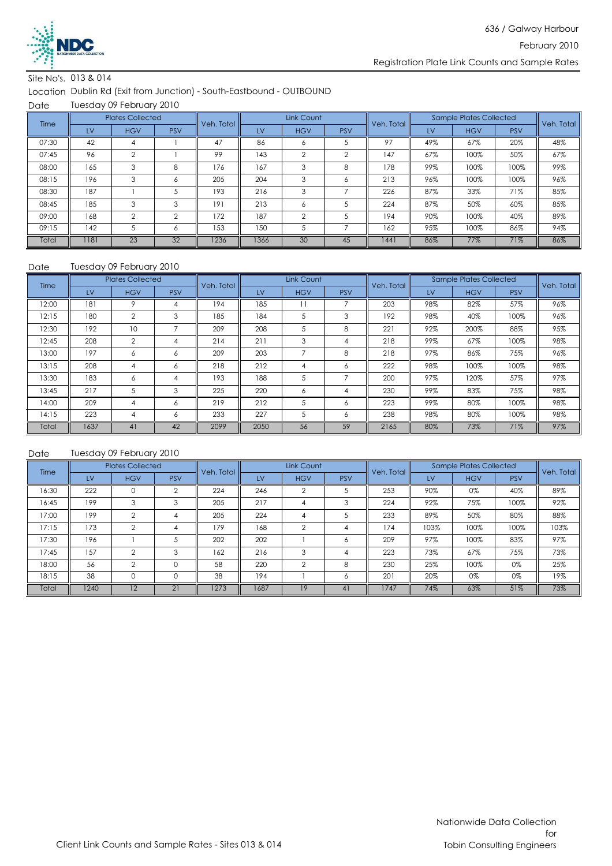

#### Site No's. 013 & 014

Location Dublin Rd (Exit from Junction) - South-Eastbound - OUTBOUND

Date Tuesday 09 February 2010

| Time  |      | <b>Plates Collected</b> |            | Link Count<br>Veh. Total |      | <b>Sample Plates Collected</b><br>Veh. Total |            |      | Veh. Total |            |            |     |
|-------|------|-------------------------|------------|--------------------------|------|----------------------------------------------|------------|------|------------|------------|------------|-----|
|       | LV   | <b>HGV</b>              | <b>PSV</b> |                          | LV   | <b>HGV</b>                                   | <b>PSV</b> |      | LV         | <b>HGV</b> | <b>PSV</b> |     |
| 07:30 | 42   |                         |            | 47                       | 86   | Ô                                            |            | 97   | 49%        | 67%        | 20%        | 48% |
| 07:45 | 96   | $\overline{2}$          |            | 99                       | 143  | $\overline{2}$                               | $\sim$     | 147  | 67%        | 100%       | 50%        | 67% |
| 08:00 | 165  | 3                       | 8          | 176                      | 167  | 3                                            | 8          | 178  | 99%        | 100%       | 100%       | 99% |
| 08:15 | 196  | 3                       | Ô.         | 205                      | 204  | 3                                            | Ô.         | 213  | 96%        | 100%       | 100%       | 96% |
| 08:30 | 187  |                         |            | 193                      | 216  | 3                                            |            | 226  | 87%        | 33%        | 71%        | 85% |
| 08:45 | 185  | 3                       | 3          | 191                      | 213  | 6                                            |            | 224  | 87%        | 50%        | 60%        | 85% |
| 09:00 | 168  | $\overline{2}$          | $\Omega$   | 172                      | 187  | $\mathfrak{p}$                               |            | 194  | 90%        | 100%       | 40%        | 89% |
| 09:15 | 142  |                         | Ô          | 153                      | 150  |                                              |            | 162  | 95%        | 100%       | 86%        | 94% |
| Total | 1181 | 23                      | 32         | 1236                     | 1366 | 30                                           | 45         | 1441 | 86%        | 77%        | 71%        | 86% |

#### Date Tuesday 09 February 2010

| Time  |           | <b>Plates Collected</b> |            | Veh. Total |           | Link Count |            | Veh. Total |     | <b>Sample Plates Collected</b> |            | Veh. Total |  |
|-------|-----------|-------------------------|------------|------------|-----------|------------|------------|------------|-----|--------------------------------|------------|------------|--|
|       | <b>LV</b> | <b>HGV</b>              | <b>PSV</b> |            | <b>LV</b> | <b>HGV</b> | <b>PSV</b> |            | LV  | <b>HGV</b>                     | <b>PSV</b> |            |  |
| 12:00 | 181       | 9                       |            | 194        | 185       |            |            | 203        | 98% | 82%                            | 57%        | 96%        |  |
| 12:15 | 180       | $\overline{2}$          | 3          | 185        | 184       | 5          | 3          | 192        | 98% | 40%                            | 100%       | 96%        |  |
| 12:30 | 192       | 10                      | ⇁          | 209        | 208       | 5          | 8          | 221        | 92% | 200%                           | 88%        | 95%        |  |
| 12:45 | 208       | $\overline{2}$          | 4          | 214        | 211       | 3          | 4          | 218        | 99% | 67%                            | 100%       | 98%        |  |
| 13:00 | 197       | 6                       | 6          | 209        | 203       |            | 8          | 218        | 97% | 86%                            | 75%        | 96%        |  |
| 13:15 | 208       | 4                       | 6          | 218        | 212       | 4          | 6          | 222        | 98% | 100%                           | 100%       | 98%        |  |
| 13:30 | 183       | 6                       | 4          | 193        | 188       | 5          |            | 200        | 97% | 120%                           | 57%        | 97%        |  |
| 13:45 | 217       | G                       | 3          | 225        | 220       | 6          | 4          | 230        | 99% | 83%                            | 75%        | 98%        |  |
| 14:00 | 209       | 4                       | 6          | 219        | 212       | 5          | 6          | 223        | 99% | 80%                            | 100%       | 98%        |  |
| 14:15 | 223       | 4                       | 6          | 233        | 227       | 5          | Ô.         | 238        | 98% | 80%                            | 100%       | 98%        |  |
| Total | 1637      | 41                      | 42         | 2099       | 2050      | 56         | 59         | 2165       | 80% | 73%                            | 71%        | 97%        |  |

| Time  |      | <b>Plates Collected</b> |                | Veh. Total |      | Link Count |                | Veh. Total |      | <b>Sample Plates Collected</b> |            | Veh. Total |
|-------|------|-------------------------|----------------|------------|------|------------|----------------|------------|------|--------------------------------|------------|------------|
|       | LV   | <b>HGV</b>              | <b>PSV</b>     |            | LV   | <b>HGV</b> | <b>PSV</b>     |            | LV   | <b>HGV</b>                     | <b>PSV</b> |            |
| 16:30 | 222  |                         | $\mathfrak{D}$ | 224        | 246  | っ          |                | 253        | 90%  | 0%                             | 40%        | 89%        |
| 16:45 | 199  | 3                       | 3              | 205        | 217  | 4          | 3              | 224        | 92%  | 75%                            | 100%       | 92%        |
| 17:00 | 199  | $\Omega$                | 4              | 205        | 224  | 4          |                | 233        | 89%  | 50%                            | 80%        | 88%        |
| 17:15 | 173  | $\mathfrak{D}$          |                | 179        | 168  | $\Omega$   |                | 174        | 103% | 100%                           | 100%       | 103%       |
| 17:30 | 196  |                         |                | 202        | 202  |            | 6              | 209        | 97%  | 100%                           | 83%        | 97%        |
| 17:45 | 157  | $\Omega$                | 3              | 162        | 216  | 3          |                | 223        | 73%  | 67%                            | 75%        | 73%        |
| 18:00 | 56   | $\mathcal{P}$           | 0              | 58         | 220  | $\Omega$   | 8              | 230        | 25%  | 100%                           | 0%         | 25%        |
| 18:15 | 38   |                         |                | 38         | 194  |            | <sup>6</sup>   | 201        | 20%  | 0%                             | 0%         | 19%        |
| Total | 1240 | 12                      | 21             | 1273       | 1687 | 19         | 4 <sup>1</sup> | 1747       | 74%  | 63%                            | 51%        | 73%        |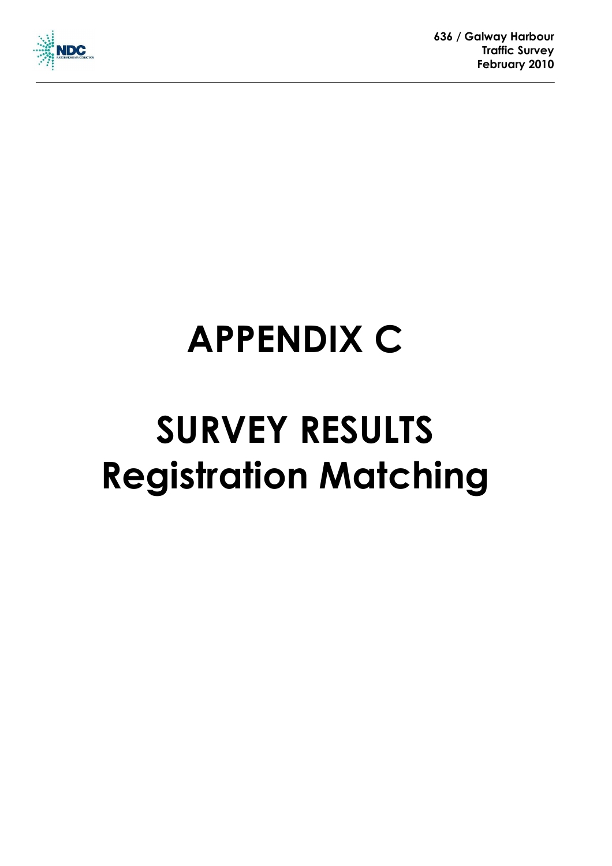

## **APPENDIX C**

## **SURVEY RESULTS Registration Matching**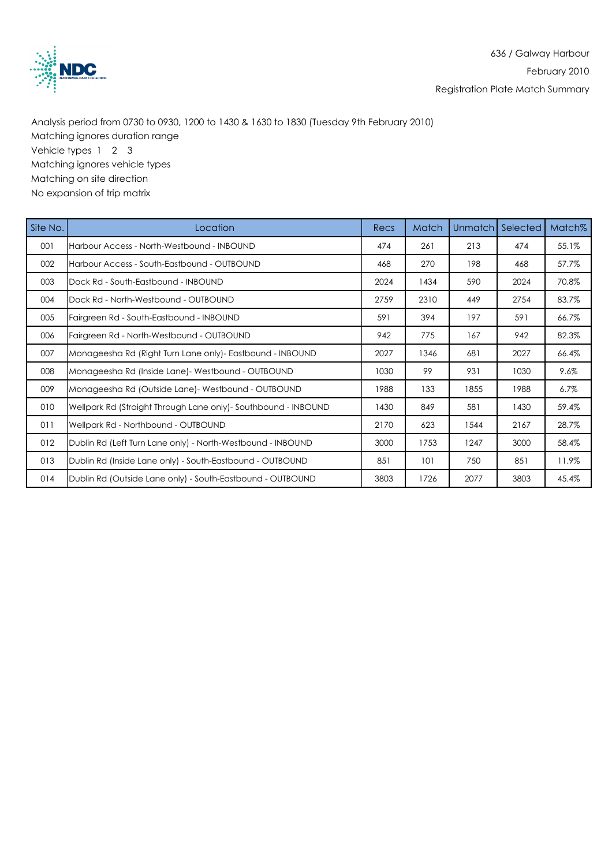

 Analysis period from 0730 to 0930, 1200 to 1430 & 1630 to 1830 (Tuesday 9th February 2010) Matching ignores duration range Vehicle types 1 2 3 Matching ignores vehicle types Matching on site direction No expansion of trip matrix

| Site No. | Location                                                        | Recs | Match | Unmatch | Selected | Match <sub>%</sub> |
|----------|-----------------------------------------------------------------|------|-------|---------|----------|--------------------|
| 001      | Harbour Access - North-Westbound - INBOUND                      | 474  | 261   | 213     | 474      | 55.1%              |
| 002      | Harbour Access - South-Eastbound - OUTBOUND                     | 468  | 270   | 198     | 468      | 57.7%              |
| 003      | Dock Rd - South-Eastbound - INBOUND                             | 2024 | 1434  | 590     | 2024     | 70.8%              |
| 004      | Dock Rd - North-Westbound - OUTBOUND                            | 2759 | 2310  | 449     | 2754     | 83.7%              |
| 005      | Fairgreen Rd - South-Eastbound - INBOUND                        | 591  | 394   | 197     | 591      | 66.7%              |
| 006      | Fairgreen Rd - North-Westbound - OUTBOUND                       | 942  | 775   | 167     | 942      | 82.3%              |
| 007      | Monageesha Rd (Right Turn Lane only) - Eastbound - INBOUND      | 2027 | 1346  | 681     | 2027     | 66.4%              |
| 008      | Monageesha Rd (Inside Lane) - Westbound - OUTBOUND              | 1030 | 99    | 931     | 1030     | 9.6%               |
| 009      | Monageesha Rd (Outside Lane) - Westbound - OUTBOUND             | 1988 | 133   | 1855    | 1988     | $6.7\%$            |
| 010      | Wellpark Rd (Straight Through Lane only) - Southbound - INBOUND | 1430 | 849   | 581     | 1430     | 59.4%              |
| 011      | Wellpark Rd - Northbound - OUTBOUND                             | 2170 | 623   | 1544    | 2167     | 28.7%              |
| 012      | Dublin Rd (Left Turn Lane only) - North-Westbound - INBOUND     | 3000 | 1753  | 1247    | 3000     | 58.4%              |
| 013      | Dublin Rd (Inside Lane only) - South-Eastbound - OUTBOUND       | 851  | 101   | 750     | 851      | 11.9%              |
| 014      | Dublin Rd (Outside Lane only) - South-Eastbound - OUTBOUND      | 3803 | 1726  | 2077    | 3803     | 45.4%              |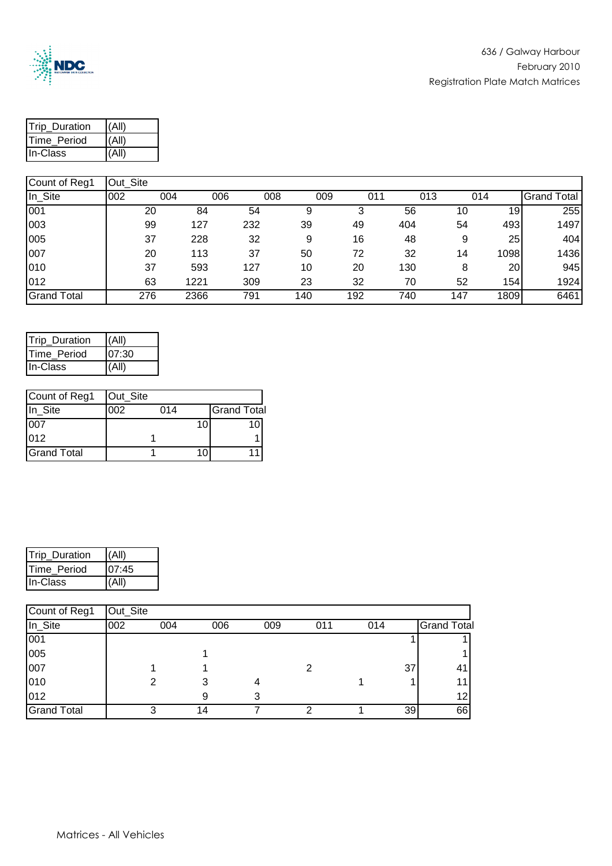

| <b>Trip Duration</b> | (AII) |
|----------------------|-------|
| Time_Period          | (A  ) |
| In-Class             | (A  ) |

| In_Site            | 002 | 004 |      | 006 | 008 | 009 | 011 | 013 | 014  | <b>Grand Total</b> |
|--------------------|-----|-----|------|-----|-----|-----|-----|-----|------|--------------------|
| 001                |     | 20  | 84   | 54  | 9   |     | 56  | 10  | 19   | 255                |
| 003                |     | 99  | 127  | 232 | 39  | 49  | 404 | 54  | 493  | 1497               |
| 005                |     | 37  | 228  | 32  | 9   | 16  | 48  | 9   | 25   | 404                |
| 007                |     | 20  | 113  | 37  | 50  | 72  | 32  | 14  | 1098 | 1436               |
| 010                |     | 37  | 593  | 127 | 10  | 20  | 130 |     | 20   | 945                |
| 012                |     | 63  | 1221 | 309 | 23  | 32  | 70  | 52  | 154  | 1924               |
| <b>Grand Total</b> |     | 276 | 2366 | 791 | 140 | 192 | 740 | 147 | 1809 | 6461               |

| Trip_Duration | (All) |
|---------------|-------|
| Time_Period   | 07:30 |
| In-Class      | (All) |

| Count of Reg1      | Out_Site |     |    |                    |
|--------------------|----------|-----|----|--------------------|
| In Site            | 002      | 014 |    | <b>Grand Total</b> |
| 007                |          |     | 10 |                    |
| 012                |          |     |    |                    |
| <b>Grand Total</b> |          |     |    |                    |

| Trip_Duration | (AII) |
|---------------|-------|
| Time_Period   | 07:45 |
| In-Class      | (AII) |

| Count of Reg1      | Out_Site |     |     |     |     |     |    |                    |
|--------------------|----------|-----|-----|-----|-----|-----|----|--------------------|
| In_Site            | 002      | 004 | 006 | 009 | 011 | 014 |    | <b>Grand Total</b> |
| 001                |          |     |     |     |     |     |    |                    |
| 005                |          |     |     |     |     |     |    |                    |
| 007                |          |     |     |     |     |     | 37 | 41                 |
| 010                |          |     |     | 4   |     |     |    | 11                 |
| 012                |          |     |     |     |     |     |    | 12 <sub>1</sub>    |
| <b>Grand Total</b> |          | ◠   | 14  |     | ◠   |     | 39 | 66                 |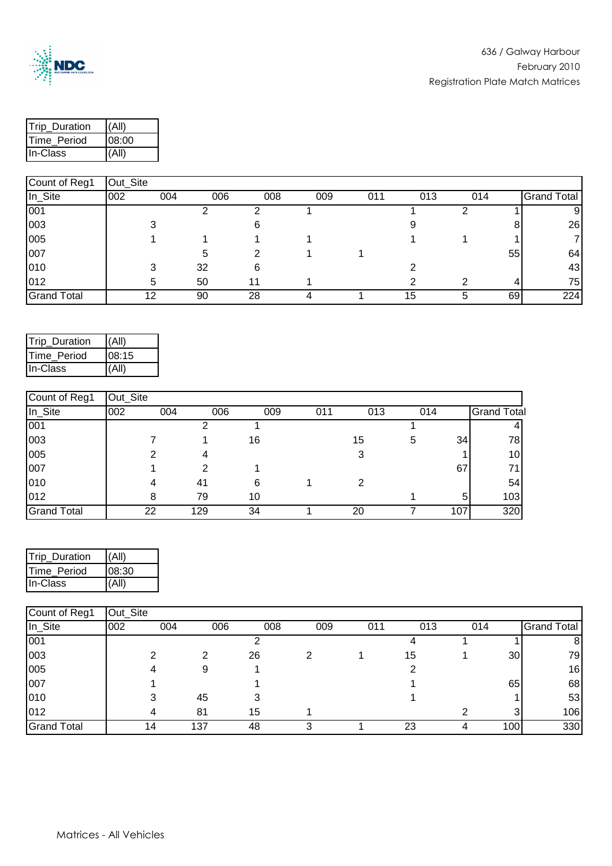

| <b>Trip Duration</b> | I(All) |  |  |  |
|----------------------|--------|--|--|--|
| Time_Period          | 08:00  |  |  |  |
| <b>I</b> In-Class    | (AII)  |  |  |  |

## Count of Reg1 | Out\_Site In\_Site 002 004 006 008 009 011 013 014 Grand Total 001 2 2 1 1 2 1 9 003 3 6 9 8 26 005 | 1 1 1 1 1 1 1 1 1 7 007 5 2 1 1 55 64 010 3 32 6 2 43 012 5 50 11 1 2 2 4 75 Grand Total 12 90 28 4 1 15 5 69 224

| Trip_Duration | (AII) |
|---------------|-------|
| Time Period   | 08:15 |
| In-Class      | (A  ) |

| Count of Reg1      | Out Site |     |     |     |     |     |     |     |                    |
|--------------------|----------|-----|-----|-----|-----|-----|-----|-----|--------------------|
| In_Site            | 002      | 004 | 006 | 009 | 011 | 013 | 014 |     | <b>Grand Total</b> |
| 001                |          |     |     |     |     |     |     |     |                    |
| 003                |          |     |     | 16  |     | 15  | 5   | 34  | 78                 |
| 005                |          |     |     |     |     | 3   |     |     | 10 <sub>l</sub>    |
| 007                |          |     |     |     |     |     |     | 67  | 71                 |
| 010                |          |     | 41  | 6   |     | 2   |     |     | 54                 |
| 012                |          | 8   | 79  | 10  |     |     |     | 5   | 103                |
| <b>Grand Total</b> |          | 22  | 129 | 34  |     | 20  |     | 107 | 320                |

| Trip_Duration | (A  ) |
|---------------|-------|
| Time_Period   | 08:30 |
| In-Class      | (AII) |

| Count of Reg1      | Out_Site |     |     |     |     |     |     |     |     |                    |
|--------------------|----------|-----|-----|-----|-----|-----|-----|-----|-----|--------------------|
| In_Site            | 002      | 004 | 006 | 008 | 009 | 011 | 013 | 014 |     | <b>Grand Total</b> |
| 001                |          |     |     |     |     |     |     |     |     | ŏ                  |
| 003                |          | ◠   | ົ   | 26  |     |     | 15  |     | 30  | 79                 |
| 005                |          |     | 9   |     |     |     |     |     |     | 16                 |
| 007                |          |     |     |     |     |     |     |     | 65  | 68                 |
| 010                |          |     | 45  |     |     |     |     |     |     | 53                 |
| 012                |          |     | 81  | 15  |     |     |     |     |     | 106                |
| <b>Grand Total</b> |          | 14  | 137 | 48  |     |     | 23  |     | 100 | 330                |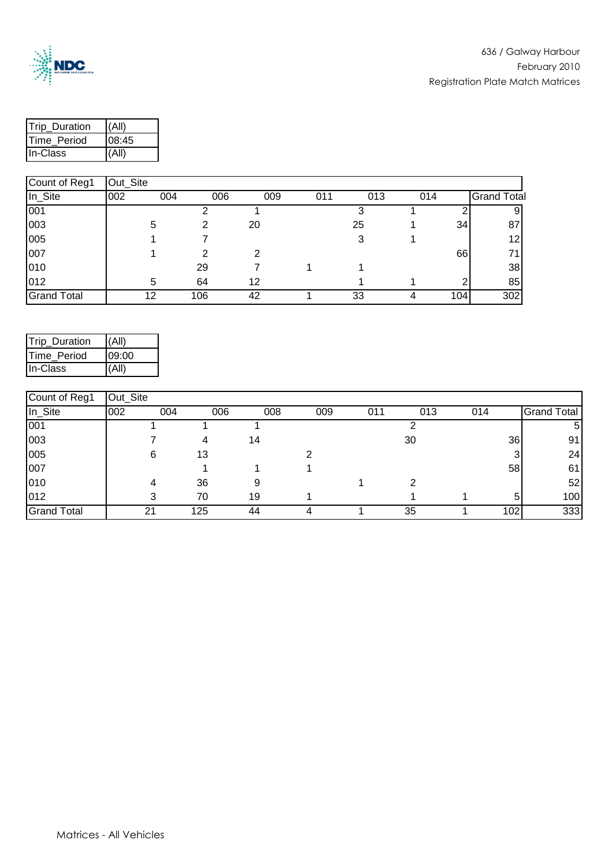

| <b>Trip Duration</b> |       |  |  |  |
|----------------------|-------|--|--|--|
| Time_Period          | 08:45 |  |  |  |
| <b>I</b> In-Class    |       |  |  |  |

| Count of Reg1      | Out_Site |     |     |     |     |     |     |     |                    |
|--------------------|----------|-----|-----|-----|-----|-----|-----|-----|--------------------|
| In_Site            | 002      | 004 | 006 | 009 | 011 | 013 | 014 |     | <b>Grand Total</b> |
| 001                |          |     |     |     |     |     |     |     |                    |
| 003                |          | 5   |     | 20  |     | 25  |     | 34  | 87                 |
| 005                |          |     |     |     |     | 3   |     |     | 12                 |
| 007                |          |     | っ   | 2   |     |     |     | 66  | 71                 |
| 010                |          |     | 29  |     |     |     |     |     | 38                 |
| 012                |          | 5   | 64  | 12  |     |     |     |     | 85                 |
| <b>Grand Total</b> |          | 12  | 106 | 42  |     | 33  |     | 104 | 302                |

| Trip_Duration | (AII) |
|---------------|-------|
| Time_Period   | 09:00 |
| In-Class      | (AII) |

| Count of Reg1      | Out_Site |     |     |     |     |     |     |     |     |                    |
|--------------------|----------|-----|-----|-----|-----|-----|-----|-----|-----|--------------------|
| In_Site            | 002      | 004 | 006 | 008 | 009 | 011 | 013 | 014 |     | <b>Grand Total</b> |
| 001                |          |     |     |     |     |     |     |     |     | 5                  |
| 003                |          |     | 4   | 14  |     |     | 30  |     | 36  | 91                 |
| 005                |          | 6   | 13  |     |     |     |     |     |     | 24                 |
| 007                |          |     |     |     |     |     |     |     | 58  | 61                 |
| 010                |          |     | 36  | 9   |     |     |     |     |     | 52                 |
| 012                |          | ◠   | 70  | 19  |     |     |     |     | 5   | 100                |
| <b>Grand Total</b> |          | 21  | 125 | 44  | 4   |     | 35  |     | 102 | 333                |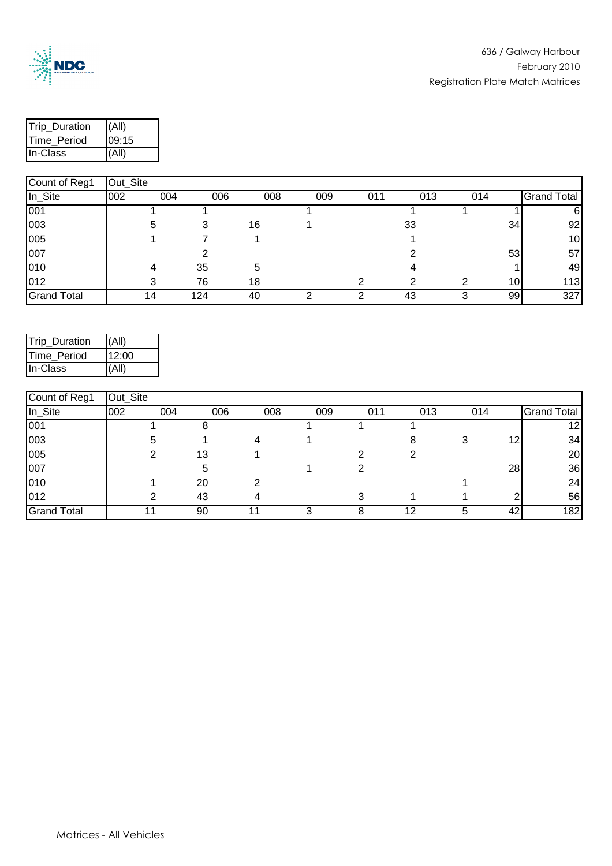

| <b>Trip Duration</b> | (All) |  |  |  |
|----------------------|-------|--|--|--|
| Time_Period          | 09:15 |  |  |  |
| <b>I</b> In-Class    | (All) |  |  |  |

| Count of Reg1      | Out_Site |     |     |     |     |     |     |     |     |             |
|--------------------|----------|-----|-----|-----|-----|-----|-----|-----|-----|-------------|
| In_Site            | 002      | 004 | 006 | 008 | 009 | 011 | 013 | 014 |     | Grand Total |
| 001                |          |     |     |     |     |     |     |     |     | 6           |
| 003                |          | 5   |     | 16  |     |     | 33  |     | 34  | 92          |
| 005                |          |     |     |     |     |     |     |     |     | 10          |
| 007                |          |     |     |     |     |     |     |     | 53  | 57          |
| 010                |          | Δ   | 35  | 5   |     |     |     |     |     | 49          |
| 012                |          |     | 76  | 18  |     |     | ົ   |     | 10I | 113         |
| <b>Grand Total</b> |          | 14  | 124 | 40  |     |     | 43  |     | 99  | 327         |

| Trip_Duration | (AII) |
|---------------|-------|
| Time Period   | 12:00 |
| In-Class      | (AII) |

| Count of Reg1      | Out_Site |     |     |     |     |     |     |     |    |                    |
|--------------------|----------|-----|-----|-----|-----|-----|-----|-----|----|--------------------|
| In_Site            | 002      | 004 | 006 | 008 | 009 | 011 | 013 | 014 |    | <b>Grand Total</b> |
| 001                |          |     |     |     |     |     |     |     |    | 12                 |
| 003                |          | :C  |     |     |     |     |     |     | 12 | 34                 |
| 005                |          |     | 13  |     |     |     |     |     |    | 20                 |
| 007                |          |     | 5   |     |     |     |     |     | 28 | 36                 |
| 010                |          |     | 20  | റ   |     |     |     |     |    | 24                 |
| 012                |          |     | 43  |     |     |     |     |     |    | 56                 |
| <b>Grand Total</b> |          |     | 90  |     |     |     | 12  |     | 42 | 182                |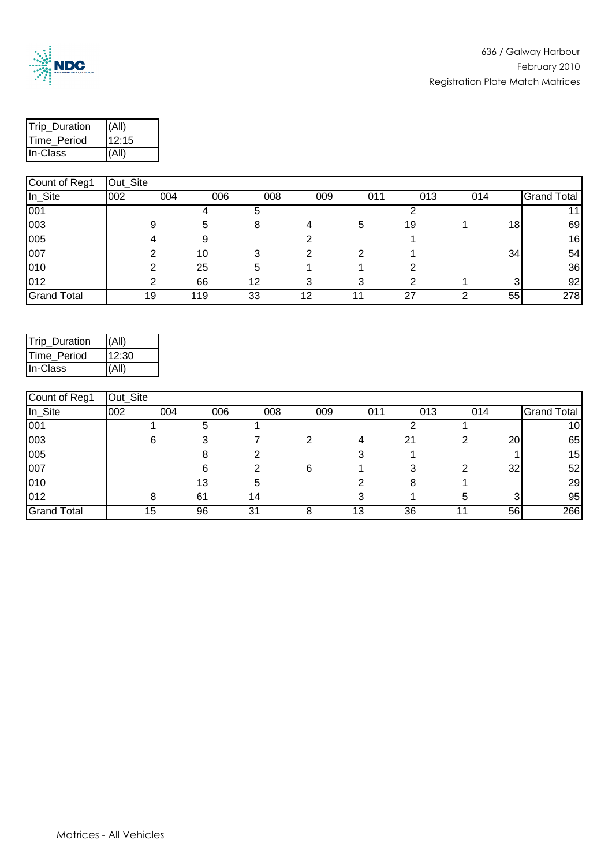

| <b>Trip Duration</b> | (All)  |  |  |  |
|----------------------|--------|--|--|--|
| Time_Period          | 112:15 |  |  |  |
| <b>I</b> In-Class    | (All)  |  |  |  |

| Count of Reg1      | Out_Site |     |     |     |     |     |     |     |    |                    |
|--------------------|----------|-----|-----|-----|-----|-----|-----|-----|----|--------------------|
| In_Site            | 002      | 004 | 006 | 008 | 009 | 011 | 013 | 014 |    | <b>Grand Total</b> |
| 001                |          |     |     |     |     |     |     |     |    | 11 <sub>1</sub>    |
| 003                |          | 9   | 5   |     |     | 5   | 19  |     | 18 | 69                 |
| 005                |          |     |     |     |     |     |     |     |    | 16                 |
| 007                |          |     | 10  |     | ົ   |     |     |     | 34 | 54                 |
| 010                |          |     | 25  | 5.  |     |     |     |     |    | 36                 |
| 012                |          | ◠   | 66  | 12  | 3   |     |     |     |    | 92                 |
| <b>Grand Total</b> |          | 19  | 119 | 33  | 12  |     | 27  |     | 55 | 278                |

| Trip_Duration | (AII) |
|---------------|-------|
| Time Period   | 12:30 |
| In-Class      | (A  ) |

| Count of Reg1      | Out_Site |     |     |     |     |     |     |     |                 |                    |
|--------------------|----------|-----|-----|-----|-----|-----|-----|-----|-----------------|--------------------|
| In_Site            | 002      | 004 | 006 | 008 | 009 | 011 | 013 | 014 |                 | <b>Grand Total</b> |
| 001                |          |     | b   |     |     |     |     |     |                 | 10 <sub>l</sub>    |
| 003                |          | 6   |     |     |     | 4   | 21  |     | 20 <sub>1</sub> | 65                 |
| 005                |          |     |     |     |     |     |     |     |                 | 15                 |
| 007                |          |     | 6   |     | 6   |     |     |     | 32              | 52                 |
| 010                |          |     | 13  | 5   |     |     | 8   |     |                 | 29                 |
| 012                |          |     | 61  | 14  |     |     |     | h.  |                 | 95                 |
| <b>Grand Total</b> |          | 15  | 96  | 31  |     | 13  | 36  |     | 56              | 266                |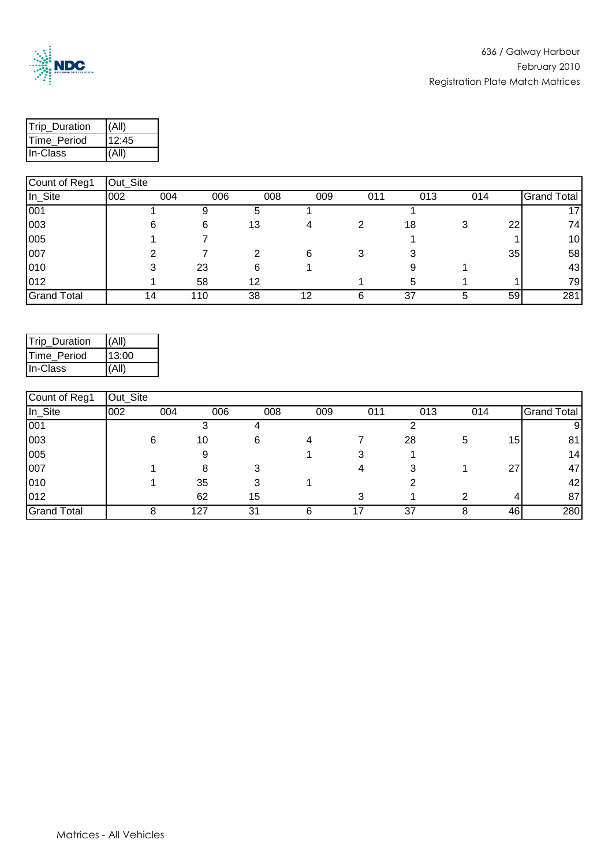

| <b>Trip Duration</b> | (All) |  |  |  |
|----------------------|-------|--|--|--|
| Time_Period          | 12:45 |  |  |  |
| <b>I</b> In-Class    | (All) |  |  |  |

| Count of Reg1      | Out_Site |     |     |     |     |     |     |     |    |                    |
|--------------------|----------|-----|-----|-----|-----|-----|-----|-----|----|--------------------|
| In_Site            | 002      | 004 | 006 | 008 | 009 | 011 | 013 | 014 |    | <b>Grand Total</b> |
| 001                |          |     |     |     |     |     |     |     |    | 17                 |
| 003                |          | 6   | 6   | 13  | 4   |     | 18  |     | 22 | 74                 |
| 005                |          |     |     |     |     |     |     |     |    | 10                 |
| 007                |          | ⌒   |     |     | 6   |     |     |     | 35 | 58                 |
| 010                |          |     | 23  | 6   |     |     |     |     |    | 43                 |
| 012                |          |     | 58  | 12  |     |     | 5   |     |    | 79                 |
| <b>Grand Total</b> |          | 14  | 110 | 38  | 12  |     | 37  |     | 59 | 281                |

| Trip_Duration | (A  ) |
|---------------|-------|
| Time_Period   | 13:00 |
| In-Class      | (A  ) |

| Count of Reg1      | Out_Site |     |     |     |     |     |     |     |                 |                    |
|--------------------|----------|-----|-----|-----|-----|-----|-----|-----|-----------------|--------------------|
| In_Site            | 002      | 004 | 006 | 008 | 009 | 011 | 013 | 014 |                 | <b>Grand Total</b> |
| 001                |          |     |     |     |     |     |     |     |                 | 91                 |
| 003                |          | 6   | 10  | 6   |     |     | 28  | 5   | 15 <sup>1</sup> | 81                 |
| 005                |          |     |     |     |     |     |     |     |                 | 14                 |
| 007                |          |     | 8   |     |     |     |     |     | 27              | 47                 |
| 010                |          |     | 35  |     |     |     |     |     |                 | 42                 |
| 012                |          |     | 62  | 15  |     |     |     |     | 4               | 87                 |
| <b>Grand Total</b> |          |     | 127 | 31  | 6   |     | 37  |     | 46              | 280                |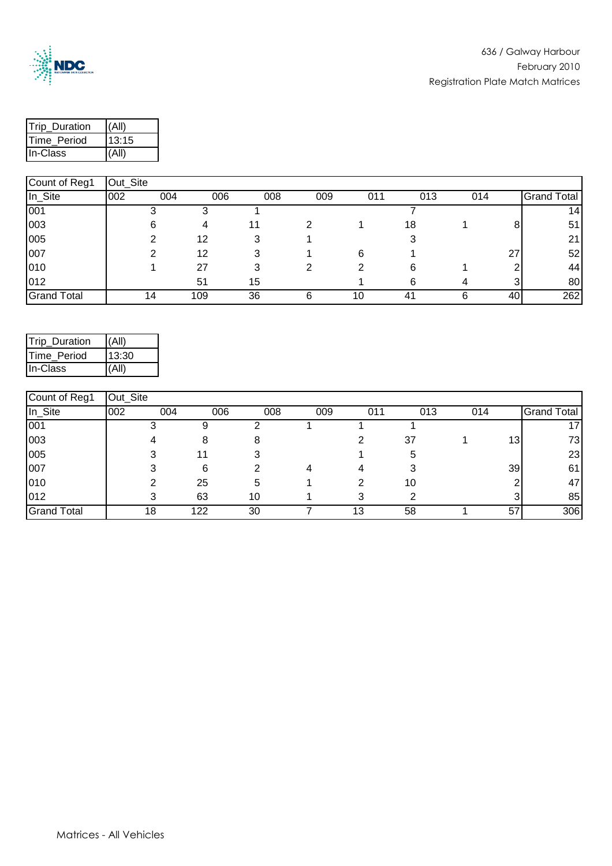

| <b>Trip Duration</b> | (All) |  |  |  |
|----------------------|-------|--|--|--|
| Time_Period          | 13:15 |  |  |  |
| <b>I</b> In-Class    | (All) |  |  |  |

| Count of Reg1      | Out_Site |     |     |     |     |     |     |     |    |                    |
|--------------------|----------|-----|-----|-----|-----|-----|-----|-----|----|--------------------|
| In_Site            | 002      | 004 | 006 | 008 | 009 | 011 | 013 | 014 |    | <b>Grand Total</b> |
| 001                |          |     |     |     |     |     |     |     |    | 14                 |
| 003                |          | 6   | 4   | 11  |     |     | 18  |     |    | 51                 |
| 005                |          |     | 12  | 3   |     |     |     |     |    | 21                 |
| 007                |          |     | 12  |     |     | 6   |     |     | 27 | 52                 |
| 010                |          |     | 27  |     |     |     | 6   |     |    | 44                 |
| 012                |          |     | 51  | 15  |     |     | 6   |     |    | 80                 |
| <b>Grand Total</b> |          | 14  | 109 | 36  | 6   | 10  | 41  |     | 40 | 262                |

| Trip_Duration | (AII) |
|---------------|-------|
| Time Period   | 13:30 |
| In-Class      | (A  ) |

| Count of Reg1      | Out_Site |     |     |     |     |     |     |     |                 |                    |
|--------------------|----------|-----|-----|-----|-----|-----|-----|-----|-----------------|--------------------|
| In_Site            | 002      | 004 | 006 | 008 | 009 | 011 | 013 | 014 |                 | <b>Grand Total</b> |
| 001                |          |     |     |     |     |     |     |     |                 |                    |
| 003                |          |     | 8   |     |     |     | 37  |     | 13 <sub>1</sub> | 731                |
| 005                |          |     |     |     |     |     | 5   |     |                 | 23                 |
| 007                |          |     | 6   |     |     |     |     |     | 39              | 61                 |
| 010                |          |     | 25  | 5   |     |     | 10  |     |                 | 47                 |
| 012                |          |     | 63  | 10  |     |     |     |     |                 | 85                 |
| <b>Grand Total</b> |          | 18  | 122 | 30  |     | 13  | 58  |     | 57              | 306                |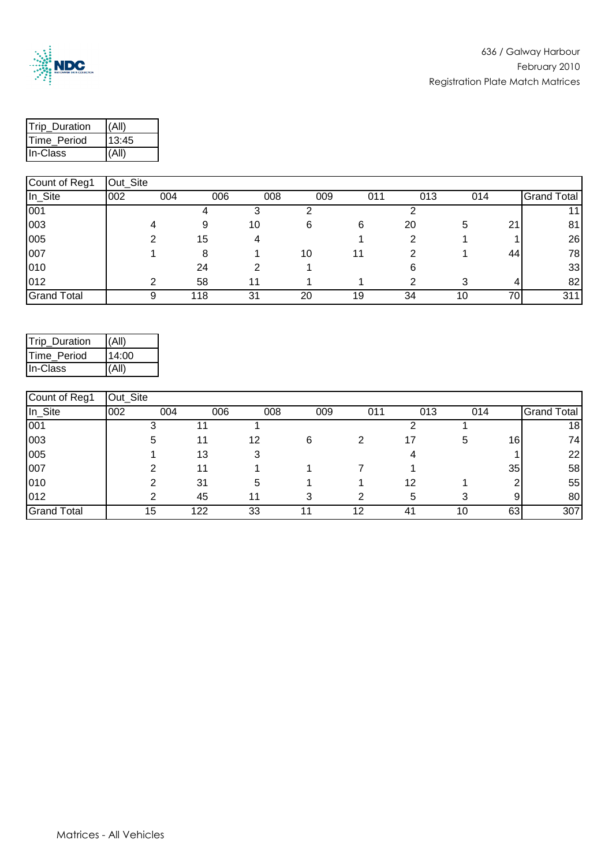

| <b>Trip Duration</b> | (All) |  |  |  |
|----------------------|-------|--|--|--|
| Time_Period          | 13:45 |  |  |  |
| <b>I</b> In-Class    | (All) |  |  |  |

| Count of Reg1      | Out_Site |     |     |     |     |     |     |     |    |                    |
|--------------------|----------|-----|-----|-----|-----|-----|-----|-----|----|--------------------|
| In_Site            | 002      | 004 | 006 | 008 | 009 | 011 | 013 | 014 |    | <b>Grand Total</b> |
| 001                |          |     |     |     |     |     |     |     |    |                    |
| 003                |          |     | 9   | 10  | 6   | 6   | 20  | 5   | 21 | 81                 |
| 005                |          |     | 15  |     |     |     |     |     |    | 26                 |
| 007                |          |     | 8   |     | 10  | 11  |     |     | 44 | 78                 |
| 010                |          |     | 24  |     |     |     |     |     |    | 33                 |
| 012                |          | ◠   | 58  | 11  |     |     | ົ   |     | 4  | 82                 |
| <b>Grand Total</b> |          | 9   | 118 | 31  | 20  | 19  | 34  | 10  | 70 | 311                |

| Trip_Duration | (AII) |
|---------------|-------|
| Time_Period   | 14:00 |
| In-Class      | (A  ) |

| Count of Reg1      | Out_Site |     |     |     |     |     |     |     |    |                    |
|--------------------|----------|-----|-----|-----|-----|-----|-----|-----|----|--------------------|
| In_Site            | 002      | 004 | 006 | 008 | 009 | 011 | 013 | 014 |    | <b>Grand Total</b> |
| 001                |          |     |     |     |     |     |     |     |    | 18 <sub>l</sub>    |
| 003                |          | 5   |     | 12  | 6   |     | 17  | 5   | 16 | 74                 |
| 005                |          |     | 13  |     |     |     |     |     |    | 22                 |
| 007                |          |     |     |     |     |     |     |     | 35 | 58                 |
| 010                |          |     | 31  | 5   |     |     | 12  |     |    | 55                 |
| 012                |          |     | 45  | 11  | з   | ົ   | 5   |     | 9  | 80                 |
| <b>Grand Total</b> |          | 15  | 122 | 33  |     | 12  | 41  | 10  | 63 | 307                |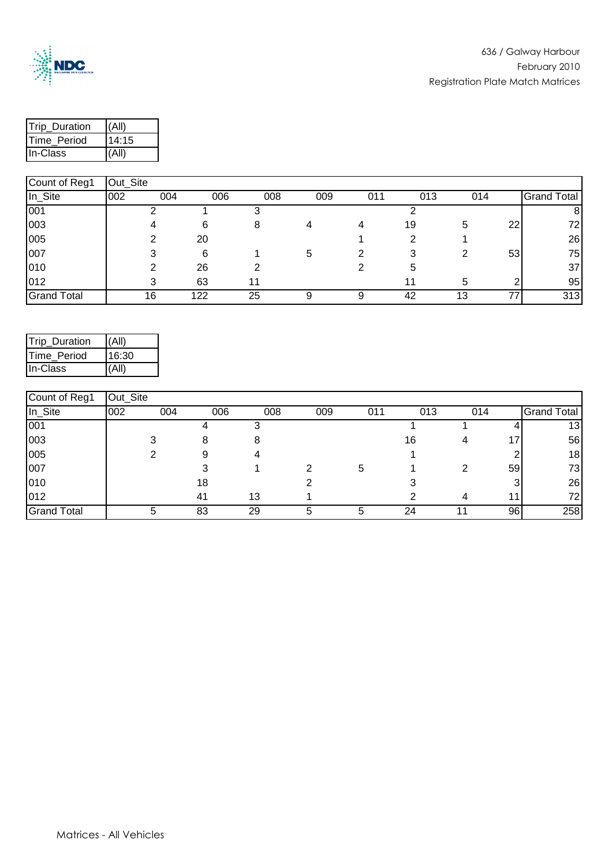

| <b>Trip Duration</b> |       |  |  |  |  |
|----------------------|-------|--|--|--|--|
| <b>ITime Period</b>  | 14:15 |  |  |  |  |
| <b>I</b> In-Class    | (All) |  |  |  |  |

| Count of Reg1      | Out_Site |     |     |     |     |     |     |     |    |                    |
|--------------------|----------|-----|-----|-----|-----|-----|-----|-----|----|--------------------|
| In_Site            | 002      | 004 | 006 | 008 | 009 | 011 | 013 | 014 |    | <b>Grand Total</b> |
| 001                |          |     |     |     |     |     |     |     |    | 81                 |
| 003                |          |     | 6   |     | 4   |     | 19  | 5   | 22 | 72                 |
| 005                |          |     | 20  |     |     |     |     |     |    | 26                 |
| 007                |          |     | 6   |     | 5   |     |     |     | 53 | 75                 |
| 010                |          |     | 26  |     |     |     | 5   |     |    | 37                 |
| 012                |          |     | 63  | 11  |     |     | 11  | h.  |    | 95                 |
| <b>Grand Total</b> |          | 16  | 122 | 25  |     |     | 42  | 13  | 77 | 313                |

| Trip_Duration | (A  ) |
|---------------|-------|
| Time_Period   | 16:30 |
| In-Class      | (A  ) |

| Count of Reg1      | Out_Site |     |     |     |     |     |     |     |                 |                    |
|--------------------|----------|-----|-----|-----|-----|-----|-----|-----|-----------------|--------------------|
| In_Site            | 002      | 004 | 006 | 008 | 009 | 011 | 013 | 014 |                 | <b>Grand Total</b> |
| 001                |          |     |     |     |     |     |     |     |                 | 13                 |
| 003                |          |     |     |     |     |     | 16  |     | 17 <sub>1</sub> | 56                 |
| 005                |          |     | 9   |     |     |     |     |     |                 | 18                 |
| 007                |          |     |     |     |     | 5   |     |     | 59              | 73                 |
| 010                |          |     | 18  |     |     |     |     |     |                 | 26                 |
| 012                |          |     | 41  | 13  |     |     |     |     | 11              | 72                 |
| <b>Grand Total</b> |          |     | 83  | 29  | 5   |     | 24  |     | 96              | 258                |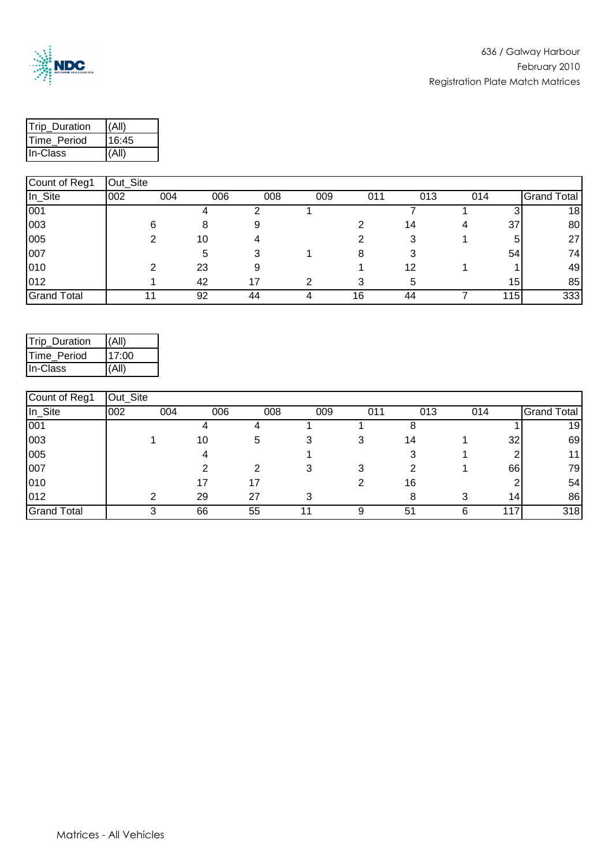

| <b>Trip Duration</b> | (All) |  |  |  |
|----------------------|-------|--|--|--|
| Time_Period          | 16:45 |  |  |  |
| <b>I</b> In-Class    | (All) |  |  |  |

|                    | $-$ ---- |     |     |     |     |     |     |     |     |             |
|--------------------|----------|-----|-----|-----|-----|-----|-----|-----|-----|-------------|
| In_Site            | 002      | 004 | 006 | 008 | 009 | 011 | 013 | 014 |     | Grand Total |
| 001                |          |     |     |     |     |     |     |     |     | 18          |
| 003                |          | 6   | 8   |     |     |     | 14  |     | 37  | 80          |
| 005                |          |     | 10  |     |     |     | 3   |     | 5   | 27          |
| 007                |          |     | b   |     |     |     |     |     | 54  | 74          |
| 010                |          | ົ   | 23  |     |     |     | 12  |     |     | 49          |
| 012                |          |     | 42  |     |     |     | h.  |     | 15  | 85          |
| <b>Grand Total</b> |          |     | 92  | 44  |     | 16  | 44  |     | 115 | 333         |

| Trip_Duration      | (A  ) |
|--------------------|-------|
| <b>Time Period</b> | 17:00 |
| In-Class           | (AII) |

| Count of Reg1      | Out_Site |     |     |     |     |     |     |     |                 |                    |
|--------------------|----------|-----|-----|-----|-----|-----|-----|-----|-----------------|--------------------|
| In_Site            | 002      | 004 | 006 | 008 | 009 | 011 | 013 | 014 |                 | <b>Grand Total</b> |
| 001                |          |     |     |     |     |     |     |     |                 | 19                 |
| 003                |          |     | 10  | 5   |     |     | 14  |     | 32              | 69                 |
| 005                |          |     |     |     |     |     |     |     |                 | 11                 |
| 007                |          |     |     | ົ   | 3   |     |     |     | 66              | 79                 |
| 010                |          |     |     | 17  |     |     | 16  |     |                 | 54                 |
| 012                |          |     | 29  | 27  |     |     |     |     | 14 <sub>1</sub> | 86                 |
| <b>Grand Total</b> |          |     | 66  | 55  |     |     | 51  |     | 117             | 318                |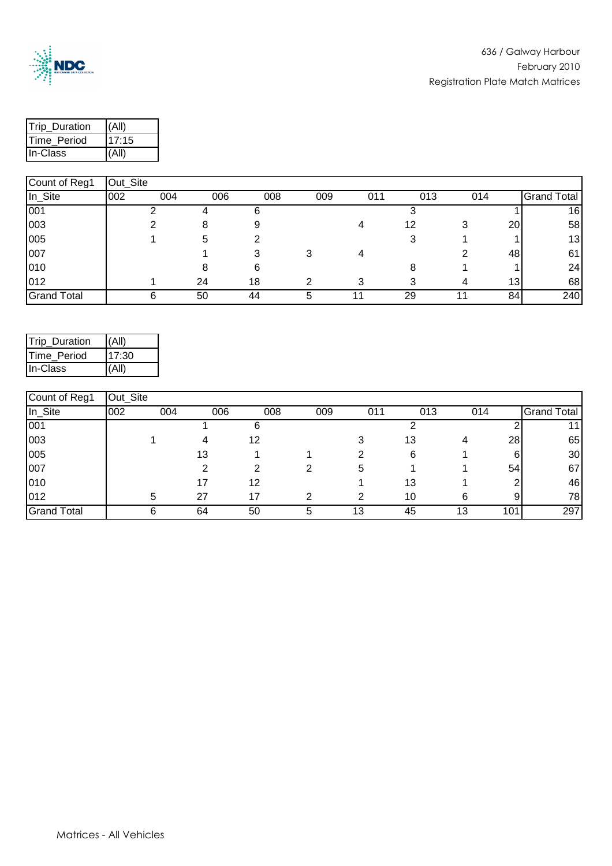

| <b>Trip Duration</b> | (All)  |  |  |  |
|----------------------|--------|--|--|--|
| <b>ITime Period</b>  | 117:15 |  |  |  |
| <b>I</b> In-Class    | (All)  |  |  |  |

| pount of regi      | $vu$ - $vu$ |     |     |     |     |     |     |     |                 |                    |
|--------------------|-------------|-----|-----|-----|-----|-----|-----|-----|-----------------|--------------------|
| In_Site            | 002         | 004 | 006 | 008 | 009 | 011 | 013 | 014 |                 | <b>Grand Total</b> |
| 001                |             |     |     |     |     |     |     |     |                 | 16                 |
| 003                |             |     |     |     |     |     | 12  |     | 20              | 58                 |
| 005                |             |     | 5   |     |     |     |     |     |                 | 13                 |
| 007                |             |     |     |     |     |     |     |     | 48              | 61                 |
| 010                |             |     |     |     |     |     |     |     |                 | 24                 |
| 012                |             |     | 24  | 18  |     |     |     |     | 13 <sub>1</sub> | 68                 |
| <b>Grand Total</b> |             |     | 50  | 44  | 5   |     | 29  |     | 84              | 240                |

| Trip_Duration | (AII)  |
|---------------|--------|
| Time_Period   | 117:30 |
| In-Class      | (AII)  |

| Count of Reg1      | Out_Site |     |     |     |     |     |     |     |     |                    |
|--------------------|----------|-----|-----|-----|-----|-----|-----|-----|-----|--------------------|
| In_Site            | 002      | 004 | 006 | 008 | 009 | 011 | 013 | 014 |     | <b>Grand Total</b> |
| 001                |          |     |     | n   |     |     |     |     |     | 11                 |
| 003                |          |     | 4   | 12  |     |     | 13  |     | 28  | 65                 |
| 005                |          |     | 13  |     |     |     | 6   |     | 6   | 30                 |
| 007                |          |     |     | ົ   | 2   | 5   |     |     | 54  | 67                 |
| 010                |          |     |     | 12  |     |     | 13  |     |     | 46                 |
| 012                |          | 5   | 27  | 17  | ◠   | ◠   | 10  | 6   | 9   | 78                 |
| <b>Grand Total</b> |          | 6   | 64  | 50  | 5   | 13  | 45  | 13  | 101 | 297                |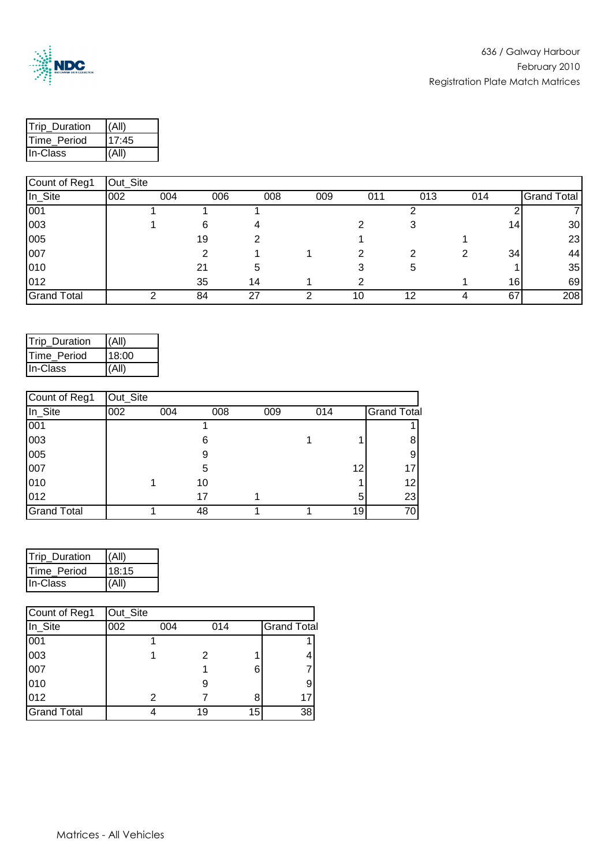

| <b>Trip Duration</b> |       |
|----------------------|-------|
| Time_Period          | 17:45 |
| <b>I</b> In-Class    |       |

| $\sim$             | $  -$ |     |     |     |     |     |     |     |     |                    |
|--------------------|-------|-----|-----|-----|-----|-----|-----|-----|-----|--------------------|
| In_Site            | 002   | 004 | 006 | 008 | 009 | 011 | 013 | 014 |     | <b>Grand Total</b> |
| 001                |       |     |     |     |     |     |     |     |     |                    |
| 003                |       |     | 6   |     |     |     |     |     | 14. | 30                 |
| 005                |       |     | 19  |     |     |     |     |     |     | 23                 |
| 007                |       |     |     |     |     |     |     |     | 34  | 44                 |
| 010                |       |     | 21  | b   |     |     | 5   |     |     | 35                 |
| 012                |       |     | 35  | 14  |     |     |     |     | 16  | 69                 |
| <b>Grand Total</b> |       |     | 84  | 27  |     | 10  | 12  |     | 67  | 208                |

| Trip_Duration      | (AII) |
|--------------------|-------|
| <b>Time Period</b> | 18:00 |
| In-Class           | (AII) |

| Count of Reg1      | Out_Site |     |     |     |     |    |                    |
|--------------------|----------|-----|-----|-----|-----|----|--------------------|
| $In_Site$          | 002      | 004 | 008 | 009 | 014 |    | <b>Grand Total</b> |
| 001                |          |     |     |     |     |    |                    |
| 003                |          |     | 6   |     |     |    |                    |
| 005                |          |     | 9   |     |     |    | 9                  |
| 007                |          |     | 5   |     |     | 12 | 17                 |
| 010                |          |     | 10  |     |     |    | 12                 |
| 012                |          |     | 17  |     |     | 5  | 23                 |
| <b>Grand Total</b> |          |     | 48  |     |     | 19 | 70I                |

| <b>Trip Duration</b> | (All)  |
|----------------------|--------|
| Time_Period          | 18:15  |
| In-Class             | I(All) |

| Count of Reg1      | Out_Site |     |     |    |                    |
|--------------------|----------|-----|-----|----|--------------------|
| In_Site            | 002      | 004 | 014 |    | <b>Grand Total</b> |
| 001                |          |     |     |    |                    |
| 003                |          |     | 2   |    |                    |
| 007                |          |     |     | 6  |                    |
| 010                |          |     | 9   |    | 9                  |
| 012                |          | 2   |     | 8  | 17                 |
| <b>Grand Total</b> |          |     | 19  | 15 | 38                 |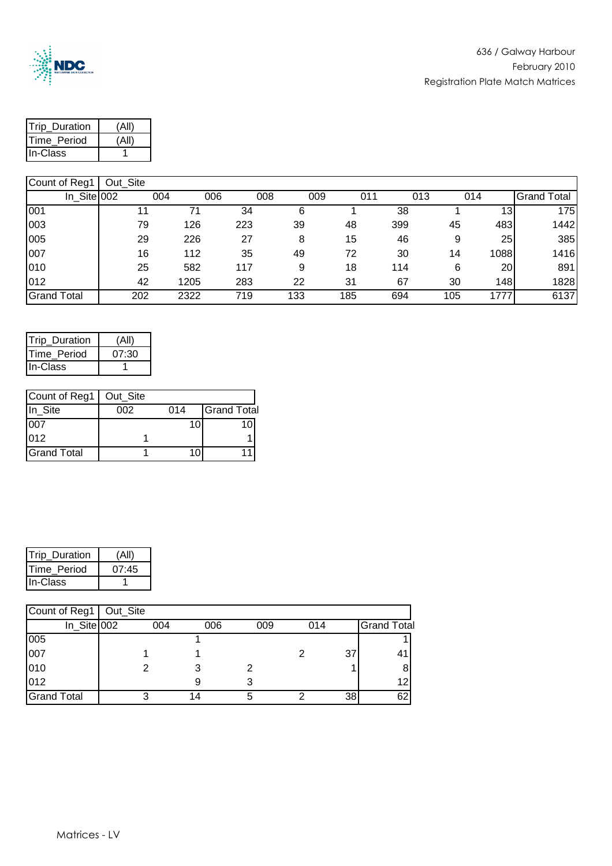

| Trip_Duration       |  |
|---------------------|--|
| <b>ITime Period</b> |  |
| lln-Class           |  |

| o o ann on neg n   | ----- |      |     |     |     |     |     |                 |                    |
|--------------------|-------|------|-----|-----|-----|-----|-----|-----------------|--------------------|
| In Site 002        |       | 004  | 006 | 008 | 009 | 011 | 013 | 014             | <b>Grand Total</b> |
| 001                |       |      | 34  |     |     | 38  |     | 13.             | 175                |
| 003                | 79    | 126  | 223 | 39  | 48  | 399 | 45  | 483             | 1442               |
| 005                | 29    | 226  | 27  | 8   | 15  | 46  | 9   | 25              | 385                |
| 007                | 16    | 112  | 35  | 49  | 72  | 30  | 14  | 1088            | 1416               |
| 010                | 25    | 582  | 117 | 9   | 18  | 114 | 6   | 20 <sub>l</sub> | 891                |
| 012                | 42    | 1205 | 283 | 22  | 31  | 67  | 30  | 148             | 1828               |
| <b>Grand Total</b> | 202   | 2322 | 719 | 133 | 185 | 694 | 105 | 1777            | 6137               |

| Trip Duration       | (All' |
|---------------------|-------|
| <b>ITime Period</b> | 07:30 |
| In-Class            |       |

| Count of Reg1   Out_Site |     |     |                    |
|--------------------------|-----|-----|--------------------|
| In_Site                  | 002 | 014 | <b>Grand Total</b> |
| 007                      |     |     |                    |
| 012                      |     |     |                    |
| <b>Grand Total</b>       |     |     |                    |

| Trip_Duration | (All) |
|---------------|-------|
| Time_Period   | 07:45 |
| In-Class      |       |

| Count of Reg1   Out_Site |     |     |     |     |    |                    |
|--------------------------|-----|-----|-----|-----|----|--------------------|
| In_Site 002              | 004 | 006 | 009 | 014 |    | <b>Grand Total</b> |
| 005                      |     |     |     |     |    |                    |
| 007                      |     |     |     |     | 37 |                    |
| 010                      |     |     |     |     |    |                    |
| 012                      |     |     |     |     |    | 12                 |
| <b>Grand Total</b>       | ◠   | 14  |     |     | 38 | 62                 |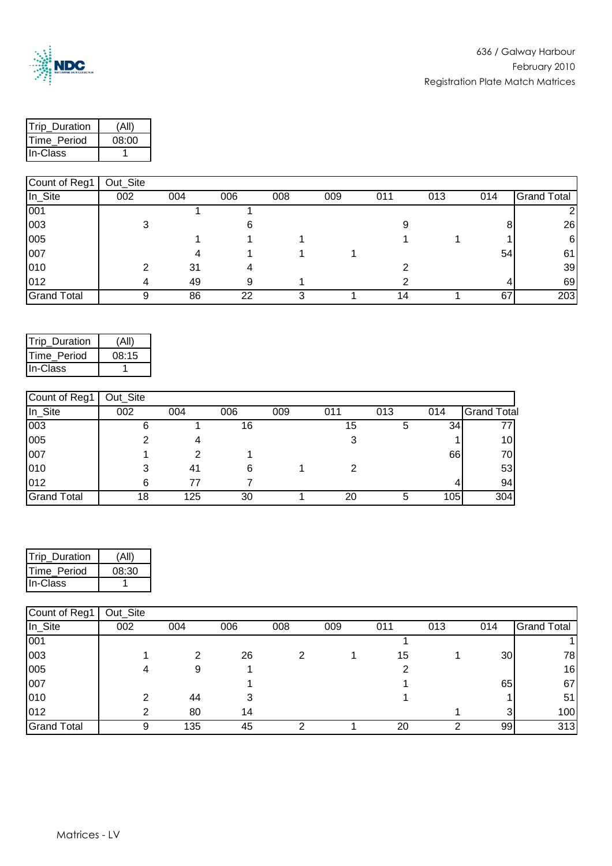

| <b>Trip Duration</b> |       |
|----------------------|-------|
| <b>ITime Period</b>  | 08:00 |
| In-Class             |       |

| 1                  | <b>OUL OILD</b> |     |     |     |     |     |     |     |                    |
|--------------------|-----------------|-----|-----|-----|-----|-----|-----|-----|--------------------|
| In_Site            | 002             | 004 | 006 | 008 | 009 | 011 | 013 | 014 | <b>Grand Total</b> |
| 001                |                 |     |     |     |     |     |     |     |                    |
| 003                |                 |     |     |     |     |     |     | 8   | 26                 |
| 005                |                 |     |     |     |     |     |     |     | 6                  |
| 007                |                 |     |     |     |     |     |     | 54  | 61                 |
| 010                |                 | 31  |     |     |     |     |     |     | 39                 |
| 012                |                 | 49  | 9   |     |     |     |     |     | 69                 |
| <b>Grand Total</b> |                 | 86  | 22  |     |     |     |     | 67  | 203                |

| Trip Duration       | (All' |
|---------------------|-------|
| <b>ITime Period</b> | 08:15 |
| In-Class            |       |

| Count of Reg1      | Out_Site |     |     |     |     |     |     |                    |
|--------------------|----------|-----|-----|-----|-----|-----|-----|--------------------|
| In_Site            | 002      | 004 | 006 | 009 | 011 | 013 | 014 | <b>Grand Total</b> |
| 003                |          |     | 16  |     | 15  | 5   | 34  |                    |
| 005                |          |     |     |     |     |     |     | 10 <sub>l</sub>    |
| 007                |          |     |     |     |     |     | 66  | 70I                |
| 010                |          |     |     |     |     |     |     | 53                 |
| 012                | 6        |     |     |     |     |     |     | 94                 |
| <b>Grand Total</b> | 18       | 125 | 30  |     | 20  | 5   | 105 | 304                |

| <b>Trip Duration</b> |       |
|----------------------|-------|
| Time Period          | 08:30 |
| <b>I</b> In-Class    |       |

| Count of Reg1      | Out_Site |     |     |     |     |     |     |                 |                    |
|--------------------|----------|-----|-----|-----|-----|-----|-----|-----------------|--------------------|
| In_Site            | 002      | 004 | 006 | 008 | 009 | 011 | 013 | 014             | <b>Grand Total</b> |
| 001                |          |     |     |     |     |     |     |                 |                    |
| 003                |          |     | 26  |     |     | 15  |     | 30 <sub>l</sub> | 78                 |
| 005                |          |     |     |     |     |     |     |                 | 16                 |
| 007                |          |     |     |     |     |     |     | 65              | 67                 |
| 010                |          | 44  |     |     |     |     |     |                 | 51                 |
| 012                |          | 80  | 14  |     |     |     |     | 3               | 100                |
| <b>Grand Total</b> |          | 135 | 45  |     |     | 20  |     | 991             | 313                |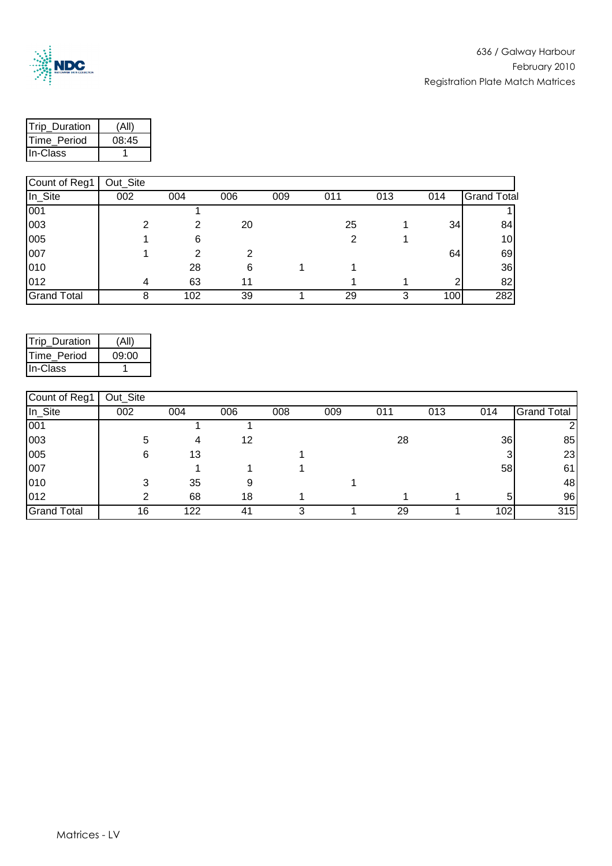

| Trip_Duration       |       |
|---------------------|-------|
| <b>ITime Period</b> | 08:45 |
| In-Class            |       |

| Count of Reg1      | Out_Site |     |     |     |     |     |     |                    |
|--------------------|----------|-----|-----|-----|-----|-----|-----|--------------------|
| In_Site            | 002      | 004 | 006 | 009 | 011 | 013 | 014 | <b>Grand Total</b> |
| 001                |          |     |     |     |     |     |     |                    |
| 003                | າ        | 2   | 20  |     | 25  |     | 34  | 84                 |
| 005                |          | 6   |     |     |     |     |     | 10 <sub>l</sub>    |
| 007                |          | າ   |     |     |     |     | 64  | 69                 |
| 010                |          | 28  | 6   |     |     |     |     | 36                 |
| 012                |          | 63  | 11  |     |     |     | ◠   | 82                 |
| <b>Grand Total</b> | 8        | 102 | 39  |     | 29  | 3   | 100 | 282                |

| Trip Duration       | (All) |
|---------------------|-------|
| <b>ITime Period</b> | 09:00 |
| In-Class            |       |

| Count of Reg1      | Out Site |     |     |     |     |     |     |     |                    |
|--------------------|----------|-----|-----|-----|-----|-----|-----|-----|--------------------|
| In_Site            | 002      | 004 | 006 | 008 | 009 | 011 | 013 | 014 | <b>Grand Total</b> |
| 001                |          |     |     |     |     |     |     |     |                    |
| 003                | 5        | 4   | 12  |     |     | 28  |     | 36  | 85                 |
| 005                | 6        | 13  |     |     |     |     |     |     | 23                 |
| 007                |          |     |     |     |     |     |     | 58  | 61                 |
| 010                | 3        | 35  | 9   |     |     |     |     |     | 48                 |
| 012                | っ        | 68  | 18  |     |     |     |     | 5   | 96                 |
| <b>Grand Total</b> | 16       | 122 | 41  |     |     | 29  |     | 102 | 315                |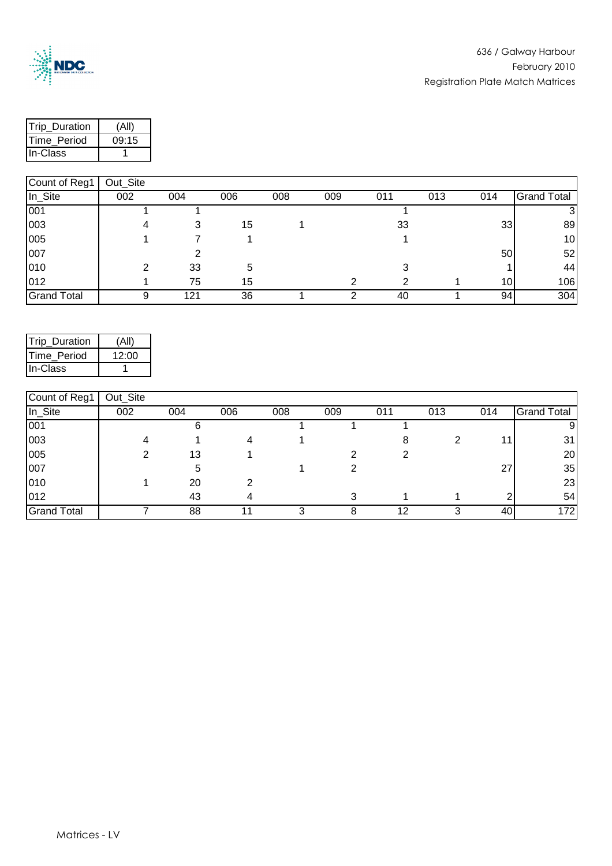

| <b>Trip Duration</b> |       |
|----------------------|-------|
| Time Period          | 09:15 |
| <b>In-Class</b>      |       |

| 1                  | <b>Out_Oite</b> |     |     |     |     |     |     |                 |                    |
|--------------------|-----------------|-----|-----|-----|-----|-----|-----|-----------------|--------------------|
| In_Site            | 002             | 004 | 006 | 008 | 009 | 011 | 013 | 014             | <b>Grand Total</b> |
| 001                |                 |     |     |     |     |     |     |                 |                    |
| 003                |                 |     | 15  |     |     | 33  |     | 33              | 89                 |
| 005                |                 |     |     |     |     |     |     |                 | 10 <sub>l</sub>    |
| 007                |                 |     |     |     |     |     |     | 50              | 52                 |
| 010                | ◠               | 33  | 5   |     |     |     |     |                 | 44                 |
| 012                |                 | 75  | 15  |     |     |     |     | 10 <sub>1</sub> | 106                |
| <b>Grand Total</b> | 9               | 121 | 36  |     |     | 40  |     | 94              | 304                |

| Trip_Duration       | (All) |
|---------------------|-------|
| <b>ITime Period</b> | 12:00 |
| In-Class            |       |

| Count of Reg1      | Out_Site |     |     |     |     |     |     |     |                    |
|--------------------|----------|-----|-----|-----|-----|-----|-----|-----|--------------------|
| In_Site            | 002      | 004 | 006 | 008 | 009 | 011 | 013 | 014 | <b>Grand Total</b> |
| 001                |          |     |     |     |     |     |     |     |                    |
| 003                |          |     |     |     |     |     |     |     | 31                 |
| 005                |          | 13  |     |     |     |     |     |     | 20                 |
| 007                |          |     |     |     |     |     |     | 27  | 35                 |
| 010                |          | 20  |     |     |     |     |     |     | 23                 |
| 012                |          | 43  |     |     |     |     |     |     | 54                 |
| <b>Grand Total</b> |          | 88  |     |     |     |     |     | 40  | 172 <sub>1</sub>   |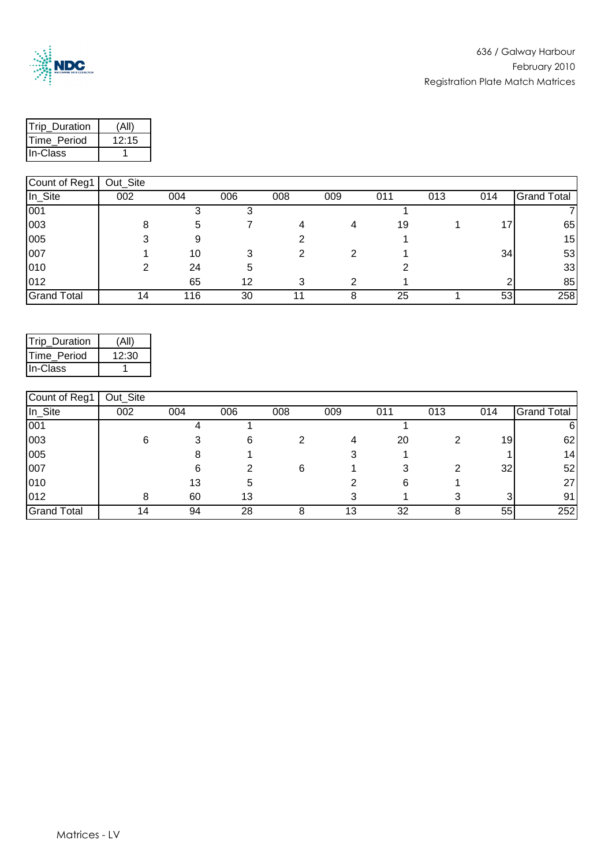

| Trip Duration | Ά     |
|---------------|-------|
| Time Period   | 12:15 |
| lln-Class     |       |

|                    | $\sim$ ul $\sim$ |     |     |     |     |     |     |     |                    |
|--------------------|------------------|-----|-----|-----|-----|-----|-----|-----|--------------------|
| In_Site            | 002              | 004 | 006 | 008 | 009 | 011 | 013 | 014 | <b>Grand Total</b> |
| 001                |                  |     |     |     |     |     |     |     |                    |
| 003                | 8                |     |     |     | 4   | 19  |     | 17. | 65                 |
| 005                |                  |     |     |     |     |     |     |     | 15                 |
| 007                |                  | 10  |     |     |     |     |     | 34  | 53                 |
| 010                | າ                | 24  | 5   |     |     |     |     |     | 33                 |
| 012                |                  | 65  | 12  |     |     |     |     |     | 85                 |
| <b>Grand Total</b> |                  | 116 | 30  |     |     | 25  |     | 53  | 258                |

| Trip_Duration | (All  |
|---------------|-------|
| Time Period   | 12:30 |
| In-Class      |       |

| Count of Reg1      | Out_Site |     |     |     |     |     |     |     |                    |
|--------------------|----------|-----|-----|-----|-----|-----|-----|-----|--------------------|
| In_Site            | 002      | 004 | 006 | 008 | 009 | 011 | 013 | 014 | <b>Grand Total</b> |
| 001                |          |     |     |     |     |     |     |     |                    |
| 003                | 6        |     | 6   |     | 4   | 20  |     | 19  | 62                 |
| 005                |          |     |     |     |     |     |     |     | 14                 |
| 007                |          |     |     | 6   |     |     |     | 32  | 52                 |
| 010                |          | 13  |     |     |     | 6   |     |     | 27                 |
| 012                |          | 60  | 13  |     |     |     |     |     | 91                 |
| <b>Grand Total</b> | 4        | 94  | 28  |     | 13  | 32  |     | 55  | 252                |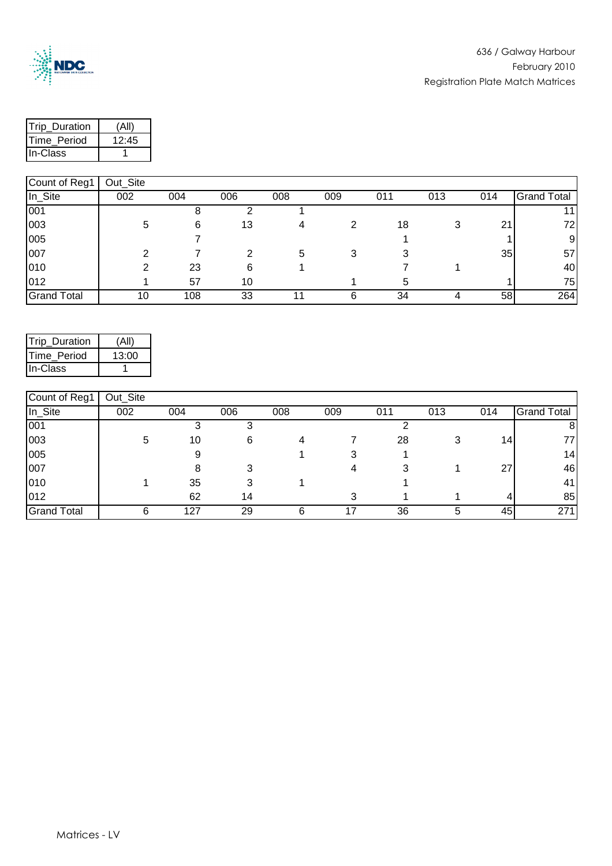

 $\mathsf{l}$ 

| Trip_Duration |       |
|---------------|-------|
| Time Period   | 12:45 |
| lln-Class     |       |

| In_Site            | 002 | 004 | 006 | 008 | 009 | 011 | 013 | 014 | <b>Grand Total</b> |
|--------------------|-----|-----|-----|-----|-----|-----|-----|-----|--------------------|
| 001                |     |     |     |     |     |     |     |     |                    |
| 003                | 5   | 6   | 13  |     |     | 18  |     | 21  |                    |
| 005                |     |     |     |     |     |     |     |     |                    |
| 007                |     |     |     |     | J   |     |     | 35  | 57                 |
| 010                |     | 23  | 6   |     |     |     |     |     | 40                 |
| 012                |     | 57  | 10  |     |     |     |     |     | 75                 |
| <b>Grand Total</b> | 10  | 108 | 33  |     |     | 34  |     | 58  | 264                |

| Trip Duration       | (All  |
|---------------------|-------|
| <b>ITime Period</b> | 13:00 |
| In-Class            |       |

| Count of Reg1      | Out_Site |     |     |     |     |     |     |     |                    |
|--------------------|----------|-----|-----|-----|-----|-----|-----|-----|--------------------|
| In_Site            | 002      | 004 | 006 | 008 | 009 | 011 | 013 | 014 | <b>Grand Total</b> |
| 001                |          |     |     |     |     |     |     |     | 8                  |
| 003                | 5        | 10  | 6   |     |     | 28  |     | 14. | 77                 |
| 005                |          |     |     |     |     |     |     |     | 14 <sub>1</sub>    |
| 007                |          |     |     |     |     |     |     | 27  | 46                 |
| 010                |          | 35  |     |     |     |     |     |     | 41                 |
| 012                |          | 62  | 14  |     |     |     |     | 4   | 85                 |
| <b>Grand Total</b> |          | 127 | 29  |     |     | 36  |     | 45  | 271                |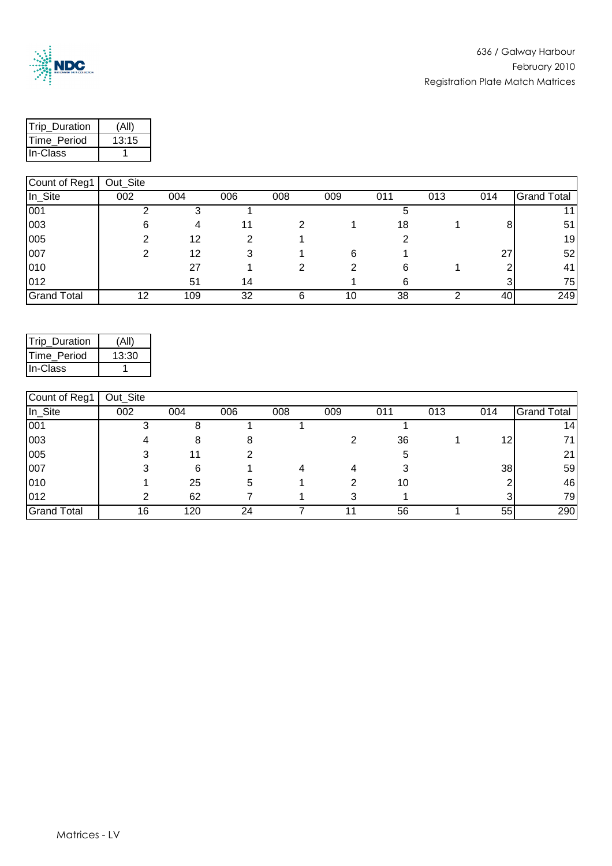

| <b>Trip Duration</b> |       |
|----------------------|-------|
| Time Period          | 13:15 |
| lln-Class            |       |

|                    | ------- |     |     |     |     |     |     |     |                    |
|--------------------|---------|-----|-----|-----|-----|-----|-----|-----|--------------------|
| In_Site            | 002     | 004 | 006 | 008 | 009 | 011 | 013 | 014 | <b>Grand Total</b> |
| 001                |         |     |     |     |     |     |     |     | 11.                |
| 003                | 6       |     |     |     |     | 18  |     |     | 51                 |
| 005                |         | 12  |     |     |     |     |     |     | 19                 |
| 007                |         | 12  |     |     | 6   |     |     | 27  | 52                 |
| 010                |         | 27  |     |     |     | 6   |     |     | 41                 |
| 012                |         | 51  | 14  |     |     |     |     |     | 75                 |
| <b>Grand Total</b> | 12      | 109 | 32  |     | 10  | 38  |     | 40  | 249                |

| Trip_Duration       | (All' |
|---------------------|-------|
| <b>ITime Period</b> | 13:30 |
| In-Class            |       |

| Count of Reg1      | Out_Site |     |     |     |     |     |     |     |                    |
|--------------------|----------|-----|-----|-----|-----|-----|-----|-----|--------------------|
| In_Site            | 002      | 004 | 006 | 008 | 009 | 011 | 013 | 014 | <b>Grand Total</b> |
| 001                |          |     |     |     |     |     |     |     | 14                 |
| 003                |          |     |     |     |     | 36  |     | 12  | 71                 |
| 005                |          |     |     |     |     |     |     |     | 21                 |
| 007                |          | 6   |     |     |     |     |     | 38  | 59                 |
| 010                |          | 25  | 5   |     |     | 10  |     |     | 46                 |
| 012                | っ        | 62  |     |     |     |     |     |     | 79                 |
| <b>Grand Total</b> | 16       | 120 | 24  |     |     | 56  |     | 55  | 290                |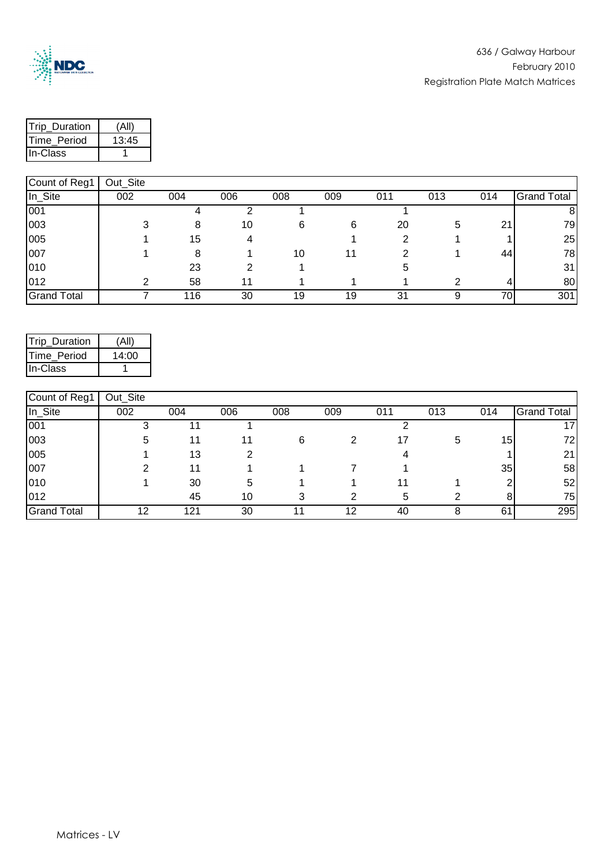

| Trip_Duration | $\sqrt{4}$ ll |
|---------------|---------------|
| Time Period   | 13:45         |
| lln-Class     |               |

| $\sim$             | $  -$ |     |     |     |     |     |     |     |                    |
|--------------------|-------|-----|-----|-----|-----|-----|-----|-----|--------------------|
| In_Site            | 002   | 004 | 006 | 008 | 009 | 011 | 013 | 014 | <b>Grand Total</b> |
| 001                |       |     |     |     |     |     |     |     | 8                  |
| 003                | ີ     |     | 10  | 6   | 6   | 20  | 5   | 21  | 79                 |
| 005                |       | 15  |     |     |     |     |     |     | 25                 |
| 007                |       |     |     | 10  |     |     |     | 44  | 78                 |
| 010                |       | 23  |     |     |     |     |     |     | 31                 |
| 012                | ◠     | 58  |     |     |     |     |     | 4   | 80                 |
| <b>Grand Total</b> |       | 116 | 30  | 19  | 19  | 31  |     | 70  | 301                |

| Trip Duration       | (All) |
|---------------------|-------|
| <b>ITime Period</b> | 14:00 |
| In-Class            |       |

| Count of Reg1      | Out_Site |     |     |     |     |     |     |     |                    |
|--------------------|----------|-----|-----|-----|-----|-----|-----|-----|--------------------|
| In_Site            | 002      | 004 | 006 | 008 | 009 | 011 | 013 | 014 | <b>Grand Total</b> |
| 001                | ື        |     |     |     |     |     |     |     |                    |
| 003                | 5        |     |     | 6   |     |     | 5   | 15. | 72                 |
| 005                |          | 13  |     |     |     |     |     |     | 21                 |
| 007                |          |     |     |     |     |     |     | 35  | 58                 |
| 010                |          | 30  | 5   |     |     |     |     |     | 52                 |
| 012                |          | 45  | 10  | 2   |     | h   |     |     | 75                 |
| <b>Grand Total</b> | 12       | 121 | 30  |     | 12  | 40  |     | 61  | 295                |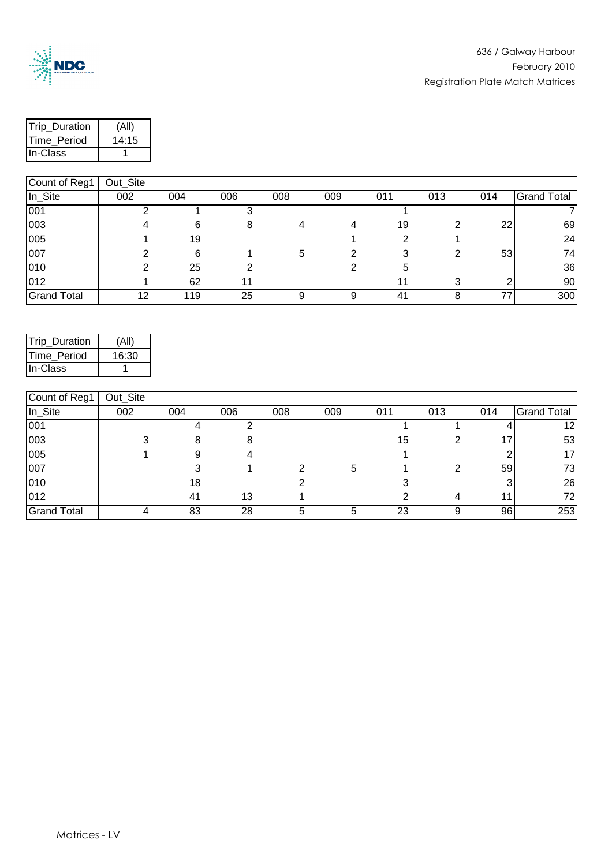

| Trip Duration | 'All  |
|---------------|-------|
| Time Period   | 14:15 |
| lln-Class     |       |

| $\sim$             | $\sim$ ul $\sim$ |     |     |     |     |     |     |     |                    |
|--------------------|------------------|-----|-----|-----|-----|-----|-----|-----|--------------------|
| In_Site            | 002              | 004 | 006 | 008 | 009 | 011 | 013 | 014 | <b>Grand Total</b> |
| 001                |                  |     |     |     |     |     |     |     |                    |
| 003                |                  | 6   | 8   |     | 4   | 19  |     | 22  | 69                 |
| 005                |                  | 19  |     |     |     |     |     |     | 24                 |
| 007                |                  | 6   |     | b   |     |     |     | 53  | 74                 |
| 010                |                  | 25  |     |     |     | b   |     |     | 36                 |
| 012                |                  | 62  |     |     |     |     |     |     | 90                 |
| <b>Grand Total</b> | 12               | 119 | 25  |     |     | 41  |     |     | 300                |

| Trip_Duration       |       |
|---------------------|-------|
| <b>ITime Period</b> | 16:30 |
| In-Class            |       |

| Count of Reg1      | Out_Site |     |     |     |     |     |     |     |                    |
|--------------------|----------|-----|-----|-----|-----|-----|-----|-----|--------------------|
| In_Site            | 002      | 004 | 006 | 008 | 009 | 011 | 013 | 014 | <b>Grand Total</b> |
| 001                |          |     |     |     |     |     |     |     | 12 <sub>1</sub>    |
| 003                |          |     |     |     |     | 15  |     | 17  | 53                 |
| 005                |          |     |     |     |     |     |     |     | 17                 |
| 007                |          |     |     |     | 5   |     |     | 59  | 73                 |
| 010                |          | 18  |     |     |     |     |     |     | 26                 |
| 012                |          | 41  | 13  |     |     |     | Δ   |     | 72                 |
| <b>Grand Total</b> |          | 83  | 28  |     |     | 23  | 9   | 96  | 253                |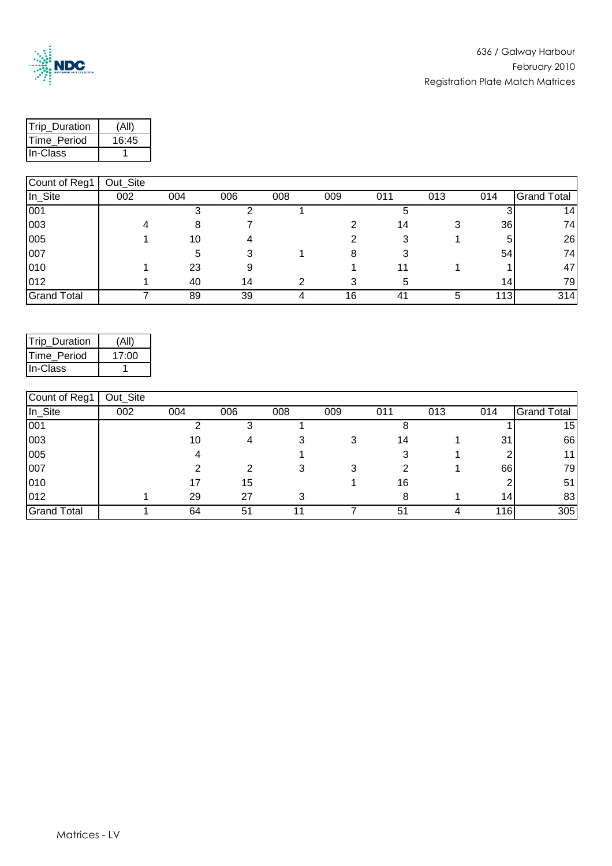

| <b>Trip Duration</b> | 'A∥   |
|----------------------|-------|
| Time Period          | 16:45 |
| lln-Class            |       |

| $\sim$             | $  -$ |     |     |     |     |     |     |                 |                    |
|--------------------|-------|-----|-----|-----|-----|-----|-----|-----------------|--------------------|
| In_Site            | 002   | 004 | 006 | 008 | 009 | 011 | 013 | 014             | <b>Grand Total</b> |
| 001                |       |     |     |     |     |     |     |                 | 14.                |
| 003                |       |     |     |     |     | 14  |     | 36              | 74                 |
| 005                |       | 10  |     |     |     |     |     | 5               | 26                 |
| 007                |       |     |     |     |     |     |     | 54              | 74                 |
| 010                |       | 23  |     |     |     |     |     |                 | 47                 |
| 012                |       | 40  | 14  |     |     |     |     | 14 <sup>1</sup> | 79I                |
| <b>Grand Total</b> |       | 89  | 39  |     | 16  |     |     | 113             | 314                |

| Trip_Duration | (All) |
|---------------|-------|
| Time Period   | 17:00 |
| IIn-Class     |       |

| Count of Reg1      | Out_Site |     |     |     |     |     |     |     |                    |
|--------------------|----------|-----|-----|-----|-----|-----|-----|-----|--------------------|
| In_Site            | 002      | 004 | 006 | 008 | 009 | 011 | 013 | 014 | <b>Grand Total</b> |
| 001                |          |     |     |     |     |     |     |     | 15                 |
| 003                |          | 10  |     |     |     | 14  |     | 31  | 66                 |
| 005                |          |     |     |     |     |     |     |     | .11                |
| 007                |          |     |     |     |     |     |     | 66  | 79                 |
| 010                |          |     | 15  |     |     | 16  |     |     | 51                 |
| 012                |          | 29  | 27  |     |     |     |     | 14. | 83                 |
| <b>Grand Total</b> |          | 64  | 51  |     |     | 51  |     | 116 | 305                |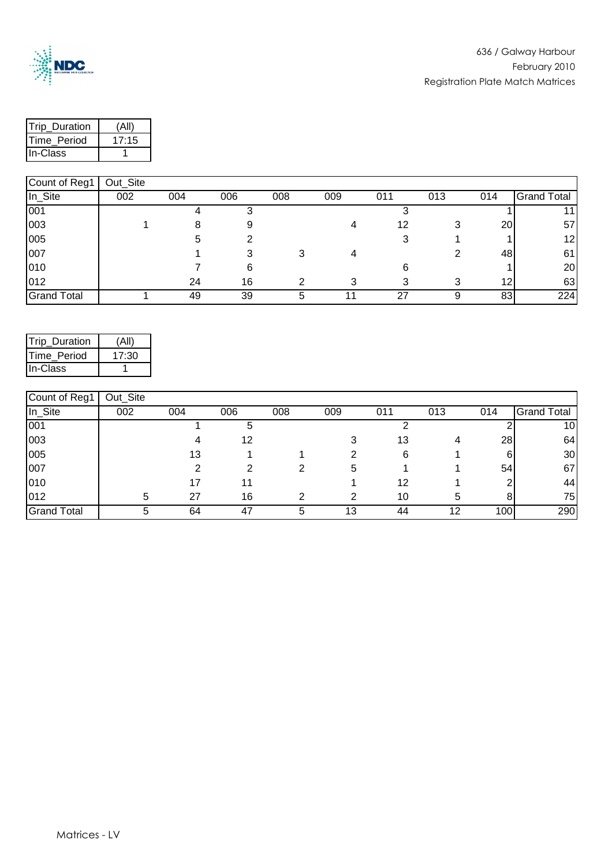

| Trip Duration | Ά     |
|---------------|-------|
| Time Period   | 17:15 |
| lln-Class     |       |

| 1                  | <b>Out_Oite</b> |     |     |     |     |     |     |           |                    |
|--------------------|-----------------|-----|-----|-----|-----|-----|-----|-----------|--------------------|
| In_Site            | 002             | 004 | 006 | 008 | 009 | 011 | 013 | 014       | <b>Grand Total</b> |
| 001                |                 |     |     |     |     |     |     |           |                    |
| 003                |                 |     |     |     |     | 12  |     | <b>20</b> | 57                 |
| 005                |                 |     |     |     |     |     |     |           | 12 <sub>l</sub>    |
| 007                |                 |     |     |     |     |     |     | 48        | 61                 |
| 010                |                 |     | 6   |     |     |     |     |           | 20                 |
| 012                |                 | 24  | 16  |     |     |     |     | 12        | 63                 |
| <b>Grand Total</b> |                 | 49  | 39  |     |     | 27  |     | 83        | 224                |

| Trip Duration | (All) |
|---------------|-------|
| Time Period   | 17:30 |
| IIn-Class     |       |

| Count of Reg1      | Out_Site |     |     |     |     |     |     |     |                    |
|--------------------|----------|-----|-----|-----|-----|-----|-----|-----|--------------------|
| In_Site            | 002      | 004 | 006 | 008 | 009 | 011 | 013 | 014 | <b>Grand Total</b> |
| 001                |          |     |     |     |     |     |     |     | 10                 |
| 003                |          |     | 12  |     |     | 13  | 4   | 28  | 64                 |
| 005                |          | 13  |     |     |     | 6   |     | 6   | 30                 |
| 007                |          |     |     |     | b   |     |     | 54  | 67                 |
| 010                |          |     |     |     |     | 12  |     |     | 44                 |
| 012                | 5        | 27  | 16  |     |     | 10  | h   |     | 75                 |
| <b>Grand Total</b> |          | 64  | 47  |     | 13  | 44  | 12  | 100 | 290                |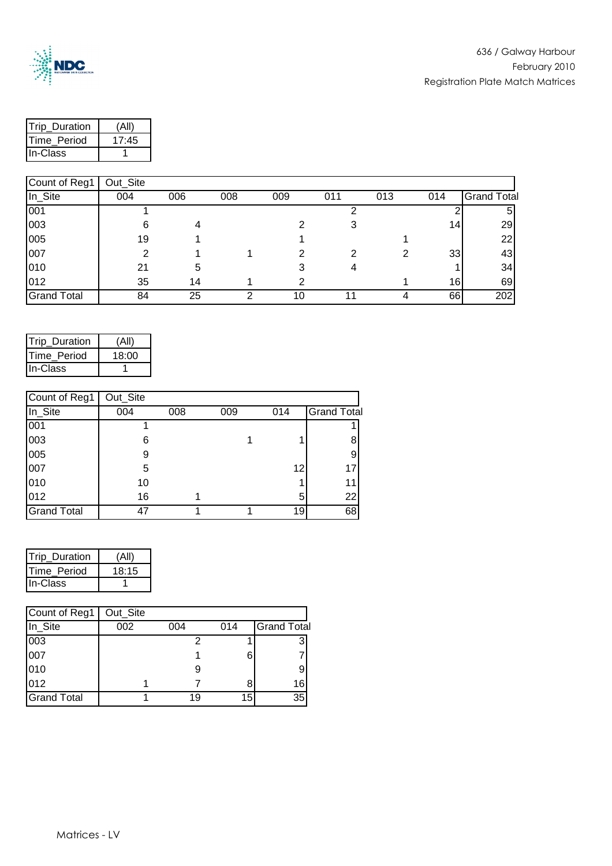

| <b>Trip Duration</b> | (All  |
|----------------------|-------|
| <b>ITime Period</b>  | 17:45 |
| <b>In-Class</b>      |       |

| Count of Reg1      | Out_Site |     |     |     |     |     |     |                    |
|--------------------|----------|-----|-----|-----|-----|-----|-----|--------------------|
| In_Site            | 004      | 006 | 008 | 009 | 011 | 013 | 014 | <b>Grand Total</b> |
| 001                |          |     |     |     |     |     |     | 5                  |
| 003                |          |     |     |     |     |     | 14  | 29                 |
| 005                | 19       |     |     |     |     |     |     | 22                 |
| 007                |          |     |     |     |     | 2   | 33  | 43                 |
| 010                | 21       | 5   |     |     |     |     |     | 34                 |
| 012                | 35       | 14  |     |     |     |     | 16  | 69                 |
| <b>Grand Total</b> | 84       | 25  | ⌒   | 10  |     | 4   | 66  | 202                |

| <b>Trip Duration</b> | (All) |
|----------------------|-------|
| Time Period          | 18:00 |
| In-Class             |       |

| Count of Reg1      | Out_Site |     |     |     |                    |
|--------------------|----------|-----|-----|-----|--------------------|
| In_Site            | 004      | 008 | 009 | 014 | <b>Grand Total</b> |
| 001                |          |     |     |     |                    |
| 003                | 6        |     |     |     |                    |
| 005                | 9        |     |     |     |                    |
| 007                | 5        |     |     | 12  | 17                 |
| 010                | 10       |     |     |     | 11                 |
| 012                | 16       |     |     | 5   | 22                 |
| <b>Grand Total</b> | 47       |     |     | 19  | 68                 |

| Trip_Duration   | (All, |
|-----------------|-------|
| Time Period     | 18:15 |
| <b>In-Class</b> |       |

| Count of Reg1      | Out_Site |     |     |                    |
|--------------------|----------|-----|-----|--------------------|
| In_Site            | 002      | 004 | 014 | <b>Grand Total</b> |
| 003                |          |     |     | 3                  |
| 007                |          |     | 6   |                    |
| 010                |          |     |     |                    |
| 012                |          |     | 8   | 16                 |
| <b>Grand Total</b> |          | 19  | 15  | 35                 |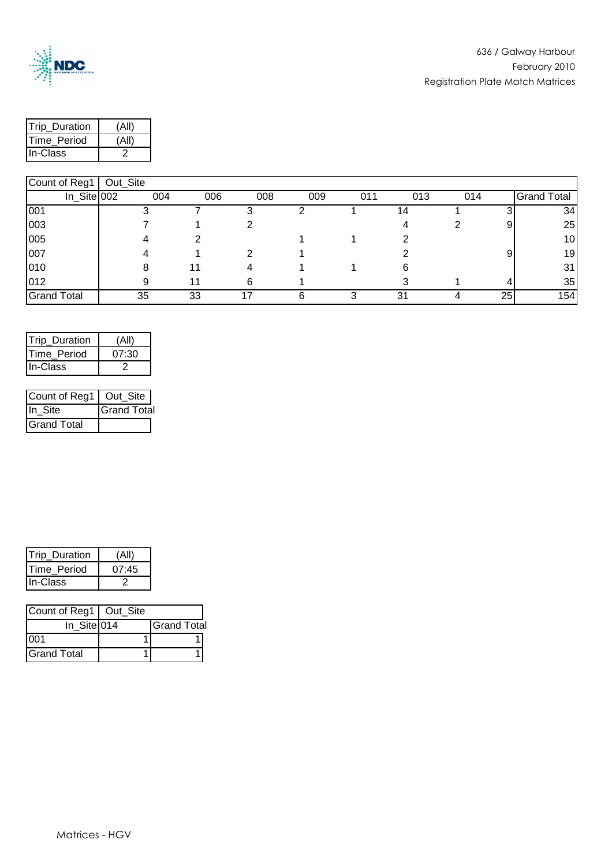

| <b>Trip Duration</b> |  |
|----------------------|--|
| <b>ITime Period</b>  |  |
| In-Class             |  |

| 1000009            | ou ono |     |     |     |     |     |     |     |    |                    |
|--------------------|--------|-----|-----|-----|-----|-----|-----|-----|----|--------------------|
| In_Site 002        |        | 004 | 006 | 008 | 009 | 011 | 013 | 014 |    | <b>Grand Total</b> |
| 001                |        |     |     |     |     |     | 4   |     |    | 34                 |
| 003                |        |     |     |     |     |     |     |     | 91 | 25                 |
| 005                |        |     |     |     |     |     |     |     |    | 10 <sub>1</sub>    |
| 007                |        |     |     |     |     |     |     |     |    | 19 <sub>l</sub>    |
| 010                |        |     |     |     |     |     |     |     |    | 31                 |
| 012                |        |     |     | 6   |     |     |     |     |    | 35                 |
| <b>Grand Total</b> |        | 35  | 33  |     |     |     | 31  |     | 25 | 154                |

| (All) |
|-------|
| 07:30 |
|       |
|       |

| Count of Reg1   Out_Site |                    |
|--------------------------|--------------------|
| IIn Site                 | <b>Grand Total</b> |
| Grand Total              |                    |

| <b>Trip Duration</b> | Α     |
|----------------------|-------|
| <b>ITime Period</b>  | 07:45 |
| <b>IIn-Class</b>     |       |

| Count of Reg1   Out_Site |                    |
|--------------------------|--------------------|
| $In_$ Site 014           | <b>Grand Total</b> |
| 001                      |                    |
| <b>Grand Total</b>       |                    |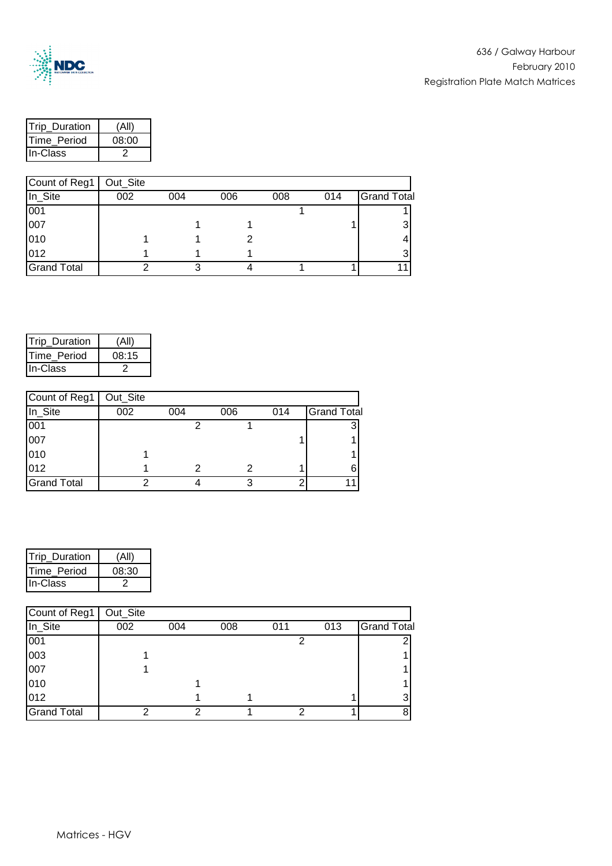

| <b>Trip Duration</b> | (All  |
|----------------------|-------|
| Time Period          | 08:00 |
| <b>IIn-Class</b>     |       |

| Count of Reg1      | Out_Site |     |     |     |     |                    |
|--------------------|----------|-----|-----|-----|-----|--------------------|
| In_Site            | 002      | 004 | 006 | 008 | 014 | <b>Grand Total</b> |
| 001                |          |     |     |     |     |                    |
| 007                |          |     |     |     |     |                    |
| 010                |          |     |     |     |     |                    |
| 012                |          |     |     |     |     |                    |
| <b>Grand Total</b> |          |     |     |     |     |                    |

| <b>Trip Duration</b> | (All  |
|----------------------|-------|
| Time Period          | 08:15 |
| In-Class             |       |

| Count of Reg1      | Out_Site |     |     |     |                    |
|--------------------|----------|-----|-----|-----|--------------------|
| In_Site            | 002      | 004 | 006 | 014 | <b>Grand Total</b> |
| 001                |          |     |     |     | e                  |
| 007                |          |     |     |     |                    |
| 010                |          |     |     |     |                    |
| 012                |          |     |     |     |                    |
| <b>Grand Total</b> | ◠        |     |     | ┍   |                    |

| Trip_Duration       |       |
|---------------------|-------|
| <b>ITime Period</b> | 08:30 |
| <b>IIn-Class</b>    |       |

| Count of Reg1      | Out_Site |     |     |     |     |                    |
|--------------------|----------|-----|-----|-----|-----|--------------------|
| In_Site            | 002      | 004 | 008 | 011 | 013 | <b>Grand Total</b> |
| 001                |          |     |     |     |     |                    |
| 003                |          |     |     |     |     |                    |
| 007                |          |     |     |     |     |                    |
| 010                |          |     |     |     |     |                    |
| 012                |          |     |     |     |     |                    |
| <b>Grand Total</b> | ◠        |     |     |     |     |                    |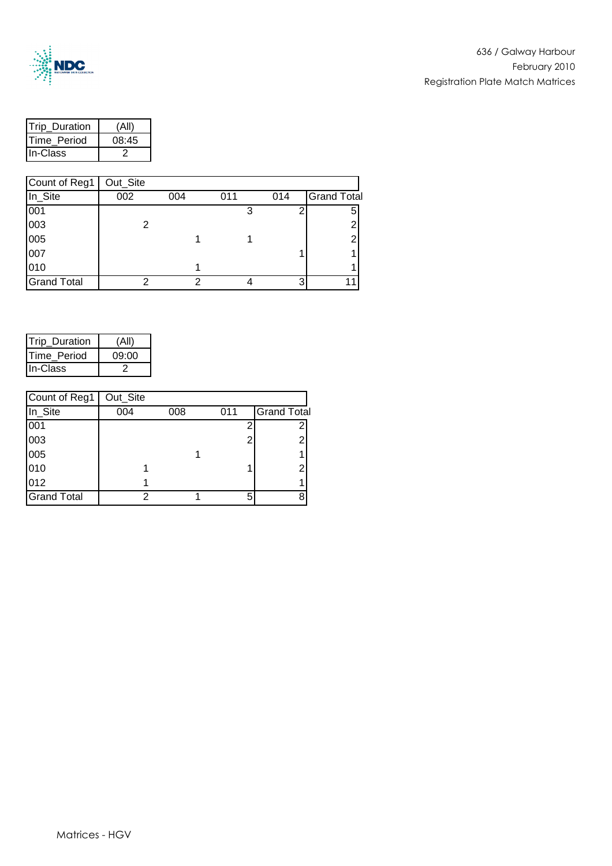

| <b>Trip Duration</b> |       |
|----------------------|-------|
| <b>ITime Period</b>  | 08:45 |
| In-Class             |       |

| Count of Reg1      | Out_Site |     |     |     |                    |
|--------------------|----------|-----|-----|-----|--------------------|
| In_Site            | 002      | 004 | 011 | 014 | <b>Grand Total</b> |
| 001                |          |     | 3   |     | 5                  |
| 003                | 2        |     |     |     | ◠                  |
| 005                |          |     |     |     | ◠                  |
| 007                |          |     |     |     |                    |
| 010                |          |     |     |     |                    |
| <b>Grand Total</b> |          |     |     | ◠   |                    |

| Trip_Duration | (All) |
|---------------|-------|
| Time Period   | 09:00 |
| In-Class      |       |

| Count of Reg1      | Out_Site |     |     |                    |
|--------------------|----------|-----|-----|--------------------|
| In_Site            | 004      | 008 | 011 | <b>Grand Total</b> |
| 001                |          |     |     |                    |
| 003                |          |     | Ω   | 2                  |
| 005                |          |     |     |                    |
| 010                |          |     |     | 2                  |
| 012                |          |     |     |                    |
| <b>Grand Total</b> |          |     |     | 8                  |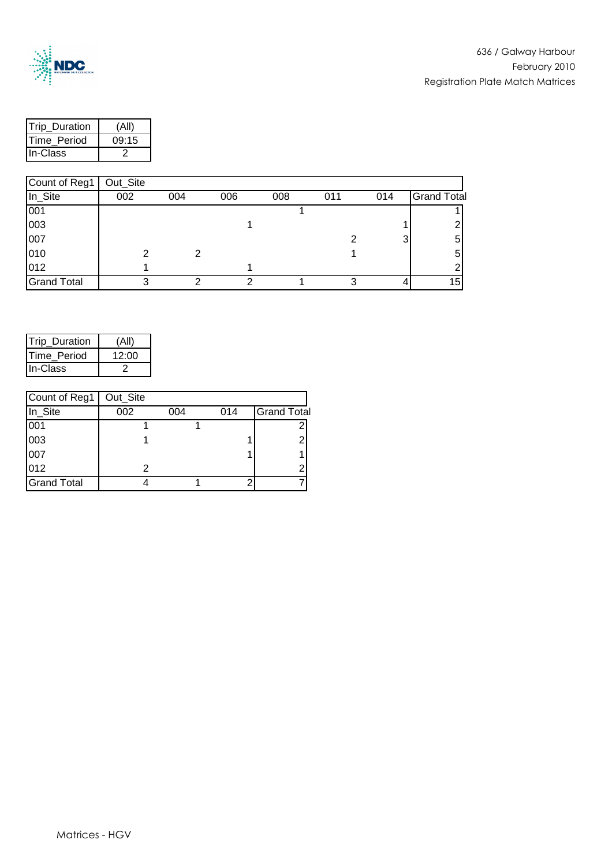

| <b>ITrip Duration</b> | (Al   |
|-----------------------|-------|
| Time Period           | 09:15 |
| <b>In-Class</b>       |       |

| Count of Reg1      | Out_Site |     |     |     |     |     |                    |
|--------------------|----------|-----|-----|-----|-----|-----|--------------------|
| In_Site            | 002      | 004 | 006 | 008 | 011 | 014 | <b>Grand Total</b> |
| 001                |          |     |     |     |     |     |                    |
| 003                |          |     |     |     |     |     |                    |
| 007                |          |     |     |     |     | 3   | 5                  |
| 010                |          | 2   |     |     |     |     | 5                  |
| 012                |          |     |     |     |     |     |                    |
| <b>Grand Total</b> | 3        | ◠   | n   |     | っ   |     | 15 <sub>1</sub>    |

| Trip_Duration       | (Al   |
|---------------------|-------|
| <b>ITime Period</b> | 12:00 |
| <b>IIn-Class</b>    |       |

| Count of Reg1      | Out_Site |     |     |                    |
|--------------------|----------|-----|-----|--------------------|
| In_Site            | 002      | 004 | 014 | <b>Grand Total</b> |
| 001                |          |     |     | 2                  |
| 003                |          |     |     | 2                  |
| 007                |          |     |     |                    |
| 012                |          |     |     | ◠                  |
| <b>Grand Total</b> |          |     |     |                    |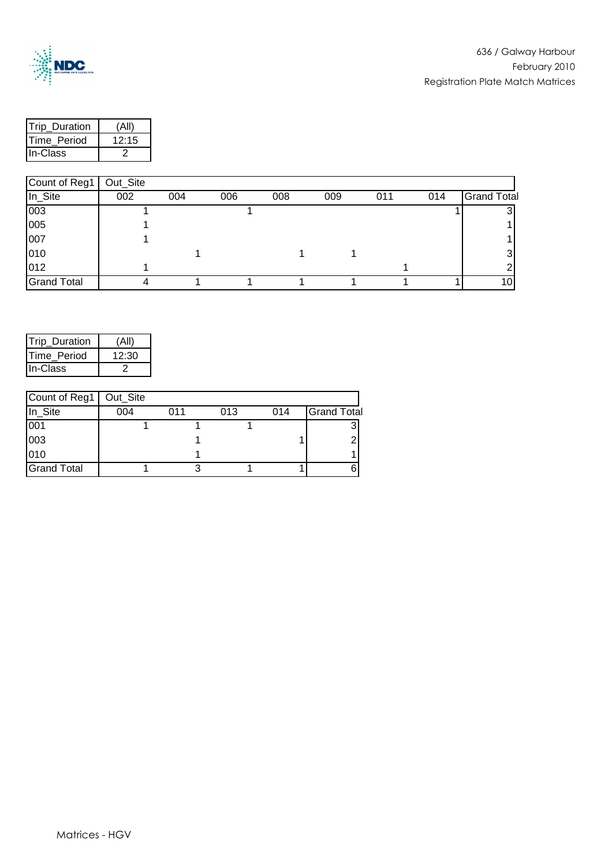

| <b>ITrip Duration</b> | ۰Δ۰   |
|-----------------------|-------|
| <b>ITime Period</b>   | 12.15 |
| <b>In-Class</b>       |       |

| Count of Reg1      | Out_Site |     |     |     |     |     |     |                    |
|--------------------|----------|-----|-----|-----|-----|-----|-----|--------------------|
| In_Site            | 002      | 004 | 006 | 008 | 009 | 011 | 014 | <b>Grand Total</b> |
| 003                |          |     |     |     |     |     |     |                    |
| 005                |          |     |     |     |     |     |     |                    |
| 007                |          |     |     |     |     |     |     |                    |
| 010                |          |     |     |     |     |     |     |                    |
| 012                |          |     |     |     |     |     |     |                    |
| <b>Grand Total</b> |          |     |     |     |     |     |     | 10I                |

| <b>Trip Duration</b> | (Al   |
|----------------------|-------|
| Time Period          | 12:30 |
| IIn-Class            |       |

| Count of Reg1      | Out_Site |     |     |     |                    |
|--------------------|----------|-----|-----|-----|--------------------|
| In_Site            | 004      | 011 | 013 | 014 | <b>Grand Total</b> |
| 001                |          |     |     |     |                    |
| 003                |          |     |     |     |                    |
| 010                |          |     |     |     |                    |
| <b>Grand Total</b> |          |     |     |     |                    |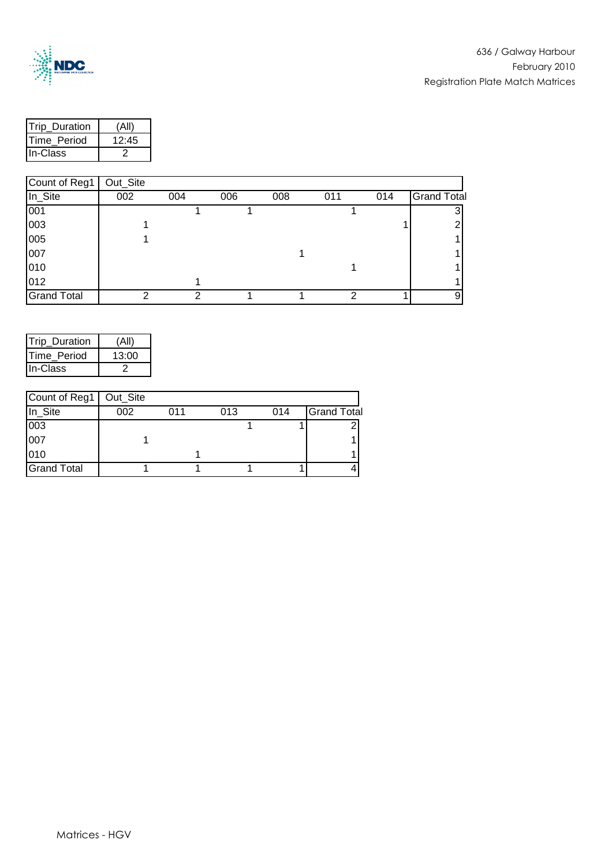

| <b>Trip Duration</b> |       |
|----------------------|-------|
| <b>ITime Period</b>  | 12:45 |
| IIn-Class            |       |

| Count of Reg1      | Out_Site |     |     |     |     |     |                    |
|--------------------|----------|-----|-----|-----|-----|-----|--------------------|
| In_Site            | 002      | 004 | 006 | 008 | 011 | 014 | <b>Grand Total</b> |
| 001                |          |     |     |     |     |     |                    |
| 003                |          |     |     |     |     |     |                    |
| 005                |          |     |     |     |     |     |                    |
| 007                |          |     |     |     |     |     |                    |
| 010                |          |     |     |     |     |     |                    |
| 012                |          |     |     |     |     |     |                    |
| <b>Grand Total</b> | າ        | っ   |     |     | 2   |     | 9                  |

| Trip Duration       | (Ali  |
|---------------------|-------|
| <b>ITime Period</b> | 13:00 |
| In-Class            |       |

| Count of Reg1   Out_Site |     |     |     |     |                    |
|--------------------------|-----|-----|-----|-----|--------------------|
| In_Site                  | 002 | 011 | 013 | 014 | <b>Grand Total</b> |
| 003                      |     |     |     |     |                    |
| 007                      |     |     |     |     |                    |
| 010                      |     |     |     |     |                    |
| <b>Grand Total</b>       |     |     |     |     |                    |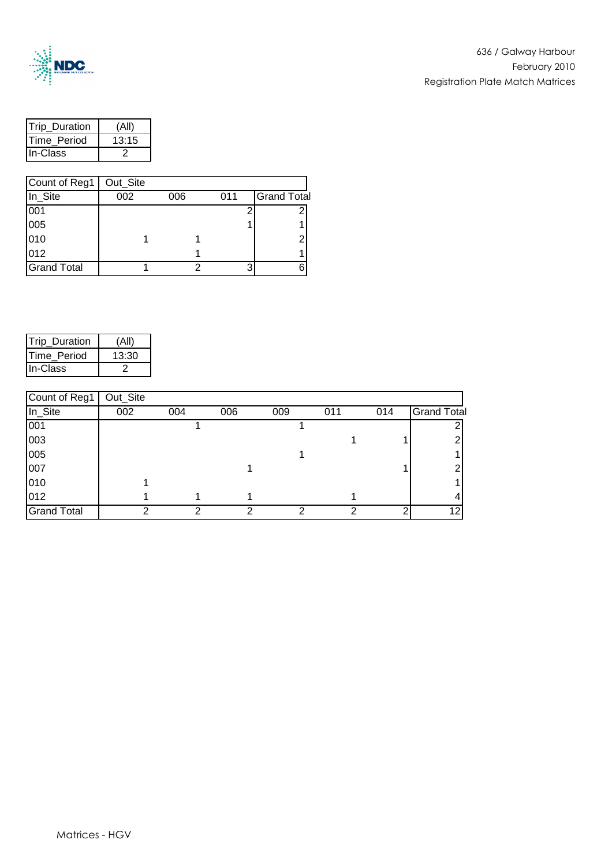

| <b>Trip Duration</b> |       |
|----------------------|-------|
| <b>ITime Period</b>  | 13:15 |
| In-Class             |       |

| Count of Reg1      | Out_Site |     |     |                    |
|--------------------|----------|-----|-----|--------------------|
| In_Site            | 002      | 006 | 011 | <b>Grand Total</b> |
| 001                |          |     |     |                    |
| 005                |          |     |     |                    |
| 010                |          |     |     | ◠                  |
| 012                |          |     |     |                    |
| <b>Grand Total</b> |          |     |     |                    |

| <b>Trip Duration</b> |       |
|----------------------|-------|
| Time Period          | 13:30 |
| IIn-Class            |       |

| Count of Reg1      | Out_Site |     |     |     |     |     |                    |
|--------------------|----------|-----|-----|-----|-----|-----|--------------------|
| In_Site            | 002      | 004 | 006 | 009 | 011 | 014 | <b>Grand Total</b> |
| 001                |          |     |     |     |     |     |                    |
| 003                |          |     |     |     |     |     |                    |
| 005                |          |     |     |     |     |     |                    |
| 007                |          |     |     |     |     |     |                    |
| 010                |          |     |     |     |     |     |                    |
| 012                |          |     |     |     |     |     |                    |
| <b>Grand Total</b> | ⌒        | ⌒   | ົ   |     | ⌒   | ◠   | 12                 |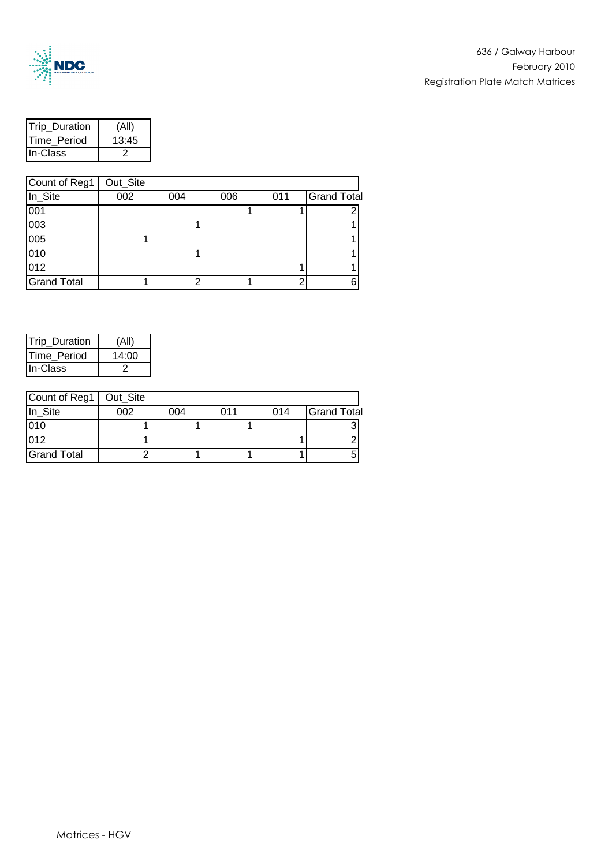

| <b>Trip Duration</b> |       |
|----------------------|-------|
| <b>ITime Period</b>  | 13:45 |
| In-Class             |       |

| Count of Reg1      | Out_Site |     |     |     |                    |
|--------------------|----------|-----|-----|-----|--------------------|
| In_Site            | 002      | 004 | 006 | 011 | <b>Grand Total</b> |
| 001                |          |     |     |     |                    |
| 003                |          |     |     |     |                    |
| 005                |          |     |     |     |                    |
| 010                |          |     |     |     |                    |
| 012                |          |     |     |     |                    |
| <b>Grand Total</b> |          |     |     |     | 6                  |

| Trip_Duration       |       |
|---------------------|-------|
| <b>ITime Period</b> | 14:00 |
| <b>In-Class</b>     |       |

| Count of Reg1   Out_Site |     |     |     |     |                    |
|--------------------------|-----|-----|-----|-----|--------------------|
| In Site                  | 002 | 004 | በ11 | 014 | <b>Grand Total</b> |
| 010                      |     |     |     |     |                    |
| 012                      |     |     |     |     |                    |
| <b>Grand Total</b>       |     |     |     |     |                    |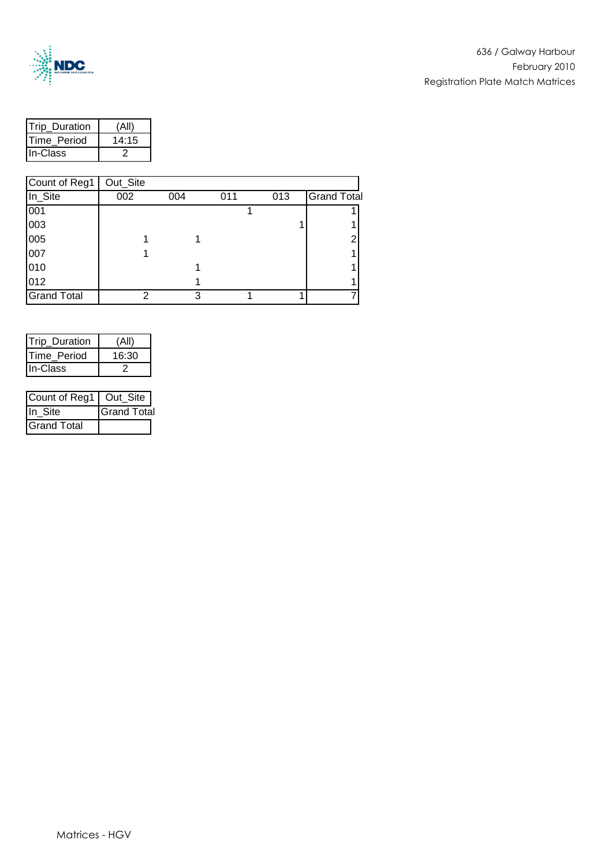

| <b>ITrip Duration</b> |       |
|-----------------------|-------|
| <b>ITime Period</b>   | 14:15 |
| In-Class              |       |

| Count of Reg1      | Out_Site |     |     |     |                    |
|--------------------|----------|-----|-----|-----|--------------------|
| In_Site            | 002      | 004 | 011 | 013 | <b>Grand Total</b> |
| 001                |          |     |     |     |                    |
| 003                |          |     |     |     |                    |
| 005                |          |     |     |     |                    |
| 007                |          |     |     |     |                    |
| 010                |          |     |     |     |                    |
| 012                |          |     |     |     |                    |
| <b>Grand Total</b> | っ        | 3   |     |     |                    |

| <b>Trip Duration</b> |       |
|----------------------|-------|
| <b>ITime Period</b>  | 16:30 |
| <b>IIn-Class</b>     |       |

| Count of Reg1   Out_Site |                    |
|--------------------------|--------------------|
| IIn Site                 | <b>Grand Total</b> |
| <b>Grand Total</b>       |                    |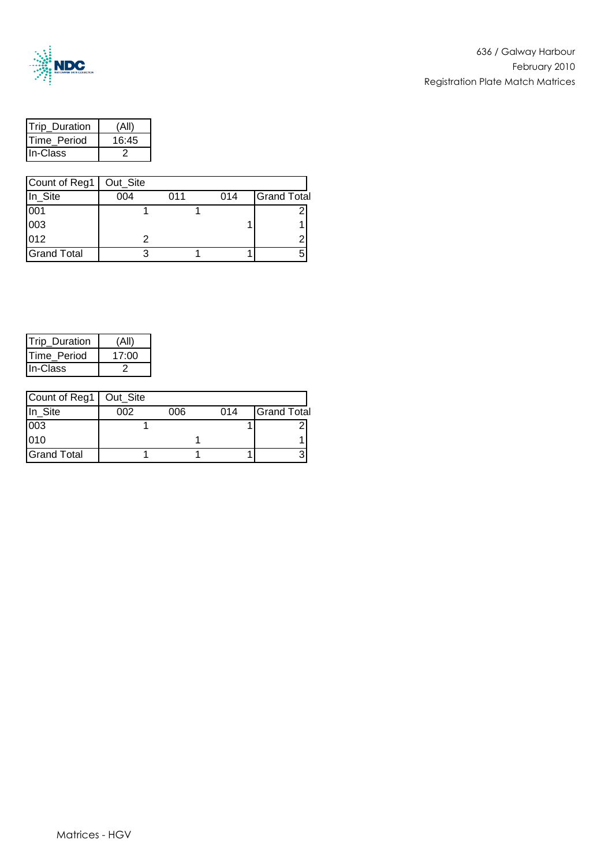

| <b>ITrip Duration</b> | (All  |
|-----------------------|-------|
| <b>ITime Period</b>   | 16:45 |
| <b>In-Class</b>       |       |

| Count of Reg1   Out_Site |     |     |     |                    |
|--------------------------|-----|-----|-----|--------------------|
| In_Site                  | 004 | 011 | 014 | <b>Grand Total</b> |
| 001                      |     |     |     |                    |
| 003                      |     |     |     |                    |
| 012                      |     |     |     | ◠                  |
| <b>Grand Total</b>       |     |     |     |                    |

| <b>Trip Duration</b> |       |
|----------------------|-------|
| <b>ITime Period</b>  | 17:00 |
| <b>In-Class</b>      |       |

| Count of Reg1   Out_Site |     |     |     |                    |
|--------------------------|-----|-----|-----|--------------------|
| In Site                  | ററാ | 006 | 014 | <b>Grand Total</b> |
| 003                      |     |     |     |                    |
| 010                      |     |     |     |                    |
| <b>Grand Total</b>       |     |     |     |                    |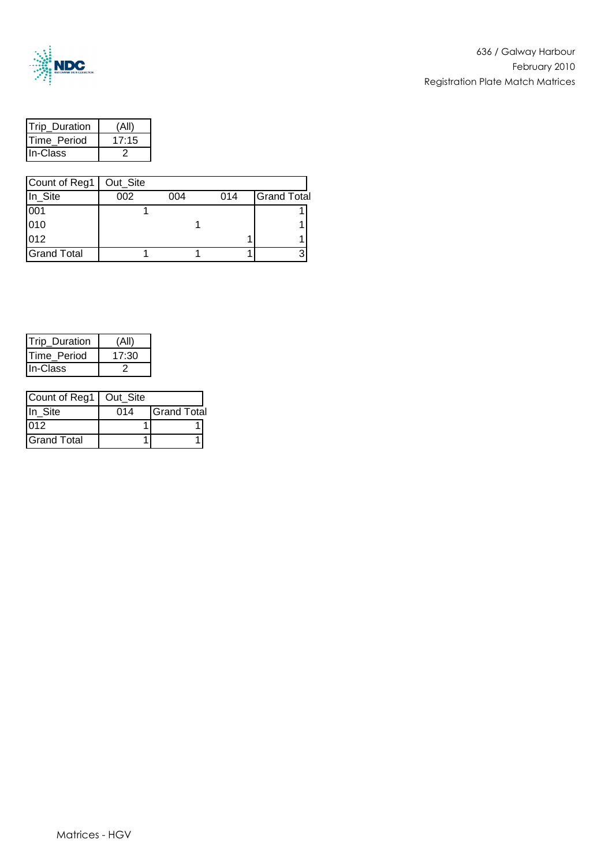

| <b>ITrip Duration</b> | (All  |
|-----------------------|-------|
| <b>ITime Period</b>   | 17.15 |
| <b>In-Class</b>       |       |

| Count of Reg1   Out_Site |                                         |  |  |   |
|--------------------------|-----------------------------------------|--|--|---|
| In_Site                  | <b>Grand Total</b><br>002<br>004<br>014 |  |  |   |
| 001                      |                                         |  |  |   |
| 010                      |                                         |  |  |   |
| 012                      |                                         |  |  |   |
| <b>Grand Total</b>       |                                         |  |  | ົ |

| <b>Trip Duration</b> |      |
|----------------------|------|
| Time Period          | 1730 |
| <b>In-Class</b>      |      |

| Count of Reg1   Out_Site |     |                    |
|--------------------------|-----|--------------------|
| In Site                  | 014 | <b>Grand Total</b> |
| 012                      |     |                    |
| <b>Grand Total</b>       |     |                    |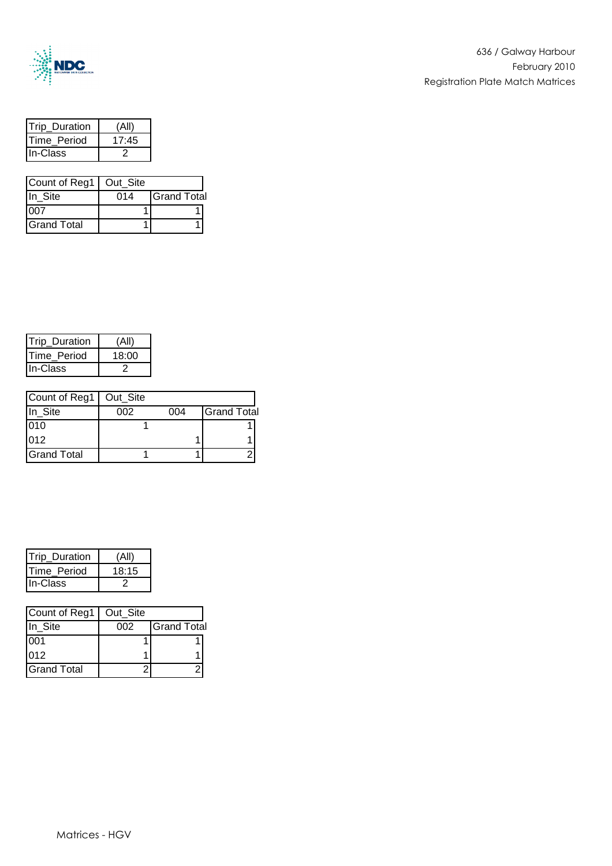

| Trip Duration |       |
|---------------|-------|
| Time Period   | 17:45 |
| In-Class      |       |

| Count of Reg1   Out_Site |     |                    |
|--------------------------|-----|--------------------|
| In Site                  | 014 | <b>Grand Total</b> |
|                          |     |                    |
| <b>Grand Total</b>       |     |                    |

| <b>ITrip Duration</b> |       |
|-----------------------|-------|
| <b>ITime Period</b>   | 18:00 |
| <b>In-Class</b>       |       |

| Count of Reg1   Out_Site |     |     |                    |
|--------------------------|-----|-----|--------------------|
| In_Site                  | 002 | 004 | <b>Grand Total</b> |
| 010                      |     |     |                    |
| 012                      |     |     |                    |
| <b>Grand Total</b>       |     |     |                    |

| Trip_Duration    |       |
|------------------|-------|
| Time Period      | 18:15 |
| <b>IIn-Class</b> |       |

| Count of Reg1      | Out Site |                    |
|--------------------|----------|--------------------|
| In Site            | 002      | <b>Grand Total</b> |
| 001                |          |                    |
| 012                |          |                    |
| <b>Grand Total</b> |          |                    |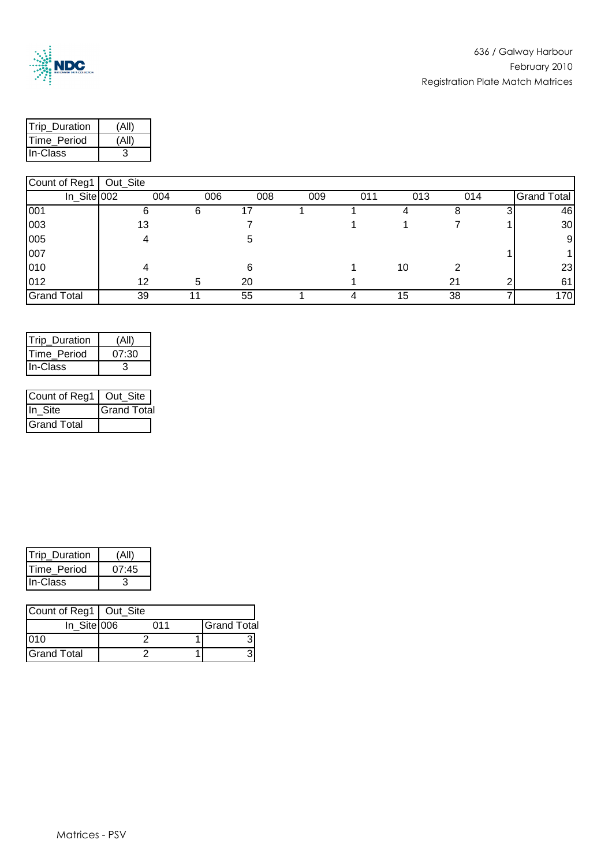

| <b>ITrip Duration</b> |  |
|-----------------------|--|
| <b>ITime Period</b>   |  |
| In-Class              |  |

| $100$ unturiyyi    | <b>Out_Oite</b> |     |     |     |     |     |     |     |             |
|--------------------|-----------------|-----|-----|-----|-----|-----|-----|-----|-------------|
|                    | $In$ Site 002   | 004 | 006 | 008 | 009 | 011 | 013 | 014 | Grand Total |
| $\overline{0}01$   |                 | 6   | 6   |     |     |     |     |     | 46          |
| 003                |                 | 13  |     |     |     |     |     |     | 30          |
| 005                |                 |     |     | 5   |     |     |     |     | 9           |
| 007                |                 |     |     |     |     |     |     |     |             |
| 010                |                 |     |     | 6   |     |     | 10  |     | 23          |
| 012                |                 | 12  | 5   | 20  |     |     |     | 21  | 61          |
| <b>Grand Total</b> |                 | 39  |     | 55  |     |     | 15  | 38  | 170         |

| (All) |
|-------|
| 07:30 |
|       |
|       |

| Count of Reg1   Out_Site |                    |
|--------------------------|--------------------|
| IIn Site                 | <b>Grand Total</b> |
| <b>Grand Total</b>       |                    |

| <b>Trip Duration</b> | (All) |
|----------------------|-------|
| Time_Period          | 07:45 |
| In-Class             |       |

| Count of Reg1   Out_Site |     |                    |
|--------------------------|-----|--------------------|
| In_Site 006              | 011 | <b>Grand Total</b> |
| 010                      |     |                    |
| <b>Grand Total</b>       |     |                    |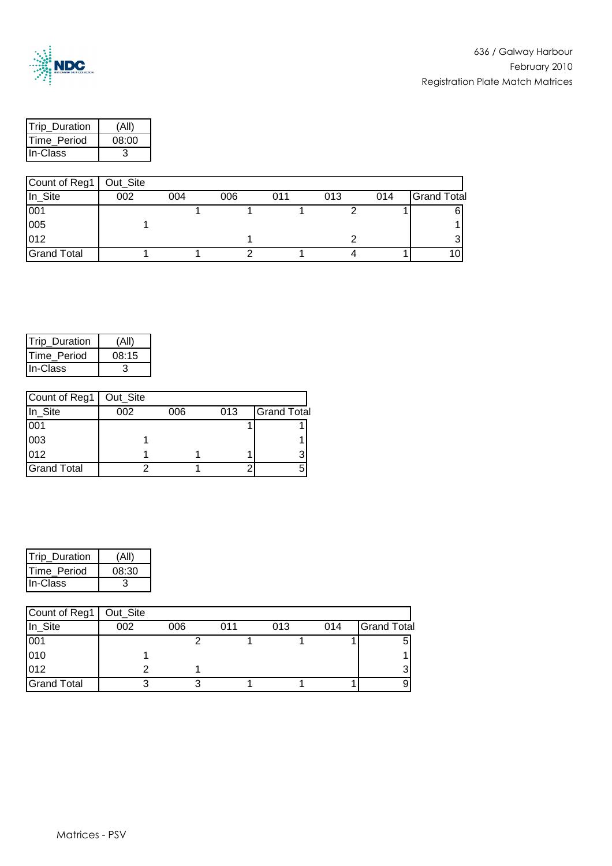

| <b>ITrip Duration</b> | (Ar   |
|-----------------------|-------|
| <b>ITime Period</b>   | 08:00 |
| <b>In-Class</b>       |       |

| Count of Reg1   Out_Site |     |     |     |     |     |     |                    |
|--------------------------|-----|-----|-----|-----|-----|-----|--------------------|
| In_Site                  | 002 | 004 | 006 | 011 | 013 | 014 | <b>Grand Total</b> |
| 001                      |     |     |     |     |     |     | 61                 |
| 005                      |     |     |     |     |     |     |                    |
| 012                      |     |     |     |     |     |     |                    |
| <b>Grand Total</b>       |     |     |     |     |     |     | וטו                |

| Trip_Duration       | (All  |
|---------------------|-------|
| <b>ITime Period</b> | 08:15 |
| <b>IIn-Class</b>    |       |

| Count of Reg1   Out_Site |     |     |     |                    |
|--------------------------|-----|-----|-----|--------------------|
| In_Site                  | 002 | 006 | 013 | <b>Grand Total</b> |
| 001                      |     |     |     |                    |
| 003                      |     |     |     |                    |
| 012                      |     |     |     | 2                  |
| <b>Grand Total</b>       |     |     |     |                    |

| <b>ITrip Duration</b> |       |
|-----------------------|-------|
| <b>ITime Period</b>   | 08:30 |
| IIn-Class             |       |

| Count of Reg1      | Out_Site |     |     |     |     |                    |
|--------------------|----------|-----|-----|-----|-----|--------------------|
| In_Site            | 002      | 006 | 011 | 013 | 014 | <b>Grand Total</b> |
| 001                |          |     |     |     |     |                    |
| 010                |          |     |     |     |     |                    |
| 012                |          |     |     |     |     |                    |
| <b>Grand Total</b> |          |     |     |     |     |                    |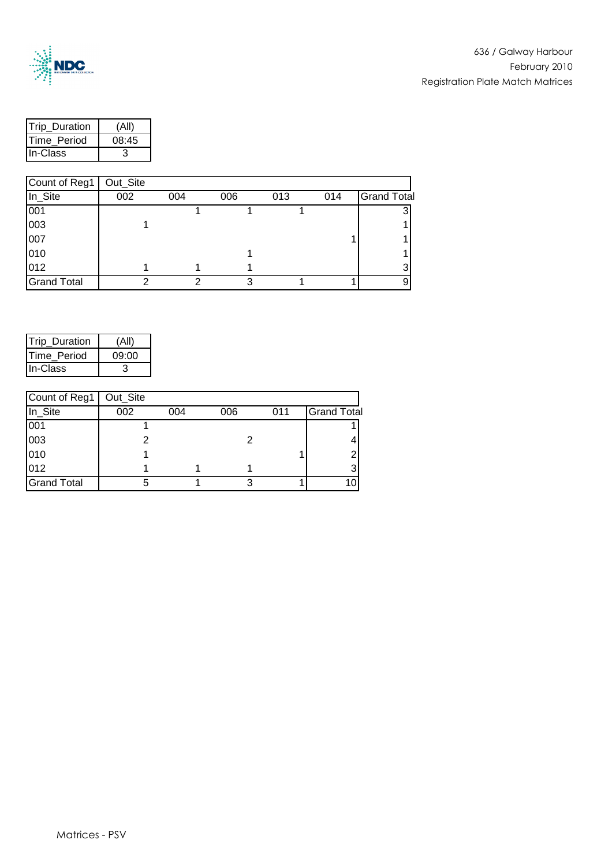

| <b>ITrip Duration</b> |       |
|-----------------------|-------|
| <b>ITime Period</b>   | 08:45 |
| In-Class              |       |

| Count of Reg1      | Out_Site |     |     |     |     |                    |
|--------------------|----------|-----|-----|-----|-----|--------------------|
| In_Site            | 002      | 004 | 006 | 013 | 014 | <b>Grand Total</b> |
| 001                |          |     |     |     |     |                    |
| 003                |          |     |     |     |     |                    |
| 007                |          |     |     |     |     |                    |
| 010                |          |     |     |     |     |                    |
| 012                |          |     |     |     |     |                    |
| <b>Grand Total</b> |          |     |     |     |     |                    |

| Trip_Duration       | (All' |
|---------------------|-------|
| <b>ITime Period</b> | 09:00 |
| <b>IIn-Class</b>    |       |

| Count of Reg1      | Out_Site |     |     |     |                    |
|--------------------|----------|-----|-----|-----|--------------------|
| In_Site            | 002      | 004 | 006 | 011 | <b>Grand Total</b> |
| 001                |          |     |     |     |                    |
| 003                |          |     |     |     |                    |
| 010                |          |     |     |     |                    |
| 012                |          |     |     |     |                    |
| <b>Grand Total</b> | 5        |     |     |     |                    |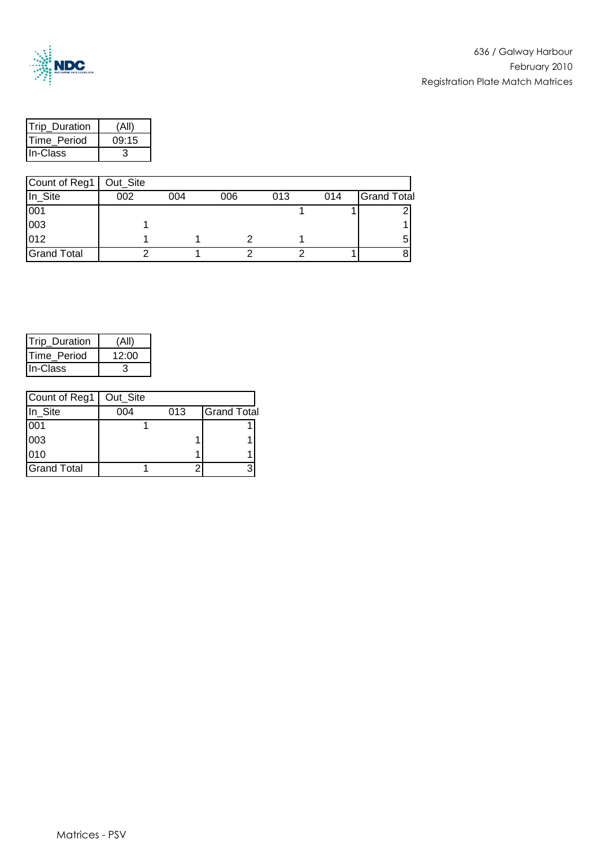

| <b>Trip Duration</b> |       |
|----------------------|-------|
| <b>ITime Period</b>  | 09:15 |
| <b>In-Class</b>      |       |

| Count of Reg1   Out_Site |     |     |     |     |     |                    |
|--------------------------|-----|-----|-----|-----|-----|--------------------|
| In_Site                  | 002 | 004 | 006 | 013 | 014 | <b>Grand Total</b> |
| 001                      |     |     |     |     |     |                    |
| 003                      |     |     |     |     |     |                    |
| 012                      |     |     |     |     |     |                    |
| <b>Grand Total</b>       |     |     |     |     |     |                    |

| <b>Trip Duration</b> |       |
|----------------------|-------|
| <b>ITime Period</b>  | 12:00 |
| <b>In-Class</b>      |       |

| Count of Reg1      | Out_Site |     |                    |
|--------------------|----------|-----|--------------------|
| In_Site            | 004      | 013 | <b>Grand Total</b> |
| 001                |          |     |                    |
| 003                |          |     |                    |
| 010                |          |     |                    |
| <b>Grand Total</b> |          |     |                    |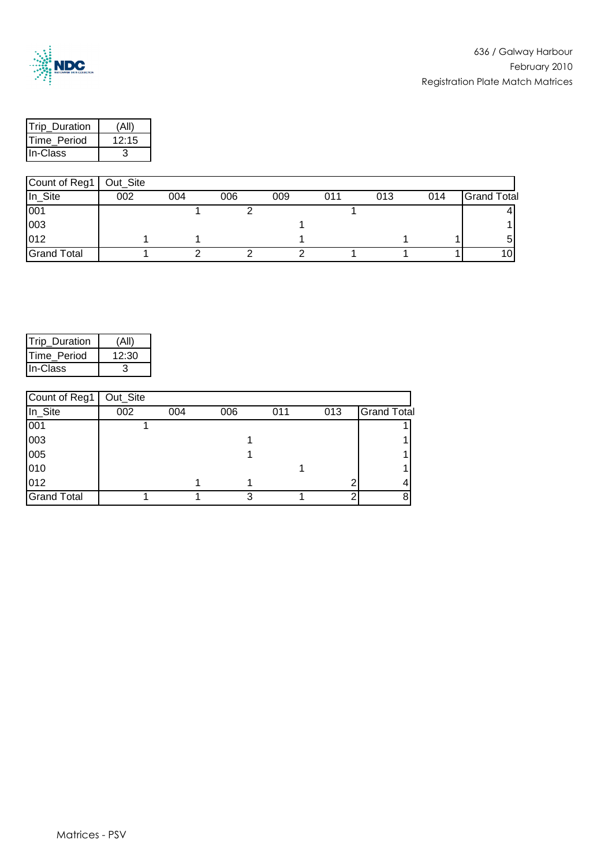

| <b>ITrip Duration</b> |       |
|-----------------------|-------|
| <b>ITime Period</b>   | 12:15 |
| In-Class              |       |

| Count of Reg1      | Out_Site |     |     |     |     |     |     |                    |
|--------------------|----------|-----|-----|-----|-----|-----|-----|--------------------|
| In_Site            | 002      | 004 | 006 | 009 | 011 | 013 | 014 | <b>Grand Total</b> |
| 001                |          |     |     |     |     |     |     |                    |
| 003                |          |     |     |     |     |     |     |                    |
| 012                |          |     |     |     |     |     |     |                    |
| <b>Grand Total</b> |          |     |     |     |     |     |     | 101                |

| <b>ITrip Duration</b> |       |
|-----------------------|-------|
| <b>ITime Period</b>   | 12:30 |
| <b>I</b> In-Class     |       |

| Count of Reg1      | Out_Site |     |     |     |     |                    |
|--------------------|----------|-----|-----|-----|-----|--------------------|
| In_Site            | 002      | 004 | 006 | 011 | 013 | <b>Grand Total</b> |
| 001                |          |     |     |     |     |                    |
| 003                |          |     |     |     |     |                    |
| 005                |          |     |     |     |     |                    |
| 010                |          |     |     |     |     |                    |
| 012                |          |     |     |     |     |                    |
| <b>Grand Total</b> |          |     |     |     |     |                    |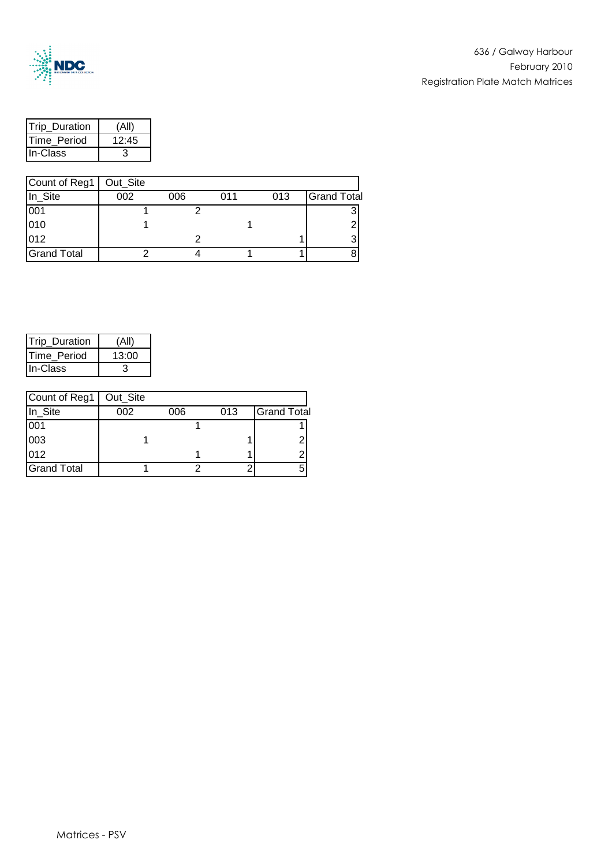

| <b>ITrip Duration</b> | í ΔI  |
|-----------------------|-------|
| Time Period           | 12.45 |
| IIn-Class             |       |

| Count of Reg1      | Out_Site |     |     |     |                    |
|--------------------|----------|-----|-----|-----|--------------------|
| In_Site            | 002      | 006 | 011 | 013 | <b>Grand Total</b> |
| 001                |          |     |     |     |                    |
| 010                |          |     |     |     |                    |
| 012                |          |     |     |     |                    |
| <b>Grand Total</b> |          |     |     |     |                    |

| <b>Trip Duration</b> |       |
|----------------------|-------|
| <b>ITime Period</b>  | 13:00 |
| <b>IIn-Class</b>     |       |

| Count of Reg1      | Out_Site |     |     |                    |
|--------------------|----------|-----|-----|--------------------|
| In_Site            | 002      | 006 | 013 | <b>Grand Total</b> |
| 001                |          |     |     |                    |
| 003                |          |     |     | ົ                  |
| 012                |          |     |     | ◠                  |
| <b>Grand Total</b> |          |     |     |                    |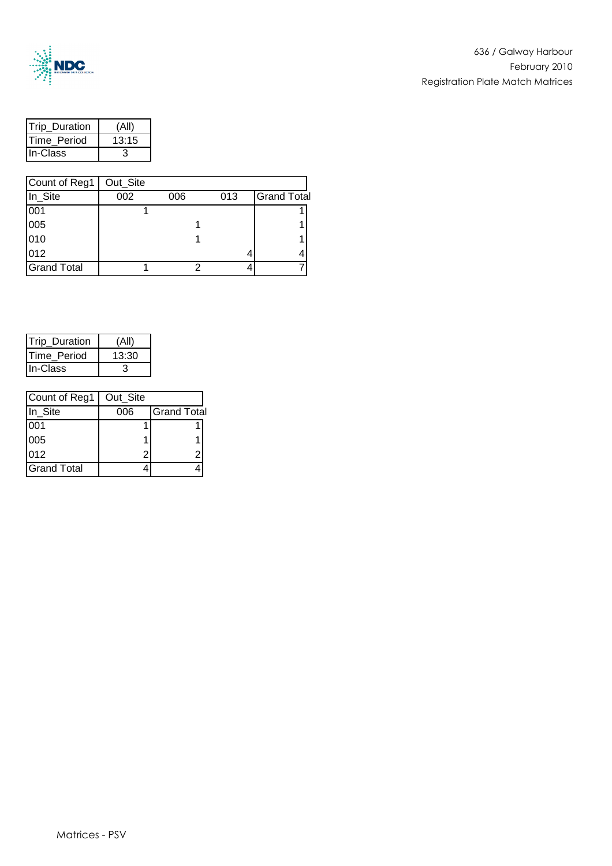

| <b>Trip Duration</b> | (Al   |
|----------------------|-------|
| Time Period          | 13:15 |
| <b>In-Class</b>      |       |

| Count of Reg1      | Out_Site |     |     |                    |
|--------------------|----------|-----|-----|--------------------|
| In_Site            | 002      | 006 | 013 | <b>Grand Total</b> |
| 001                |          |     |     |                    |
| 005                |          |     |     |                    |
| 010                |          |     |     |                    |
| 012                |          |     |     |                    |
| <b>Grand Total</b> |          |     |     |                    |

| <b>Trip Duration</b> |       |
|----------------------|-------|
| <b>ITime Period</b>  | 13:30 |
| <b>In-Class</b>      |       |

| Count of Reg1      | Out_Site |                    |
|--------------------|----------|--------------------|
| In_Site            | 006      | <b>Grand Total</b> |
| 001                |          |                    |
| 005                |          |                    |
| 012                | 2        |                    |
| <b>Grand Total</b> |          |                    |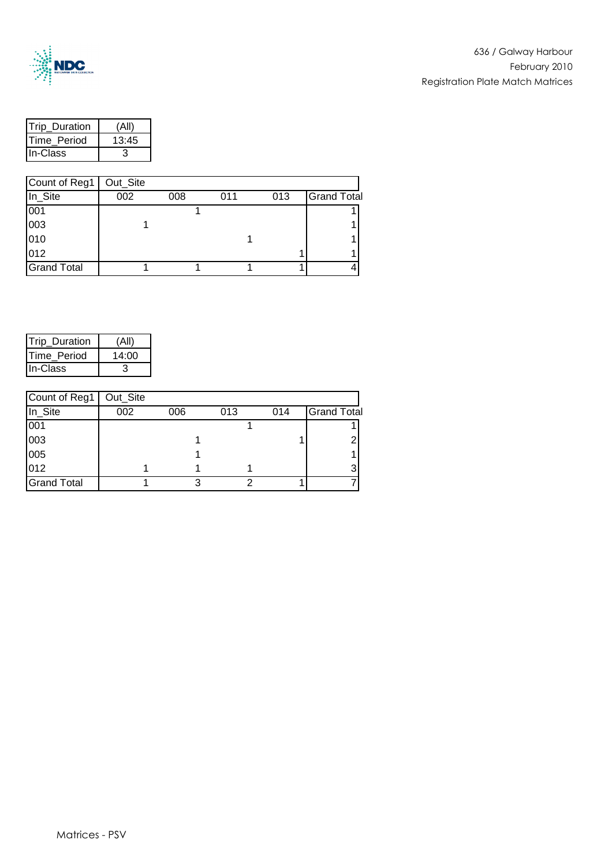

| <b>Trip Duration</b> |       |
|----------------------|-------|
| <b>ITime Period</b>  | 13:45 |
| In-Class             |       |

| Count of Reg1      | Out_Site |     |     |     |                    |
|--------------------|----------|-----|-----|-----|--------------------|
| In_Site            | 002      | 008 | 011 | 013 | <b>Grand Total</b> |
| 001                |          |     |     |     |                    |
| 003                |          |     |     |     |                    |
| 010                |          |     |     |     |                    |
| 012                |          |     |     |     |                    |
| <b>Grand Total</b> |          |     |     |     |                    |

| <b>Trip Duration</b> |       |
|----------------------|-------|
| <b>ITime Period</b>  | 14:00 |
| <b>In-Class</b>      |       |

| Count of Reg1      | Out_Site |     |     |     |                    |
|--------------------|----------|-----|-----|-----|--------------------|
| In_Site            | 002      | 006 | 013 | 014 | <b>Grand Total</b> |
| 001                |          |     |     |     |                    |
| 003                |          |     |     |     |                    |
| 005                |          |     |     |     |                    |
| 012                |          |     |     |     |                    |
| <b>Grand Total</b> |          |     |     |     |                    |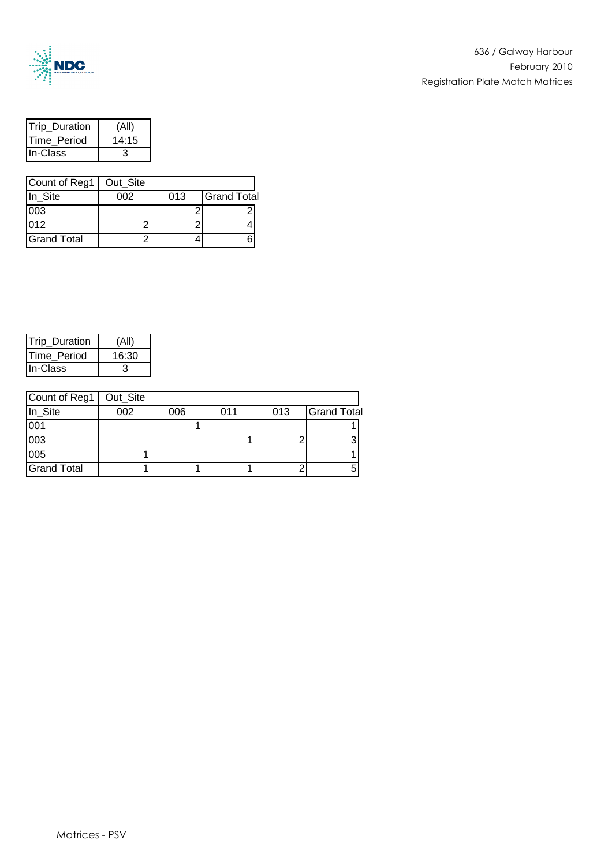

| <b>Trip Duration</b> |       |
|----------------------|-------|
| <b>Time Period</b>   | 14:15 |
| lln-Class            |       |

| Count of Reg1   Out_Site |     |     |                    |
|--------------------------|-----|-----|--------------------|
| In_Site                  | ററാ | 013 | <b>Grand Total</b> |
| 003                      |     |     |                    |
| 012                      |     |     |                    |
| <b>Grand Total</b>       |     |     |                    |

| <b>Trip Duration</b> |       |
|----------------------|-------|
| Time Period          | 16:30 |
| IIn-Class            |       |

| Count of Reg1      | Out_Site |     |     |     |                    |
|--------------------|----------|-----|-----|-----|--------------------|
| In_Site            | 002      | 006 | 011 | 013 | <b>Grand Total</b> |
| 001                |          |     |     |     |                    |
| 003                |          |     |     |     |                    |
| 005                |          |     |     |     |                    |
| <b>Grand Total</b> |          |     |     |     |                    |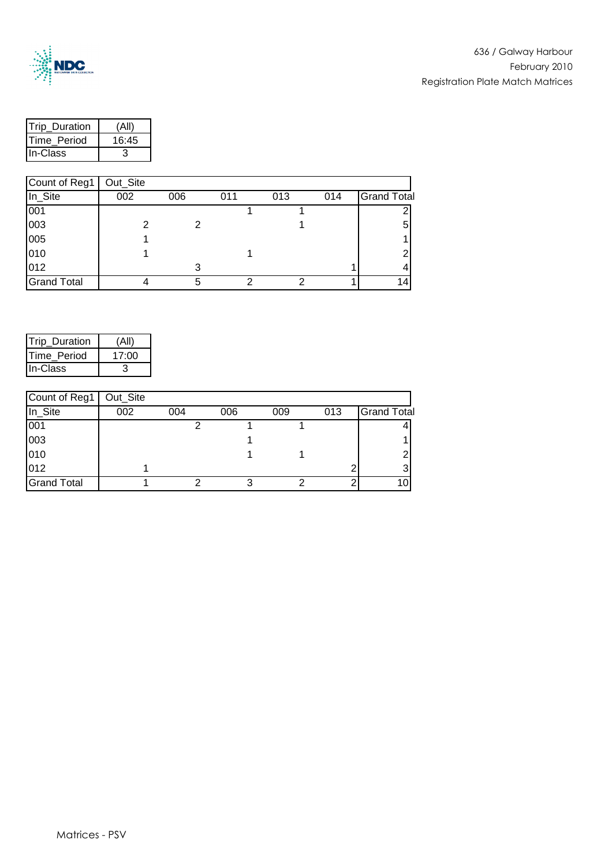

| <b>ITrip Duration</b> | (Al   |
|-----------------------|-------|
| <b>ITime Period</b>   | 16:45 |
| <b>IIn-Class</b>      |       |

| Count of Reg1      | Out_Site |     |     |     |     |                    |
|--------------------|----------|-----|-----|-----|-----|--------------------|
| In_Site            | 002      | 006 | 011 | 013 | 014 | <b>Grand Total</b> |
| 001                |          |     |     |     |     |                    |
| 003                |          |     |     |     |     | 5                  |
| 005                |          |     |     |     |     |                    |
| 010                |          |     |     |     |     |                    |
| 012                |          | 3   |     |     |     |                    |
| <b>Grand Total</b> |          |     |     |     |     |                    |

| Trip_Duration       | (All  |
|---------------------|-------|
| <b>ITime Period</b> | 17:00 |
| <b>In-Class</b>     |       |

| Count of Reg1      | Out_Site |     |     |     |     |                    |
|--------------------|----------|-----|-----|-----|-----|--------------------|
| In_Site            | 002      | 004 | 006 | 009 | 013 | <b>Grand Total</b> |
| 001                |          |     |     |     |     |                    |
| 003                |          |     |     |     |     |                    |
| 010                |          |     |     |     |     |                    |
| 012                |          |     |     |     |     |                    |
| <b>Grand Total</b> |          |     |     |     |     |                    |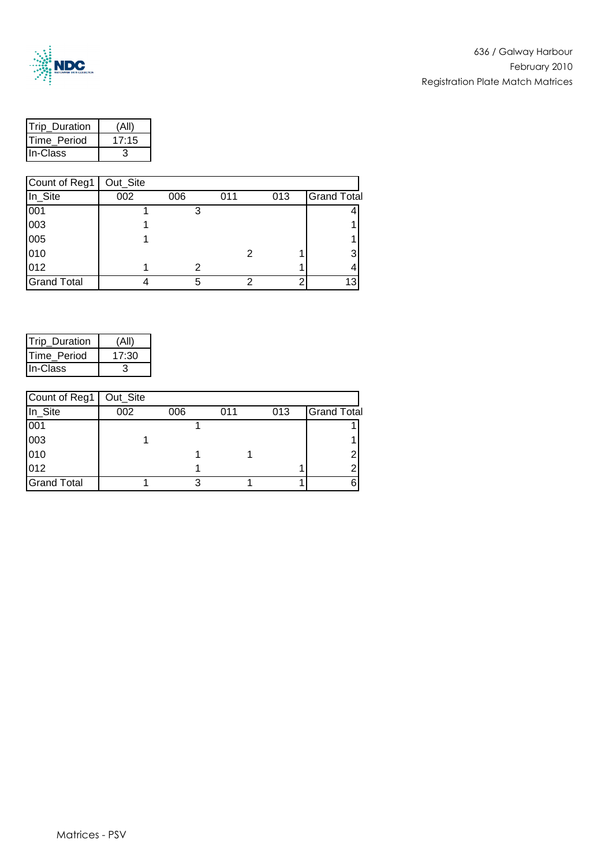

| <b>ITrip Duration</b> | í ΔI  |
|-----------------------|-------|
| Time Period           | 17.15 |
| In-Class              |       |

| Count of Reg1      | Out_Site |     |     |     |                    |
|--------------------|----------|-----|-----|-----|--------------------|
| In_Site            | 002      | 006 | 011 | 013 | <b>Grand Total</b> |
| 001                |          |     |     |     |                    |
| 003                |          |     |     |     |                    |
| 005                |          |     |     |     |                    |
| 010                |          |     |     |     |                    |
| 012                |          | 2   |     |     |                    |
| <b>Grand Total</b> |          | 5   |     |     | 13                 |

| Trip_Duration | (All  |
|---------------|-------|
| Time Period   | 17:30 |
| IIn-Class     |       |

| Count of Reg1      | Out_Site |     |     |     |                    |
|--------------------|----------|-----|-----|-----|--------------------|
| In_Site            | 002      | 006 | 011 | 013 | <b>Grand Total</b> |
| 001                |          |     |     |     |                    |
| 003                |          |     |     |     |                    |
| 010                |          |     |     |     |                    |
| 012                |          |     |     |     |                    |
| <b>Grand Total</b> |          |     |     |     |                    |